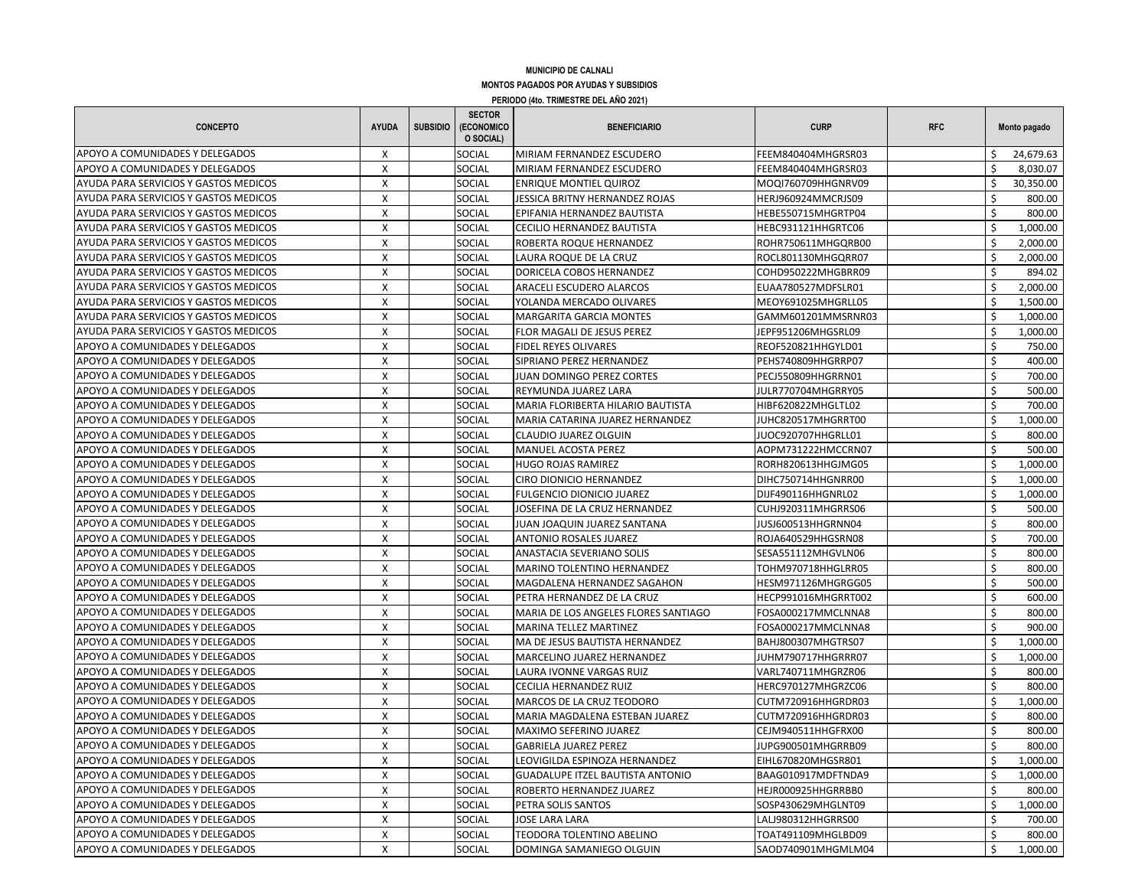## **MUNICIPIO DE CALNALI MONTOS PAGADOS POR AYUDAS Y SUBSIDIOS PERIODO (4to. TRIMESTRE DEL AÑO 2021)**

| X<br>SOCIAL<br>APOYO A COMUNIDADES Y DELEGADOS<br>MIRIAM FERNANDEZ ESCUDERO<br>FEEM840404MHGRSR03<br>24,679.63<br>S.<br>APOYO A COMUNIDADES Y DELEGADOS<br>X<br>SOCIAL<br>MIRIAM FERNANDEZ ESCUDERO<br>\$<br>8,030.07<br>FEEM840404MHGRSR03<br>AYUDA PARA SERVICIOS Y GASTOS MEDICOS<br>X<br>SOCIAL<br>30,350.00<br><b>ENRIQUE MONTIEL QUIROZ</b><br>MOQI760709HHGNRV09<br>Ŝ<br>AYUDA PARA SERVICIOS Y GASTOS MEDICOS<br>X<br>SOCIAL<br>800.00<br>JESSICA BRITNY HERNANDEZ ROJAS<br>HERJ960924MMCRJS09<br>Ś<br>X<br>SOCIAL<br>Ś<br>AYUDA PARA SERVICIOS Y GASTOS MEDICOS<br>EPIFANIA HERNANDEZ BAUTISTA<br>HEBE550715MHGRTP04<br>800.00<br>AYUDA PARA SERVICIOS Y GASTOS MEDICOS<br>X<br>SOCIAL<br><b>CECILIO HERNANDEZ BAUTISTA</b><br>Ś<br>1,000.00<br>HEBC931121HHGRTC06<br>X<br>Ś<br>AYUDA PARA SERVICIOS Y GASTOS MEDICOS<br>SOCIAL<br>ROBERTA ROQUE HERNANDEZ<br>2,000.00<br>ROHR750611MHGQRB00<br>AYUDA PARA SERVICIOS Y GASTOS MEDICOS<br><b>SOCIAL</b><br>X<br>LAURA ROQUE DE LA CRUZ<br>ROCL801130MHGQRR07<br>2,000.00<br>$\mathsf{x}$<br>Ś<br><b>SOCIAL</b><br>AYUDA PARA SERVICIOS Y GASTOS MEDICOS<br>DORICELA COBOS HERNANDEZ<br>894.02<br>COHD950222MHGBRR09<br>$\mathsf{x}$<br>SOCIAL<br>Ś<br>AYUDA PARA SERVICIOS Y GASTOS MEDICOS<br>2.000.00<br>ARACELI ESCUDERO ALARCOS<br>EUAA780527MDFSLR01<br>X<br><b>SOCIAL</b><br>Ś<br>AYUDA PARA SERVICIOS Y GASTOS MEDICOS<br>YOLANDA MERCADO OLIVARES<br>MEOY691025MHGRLL05<br>1,500.00<br>AYUDA PARA SERVICIOS Y GASTOS MEDICOS<br>$\pmb{\times}$<br>SOCIAL<br>$\zeta$<br>GAMM601201MMSRNR03<br>1,000.00<br><b>MARGARITA GARCIA MONTES</b><br>AYUDA PARA SERVICIOS Y GASTOS MEDICOS<br>X<br>SOCIAL<br>Ś<br>FLOR MAGALI DE JESUS PEREZ<br>JEPF951206MHGSRL09<br>1,000.00<br>Ś<br>X<br>SOCIAL<br>750.00<br>APOYO A COMUNIDADES Y DELEGADOS<br>FIDEL REYES OLIVARES<br>REOF520821HHGYLD01<br>X<br><b>SOCIAL</b><br>Ś<br>400.00<br>APOYO A COMUNIDADES Y DELEGADOS<br>SIPRIANO PEREZ HERNANDEZ<br>PEHS740809HHGRRP07<br>X<br>SOCIAL<br>JUAN DOMINGO PEREZ CORTES<br>\$<br>700.00<br>APOYO A COMUNIDADES Y DELEGADOS<br>PECJ550809HHGRRN01<br>APOYO A COMUNIDADES Y DELEGADOS<br>X<br>SOCIAL<br>Ś<br>500.00<br>REYMUNDA JUAREZ LARA<br>JULR770704MHGRRY05<br>Ś<br>APOYO A COMUNIDADES Y DELEGADOS<br>X<br>SOCIAL<br>700.00<br>MARIA FLORIBERTA HILARIO BAUTISTA<br>HIBF620822MHGLTL02<br>Ś<br>APOYO A COMUNIDADES Y DELEGADOS<br>X<br>SOCIAL<br>MARIA CATARINA JUAREZ HERNANDEZ<br>1,000.00<br>JUHC820517MHGRRT00<br>Ś<br>X<br>800.00<br>APOYO A COMUNIDADES Y DELEGADOS<br><b>SOCIAL</b><br>CLAUDIO JUAREZ OLGUIN<br>JUOC920707HHGRLL01<br>Ś<br>$\mathsf{x}$<br>SOCIAL<br>500.00<br>APOYO A COMUNIDADES Y DELEGADOS<br>MANUEL ACOSTA PEREZ<br>AOPM731222HMCCRN07<br>$\mathsf{X}$<br>$\hat{\varsigma}$<br>APOYO A COMUNIDADES Y DELEGADOS<br>SOCIAL<br>1,000.00<br><b>HUGO ROJAS RAMIREZ</b><br>RORH820613HHGJMG05<br>$\boldsymbol{\mathsf{X}}$<br>Ś<br>APOYO A COMUNIDADES Y DELEGADOS<br><b>SOCIAL</b><br>DIHC750714HHGNRR00<br>1,000.00<br><b>CIRO DIONICIO HERNANDEZ</b><br>X<br>Ś<br>SOCIAL<br>1,000.00<br>APOYO A COMUNIDADES Y DELEGADOS<br><b>FULGENCIO DIONICIO JUAREZ</b><br>DIJF490116HHGNRL02<br>X<br>Ś<br>APOYO A COMUNIDADES Y DELEGADOS<br>SOCIAL<br>500.00<br>JOSEFINA DE LA CRUZ HERNANDEZ<br>CUHJ920311MHGRRS06<br>X<br>APOYO A COMUNIDADES Y DELEGADOS<br>SOCIAL<br>JUAN JOAQUIN JUAREZ SANTANA<br>\$<br>800.00<br>JUSJ600513HHGRNN04<br>APOYO A COMUNIDADES Y DELEGADOS<br>X<br>SOCIAL<br>Ś<br>700.00<br>ANTONIO ROSALES JUAREZ<br>ROJA640529HHGSRN08<br>X<br>APOYO A COMUNIDADES Y DELEGADOS<br>SOCIAL<br>Ś<br>800.00<br>ANASTACIA SEVERIANO SOLIS<br>SESA551112MHGVLN06<br>X<br>SOCIAL<br>800.00<br>APOYO A COMUNIDADES Y DELEGADOS<br>MARINO TOLENTINO HERNANDEZ<br>TOHM970718HHGLRR05<br>Ś<br>X<br>SOCIAL<br>Ś<br>500.00<br>APOYO A COMUNIDADES Y DELEGADOS<br>MAGDALENA HERNANDEZ SAGAHON<br>HESM971126MHGRGG05<br>$\boldsymbol{\mathsf{X}}$<br><b>SOCIAL</b><br>600.00<br>APOYO A COMUNIDADES Y DELEGADOS<br>PETRA HERNANDEZ DE LA CRUZ<br>HECP991016MHGRRT002<br>X<br>Ś<br>APOYO A COMUNIDADES Y DELEGADOS<br>SOCIAL<br>MARIA DE LOS ANGELES FLORES SANTIAGO<br>FOSA000217MMCLNNA8<br>800.00<br>X<br>SOCIAL<br>900.00<br>APOYO A COMUNIDADES Y DELEGADOS<br>MARINA TELLEZ MARTINEZ<br>FOSA000217MMCLNNA8<br>$\mathsf{x}$<br>Ś<br><b>SOCIAL</b><br>1.000.00<br>APOYO A COMUNIDADES Y DELEGADOS<br>MA DE JESUS BAUTISTA HERNANDEZ<br>BAHJ800307MHGTRS07<br>$\pmb{\times}$<br>SOCIAL<br>Ś<br>MARCELINO JUAREZ HERNANDEZ<br>JUHM790717HHGRRR07<br>1,000.00<br>APOYO A COMUNIDADES Y DELEGADOS<br>$\mathsf{x}$<br>Ś<br>APOYO A COMUNIDADES Y DELEGADOS<br><b>SOCIAL</b><br>800.00<br><b>LAURA IVONNE VARGAS RUIZ</b><br>VARL740711MHGRZR06<br>APOYO A COMUNIDADES Y DELEGADOS<br>X<br>SOCIAL<br>Ś<br>800.00<br>CECILIA HERNANDEZ RUIZ<br>HERC970127MHGRZC06<br>X<br>SOCIAL<br>Ś<br>APOYO A COMUNIDADES Y DELEGADOS<br>MARCOS DE LA CRUZ TEODORO<br>CUTM720916HHGRDR03<br>1,000.00<br>X<br>Ś<br>APOYO A COMUNIDADES Y DELEGADOS<br>SOCIAL<br>MARIA MAGDALENA ESTEBAN JUAREZ<br>800.00<br>CUTM720916HHGRDR03<br>X<br>Ś<br>APOYO A COMUNIDADES Y DELEGADOS<br>SOCIAL<br>MAXIMO SEFERINO JUAREZ<br>CEJM940511HHGFRX00<br>800.00<br>X<br>Ś<br>SOCIAL<br>800.00<br>APOYO A COMUNIDADES Y DELEGADOS<br><b>GABRIELA JUAREZ PEREZ</b><br>JUPG900501MHGRRB09<br>Ś<br>APOYO A COMUNIDADES Y DELEGADOS<br>X<br>SOCIAL<br>LEOVIGILDA ESPINOZA HERNANDEZ<br>EIHL670820MHGSR801<br>1,000.00<br>Ś<br>X<br>SOCIAL<br>1,000.00<br>APOYO A COMUNIDADES Y DELEGADOS<br><b>GUADALUPE ITZEL BAUTISTA ANTONIO</b><br>BAAG010917MDFTNDA9<br>Ś<br>APOYO A COMUNIDADES Y DELEGADOS<br>X<br>SOCIAL<br>ROBERTO HERNANDEZ JUAREZ<br>HEJR000925HHGRRBB0<br>800.00<br>Ś<br>X<br>SOCIAL<br>1,000.00<br>APOYO A COMUNIDADES Y DELEGADOS<br>PETRA SOLIS SANTOS<br>SOSP430629MHGLNT09<br>APOYO A COMUNIDADES Y DELEGADOS<br>Ś<br>X<br><b>SOCIAL</b><br><b>JOSE LARA LARA</b><br>LALJ980312HHGRRS00<br>700.00<br>APOYO A COMUNIDADES Y DELEGADOS<br>X<br>Ś<br>SOCIAL<br>TEODORA TOLENTINO ABELINO<br>800.00<br>TOAT491109MHGLBD09<br>$\pmb{\times}$<br><b>SOCIAL</b><br>\$<br>1,000.00<br>APOYO A COMUNIDADES Y DELEGADOS<br>DOMINGA SAMANIEGO OLGUIN<br>SAOD740901MHGMLM04 | <b>CONCEPTO</b> | <b>AYUDA</b> | <b>SUBSIDIO</b> | <b>SECTOR</b><br>(ECONOMICO<br>O SOCIAL) | <b>BENEFICIARIO</b> | <b>CURP</b> | <b>RFC</b> | Monto pagado |
|-----------------------------------------------------------------------------------------------------------------------------------------------------------------------------------------------------------------------------------------------------------------------------------------------------------------------------------------------------------------------------------------------------------------------------------------------------------------------------------------------------------------------------------------------------------------------------------------------------------------------------------------------------------------------------------------------------------------------------------------------------------------------------------------------------------------------------------------------------------------------------------------------------------------------------------------------------------------------------------------------------------------------------------------------------------------------------------------------------------------------------------------------------------------------------------------------------------------------------------------------------------------------------------------------------------------------------------------------------------------------------------------------------------------------------------------------------------------------------------------------------------------------------------------------------------------------------------------------------------------------------------------------------------------------------------------------------------------------------------------------------------------------------------------------------------------------------------------------------------------------------------------------------------------------------------------------------------------------------------------------------------------------------------------------------------------------------------------------------------------------------------------------------------------------------------------------------------------------------------------------------------------------------------------------------------------------------------------------------------------------------------------------------------------------------------------------------------------------------------------------------------------------------------------------------------------------------------------------------------------------------------------------------------------------------------------------------------------------------------------------------------------------------------------------------------------------------------------------------------------------------------------------------------------------------------------------------------------------------------------------------------------------------------------------------------------------------------------------------------------------------------------------------------------------------------------------------------------------------------------------------------------------------------------------------------------------------------------------------------------------------------------------------------------------------------------------------------------------------------------------------------------------------------------------------------------------------------------------------------------------------------------------------------------------------------------------------------------------------------------------------------------------------------------------------------------------------------------------------------------------------------------------------------------------------------------------------------------------------------------------------------------------------------------------------------------------------------------------------------------------------------------------------------------------------------------------------------------------------------------------------------------------------------------------------------------------------------------------------------------------------------------------------------------------------------------------------------------------------------------------------------------------------------------------------------------------------------------------------------------------------------------------------------------------------------------------------------------------------------------------------------------------------------------------------------------------------------------------------------------------------------------------------------------------------------------------------------------------------------------------------------------------------------------------------------------------------------------------------------------------------------------------------------------------------------------------------------------------------------------------------------------------------------------------------------------------------------------------------------------------------------------------------------------------------------------------------------------------------------------------------------------------------------------------------------------------------------------------------------------------------------------------------------------------------------------------------------------------------------------------------------------------------------------------------------------------------------------------------------------------------------------------------------------------------------------------------------------------------------------------------------------------------------------------------------------------------------------------------------------------------------------------------------------------------------------------------------------------|-----------------|--------------|-----------------|------------------------------------------|---------------------|-------------|------------|--------------|
|                                                                                                                                                                                                                                                                                                                                                                                                                                                                                                                                                                                                                                                                                                                                                                                                                                                                                                                                                                                                                                                                                                                                                                                                                                                                                                                                                                                                                                                                                                                                                                                                                                                                                                                                                                                                                                                                                                                                                                                                                                                                                                                                                                                                                                                                                                                                                                                                                                                                                                                                                                                                                                                                                                                                                                                                                                                                                                                                                                                                                                                                                                                                                                                                                                                                                                                                                                                                                                                                                                                                                                                                                                                                                                                                                                                                                                                                                                                                                                                                                                                                                                                                                                                                                                                                                                                                                                                                                                                                                                                                                                                                                                                                                                                                                                                                                                                                                                                                                                                                                                                                                                                                                                                                                                                                                                                                                                                                                                                                                                                                                                                                                                                                                                                                                                                                                                                                                                                                                                                                                                                                                                                                                                                                                       |                 |              |                 |                                          |                     |             |            |              |
|                                                                                                                                                                                                                                                                                                                                                                                                                                                                                                                                                                                                                                                                                                                                                                                                                                                                                                                                                                                                                                                                                                                                                                                                                                                                                                                                                                                                                                                                                                                                                                                                                                                                                                                                                                                                                                                                                                                                                                                                                                                                                                                                                                                                                                                                                                                                                                                                                                                                                                                                                                                                                                                                                                                                                                                                                                                                                                                                                                                                                                                                                                                                                                                                                                                                                                                                                                                                                                                                                                                                                                                                                                                                                                                                                                                                                                                                                                                                                                                                                                                                                                                                                                                                                                                                                                                                                                                                                                                                                                                                                                                                                                                                                                                                                                                                                                                                                                                                                                                                                                                                                                                                                                                                                                                                                                                                                                                                                                                                                                                                                                                                                                                                                                                                                                                                                                                                                                                                                                                                                                                                                                                                                                                                                       |                 |              |                 |                                          |                     |             |            |              |
|                                                                                                                                                                                                                                                                                                                                                                                                                                                                                                                                                                                                                                                                                                                                                                                                                                                                                                                                                                                                                                                                                                                                                                                                                                                                                                                                                                                                                                                                                                                                                                                                                                                                                                                                                                                                                                                                                                                                                                                                                                                                                                                                                                                                                                                                                                                                                                                                                                                                                                                                                                                                                                                                                                                                                                                                                                                                                                                                                                                                                                                                                                                                                                                                                                                                                                                                                                                                                                                                                                                                                                                                                                                                                                                                                                                                                                                                                                                                                                                                                                                                                                                                                                                                                                                                                                                                                                                                                                                                                                                                                                                                                                                                                                                                                                                                                                                                                                                                                                                                                                                                                                                                                                                                                                                                                                                                                                                                                                                                                                                                                                                                                                                                                                                                                                                                                                                                                                                                                                                                                                                                                                                                                                                                                       |                 |              |                 |                                          |                     |             |            |              |
|                                                                                                                                                                                                                                                                                                                                                                                                                                                                                                                                                                                                                                                                                                                                                                                                                                                                                                                                                                                                                                                                                                                                                                                                                                                                                                                                                                                                                                                                                                                                                                                                                                                                                                                                                                                                                                                                                                                                                                                                                                                                                                                                                                                                                                                                                                                                                                                                                                                                                                                                                                                                                                                                                                                                                                                                                                                                                                                                                                                                                                                                                                                                                                                                                                                                                                                                                                                                                                                                                                                                                                                                                                                                                                                                                                                                                                                                                                                                                                                                                                                                                                                                                                                                                                                                                                                                                                                                                                                                                                                                                                                                                                                                                                                                                                                                                                                                                                                                                                                                                                                                                                                                                                                                                                                                                                                                                                                                                                                                                                                                                                                                                                                                                                                                                                                                                                                                                                                                                                                                                                                                                                                                                                                                                       |                 |              |                 |                                          |                     |             |            |              |
|                                                                                                                                                                                                                                                                                                                                                                                                                                                                                                                                                                                                                                                                                                                                                                                                                                                                                                                                                                                                                                                                                                                                                                                                                                                                                                                                                                                                                                                                                                                                                                                                                                                                                                                                                                                                                                                                                                                                                                                                                                                                                                                                                                                                                                                                                                                                                                                                                                                                                                                                                                                                                                                                                                                                                                                                                                                                                                                                                                                                                                                                                                                                                                                                                                                                                                                                                                                                                                                                                                                                                                                                                                                                                                                                                                                                                                                                                                                                                                                                                                                                                                                                                                                                                                                                                                                                                                                                                                                                                                                                                                                                                                                                                                                                                                                                                                                                                                                                                                                                                                                                                                                                                                                                                                                                                                                                                                                                                                                                                                                                                                                                                                                                                                                                                                                                                                                                                                                                                                                                                                                                                                                                                                                                                       |                 |              |                 |                                          |                     |             |            |              |
|                                                                                                                                                                                                                                                                                                                                                                                                                                                                                                                                                                                                                                                                                                                                                                                                                                                                                                                                                                                                                                                                                                                                                                                                                                                                                                                                                                                                                                                                                                                                                                                                                                                                                                                                                                                                                                                                                                                                                                                                                                                                                                                                                                                                                                                                                                                                                                                                                                                                                                                                                                                                                                                                                                                                                                                                                                                                                                                                                                                                                                                                                                                                                                                                                                                                                                                                                                                                                                                                                                                                                                                                                                                                                                                                                                                                                                                                                                                                                                                                                                                                                                                                                                                                                                                                                                                                                                                                                                                                                                                                                                                                                                                                                                                                                                                                                                                                                                                                                                                                                                                                                                                                                                                                                                                                                                                                                                                                                                                                                                                                                                                                                                                                                                                                                                                                                                                                                                                                                                                                                                                                                                                                                                                                                       |                 |              |                 |                                          |                     |             |            |              |
|                                                                                                                                                                                                                                                                                                                                                                                                                                                                                                                                                                                                                                                                                                                                                                                                                                                                                                                                                                                                                                                                                                                                                                                                                                                                                                                                                                                                                                                                                                                                                                                                                                                                                                                                                                                                                                                                                                                                                                                                                                                                                                                                                                                                                                                                                                                                                                                                                                                                                                                                                                                                                                                                                                                                                                                                                                                                                                                                                                                                                                                                                                                                                                                                                                                                                                                                                                                                                                                                                                                                                                                                                                                                                                                                                                                                                                                                                                                                                                                                                                                                                                                                                                                                                                                                                                                                                                                                                                                                                                                                                                                                                                                                                                                                                                                                                                                                                                                                                                                                                                                                                                                                                                                                                                                                                                                                                                                                                                                                                                                                                                                                                                                                                                                                                                                                                                                                                                                                                                                                                                                                                                                                                                                                                       |                 |              |                 |                                          |                     |             |            |              |
|                                                                                                                                                                                                                                                                                                                                                                                                                                                                                                                                                                                                                                                                                                                                                                                                                                                                                                                                                                                                                                                                                                                                                                                                                                                                                                                                                                                                                                                                                                                                                                                                                                                                                                                                                                                                                                                                                                                                                                                                                                                                                                                                                                                                                                                                                                                                                                                                                                                                                                                                                                                                                                                                                                                                                                                                                                                                                                                                                                                                                                                                                                                                                                                                                                                                                                                                                                                                                                                                                                                                                                                                                                                                                                                                                                                                                                                                                                                                                                                                                                                                                                                                                                                                                                                                                                                                                                                                                                                                                                                                                                                                                                                                                                                                                                                                                                                                                                                                                                                                                                                                                                                                                                                                                                                                                                                                                                                                                                                                                                                                                                                                                                                                                                                                                                                                                                                                                                                                                                                                                                                                                                                                                                                                                       |                 |              |                 |                                          |                     |             |            |              |
|                                                                                                                                                                                                                                                                                                                                                                                                                                                                                                                                                                                                                                                                                                                                                                                                                                                                                                                                                                                                                                                                                                                                                                                                                                                                                                                                                                                                                                                                                                                                                                                                                                                                                                                                                                                                                                                                                                                                                                                                                                                                                                                                                                                                                                                                                                                                                                                                                                                                                                                                                                                                                                                                                                                                                                                                                                                                                                                                                                                                                                                                                                                                                                                                                                                                                                                                                                                                                                                                                                                                                                                                                                                                                                                                                                                                                                                                                                                                                                                                                                                                                                                                                                                                                                                                                                                                                                                                                                                                                                                                                                                                                                                                                                                                                                                                                                                                                                                                                                                                                                                                                                                                                                                                                                                                                                                                                                                                                                                                                                                                                                                                                                                                                                                                                                                                                                                                                                                                                                                                                                                                                                                                                                                                                       |                 |              |                 |                                          |                     |             |            |              |
|                                                                                                                                                                                                                                                                                                                                                                                                                                                                                                                                                                                                                                                                                                                                                                                                                                                                                                                                                                                                                                                                                                                                                                                                                                                                                                                                                                                                                                                                                                                                                                                                                                                                                                                                                                                                                                                                                                                                                                                                                                                                                                                                                                                                                                                                                                                                                                                                                                                                                                                                                                                                                                                                                                                                                                                                                                                                                                                                                                                                                                                                                                                                                                                                                                                                                                                                                                                                                                                                                                                                                                                                                                                                                                                                                                                                                                                                                                                                                                                                                                                                                                                                                                                                                                                                                                                                                                                                                                                                                                                                                                                                                                                                                                                                                                                                                                                                                                                                                                                                                                                                                                                                                                                                                                                                                                                                                                                                                                                                                                                                                                                                                                                                                                                                                                                                                                                                                                                                                                                                                                                                                                                                                                                                                       |                 |              |                 |                                          |                     |             |            |              |
|                                                                                                                                                                                                                                                                                                                                                                                                                                                                                                                                                                                                                                                                                                                                                                                                                                                                                                                                                                                                                                                                                                                                                                                                                                                                                                                                                                                                                                                                                                                                                                                                                                                                                                                                                                                                                                                                                                                                                                                                                                                                                                                                                                                                                                                                                                                                                                                                                                                                                                                                                                                                                                                                                                                                                                                                                                                                                                                                                                                                                                                                                                                                                                                                                                                                                                                                                                                                                                                                                                                                                                                                                                                                                                                                                                                                                                                                                                                                                                                                                                                                                                                                                                                                                                                                                                                                                                                                                                                                                                                                                                                                                                                                                                                                                                                                                                                                                                                                                                                                                                                                                                                                                                                                                                                                                                                                                                                                                                                                                                                                                                                                                                                                                                                                                                                                                                                                                                                                                                                                                                                                                                                                                                                                                       |                 |              |                 |                                          |                     |             |            |              |
|                                                                                                                                                                                                                                                                                                                                                                                                                                                                                                                                                                                                                                                                                                                                                                                                                                                                                                                                                                                                                                                                                                                                                                                                                                                                                                                                                                                                                                                                                                                                                                                                                                                                                                                                                                                                                                                                                                                                                                                                                                                                                                                                                                                                                                                                                                                                                                                                                                                                                                                                                                                                                                                                                                                                                                                                                                                                                                                                                                                                                                                                                                                                                                                                                                                                                                                                                                                                                                                                                                                                                                                                                                                                                                                                                                                                                                                                                                                                                                                                                                                                                                                                                                                                                                                                                                                                                                                                                                                                                                                                                                                                                                                                                                                                                                                                                                                                                                                                                                                                                                                                                                                                                                                                                                                                                                                                                                                                                                                                                                                                                                                                                                                                                                                                                                                                                                                                                                                                                                                                                                                                                                                                                                                                                       |                 |              |                 |                                          |                     |             |            |              |
|                                                                                                                                                                                                                                                                                                                                                                                                                                                                                                                                                                                                                                                                                                                                                                                                                                                                                                                                                                                                                                                                                                                                                                                                                                                                                                                                                                                                                                                                                                                                                                                                                                                                                                                                                                                                                                                                                                                                                                                                                                                                                                                                                                                                                                                                                                                                                                                                                                                                                                                                                                                                                                                                                                                                                                                                                                                                                                                                                                                                                                                                                                                                                                                                                                                                                                                                                                                                                                                                                                                                                                                                                                                                                                                                                                                                                                                                                                                                                                                                                                                                                                                                                                                                                                                                                                                                                                                                                                                                                                                                                                                                                                                                                                                                                                                                                                                                                                                                                                                                                                                                                                                                                                                                                                                                                                                                                                                                                                                                                                                                                                                                                                                                                                                                                                                                                                                                                                                                                                                                                                                                                                                                                                                                                       |                 |              |                 |                                          |                     |             |            |              |
|                                                                                                                                                                                                                                                                                                                                                                                                                                                                                                                                                                                                                                                                                                                                                                                                                                                                                                                                                                                                                                                                                                                                                                                                                                                                                                                                                                                                                                                                                                                                                                                                                                                                                                                                                                                                                                                                                                                                                                                                                                                                                                                                                                                                                                                                                                                                                                                                                                                                                                                                                                                                                                                                                                                                                                                                                                                                                                                                                                                                                                                                                                                                                                                                                                                                                                                                                                                                                                                                                                                                                                                                                                                                                                                                                                                                                                                                                                                                                                                                                                                                                                                                                                                                                                                                                                                                                                                                                                                                                                                                                                                                                                                                                                                                                                                                                                                                                                                                                                                                                                                                                                                                                                                                                                                                                                                                                                                                                                                                                                                                                                                                                                                                                                                                                                                                                                                                                                                                                                                                                                                                                                                                                                                                                       |                 |              |                 |                                          |                     |             |            |              |
|                                                                                                                                                                                                                                                                                                                                                                                                                                                                                                                                                                                                                                                                                                                                                                                                                                                                                                                                                                                                                                                                                                                                                                                                                                                                                                                                                                                                                                                                                                                                                                                                                                                                                                                                                                                                                                                                                                                                                                                                                                                                                                                                                                                                                                                                                                                                                                                                                                                                                                                                                                                                                                                                                                                                                                                                                                                                                                                                                                                                                                                                                                                                                                                                                                                                                                                                                                                                                                                                                                                                                                                                                                                                                                                                                                                                                                                                                                                                                                                                                                                                                                                                                                                                                                                                                                                                                                                                                                                                                                                                                                                                                                                                                                                                                                                                                                                                                                                                                                                                                                                                                                                                                                                                                                                                                                                                                                                                                                                                                                                                                                                                                                                                                                                                                                                                                                                                                                                                                                                                                                                                                                                                                                                                                       |                 |              |                 |                                          |                     |             |            |              |
|                                                                                                                                                                                                                                                                                                                                                                                                                                                                                                                                                                                                                                                                                                                                                                                                                                                                                                                                                                                                                                                                                                                                                                                                                                                                                                                                                                                                                                                                                                                                                                                                                                                                                                                                                                                                                                                                                                                                                                                                                                                                                                                                                                                                                                                                                                                                                                                                                                                                                                                                                                                                                                                                                                                                                                                                                                                                                                                                                                                                                                                                                                                                                                                                                                                                                                                                                                                                                                                                                                                                                                                                                                                                                                                                                                                                                                                                                                                                                                                                                                                                                                                                                                                                                                                                                                                                                                                                                                                                                                                                                                                                                                                                                                                                                                                                                                                                                                                                                                                                                                                                                                                                                                                                                                                                                                                                                                                                                                                                                                                                                                                                                                                                                                                                                                                                                                                                                                                                                                                                                                                                                                                                                                                                                       |                 |              |                 |                                          |                     |             |            |              |
|                                                                                                                                                                                                                                                                                                                                                                                                                                                                                                                                                                                                                                                                                                                                                                                                                                                                                                                                                                                                                                                                                                                                                                                                                                                                                                                                                                                                                                                                                                                                                                                                                                                                                                                                                                                                                                                                                                                                                                                                                                                                                                                                                                                                                                                                                                                                                                                                                                                                                                                                                                                                                                                                                                                                                                                                                                                                                                                                                                                                                                                                                                                                                                                                                                                                                                                                                                                                                                                                                                                                                                                                                                                                                                                                                                                                                                                                                                                                                                                                                                                                                                                                                                                                                                                                                                                                                                                                                                                                                                                                                                                                                                                                                                                                                                                                                                                                                                                                                                                                                                                                                                                                                                                                                                                                                                                                                                                                                                                                                                                                                                                                                                                                                                                                                                                                                                                                                                                                                                                                                                                                                                                                                                                                                       |                 |              |                 |                                          |                     |             |            |              |
|                                                                                                                                                                                                                                                                                                                                                                                                                                                                                                                                                                                                                                                                                                                                                                                                                                                                                                                                                                                                                                                                                                                                                                                                                                                                                                                                                                                                                                                                                                                                                                                                                                                                                                                                                                                                                                                                                                                                                                                                                                                                                                                                                                                                                                                                                                                                                                                                                                                                                                                                                                                                                                                                                                                                                                                                                                                                                                                                                                                                                                                                                                                                                                                                                                                                                                                                                                                                                                                                                                                                                                                                                                                                                                                                                                                                                                                                                                                                                                                                                                                                                                                                                                                                                                                                                                                                                                                                                                                                                                                                                                                                                                                                                                                                                                                                                                                                                                                                                                                                                                                                                                                                                                                                                                                                                                                                                                                                                                                                                                                                                                                                                                                                                                                                                                                                                                                                                                                                                                                                                                                                                                                                                                                                                       |                 |              |                 |                                          |                     |             |            |              |
|                                                                                                                                                                                                                                                                                                                                                                                                                                                                                                                                                                                                                                                                                                                                                                                                                                                                                                                                                                                                                                                                                                                                                                                                                                                                                                                                                                                                                                                                                                                                                                                                                                                                                                                                                                                                                                                                                                                                                                                                                                                                                                                                                                                                                                                                                                                                                                                                                                                                                                                                                                                                                                                                                                                                                                                                                                                                                                                                                                                                                                                                                                                                                                                                                                                                                                                                                                                                                                                                                                                                                                                                                                                                                                                                                                                                                                                                                                                                                                                                                                                                                                                                                                                                                                                                                                                                                                                                                                                                                                                                                                                                                                                                                                                                                                                                                                                                                                                                                                                                                                                                                                                                                                                                                                                                                                                                                                                                                                                                                                                                                                                                                                                                                                                                                                                                                                                                                                                                                                                                                                                                                                                                                                                                                       |                 |              |                 |                                          |                     |             |            |              |
|                                                                                                                                                                                                                                                                                                                                                                                                                                                                                                                                                                                                                                                                                                                                                                                                                                                                                                                                                                                                                                                                                                                                                                                                                                                                                                                                                                                                                                                                                                                                                                                                                                                                                                                                                                                                                                                                                                                                                                                                                                                                                                                                                                                                                                                                                                                                                                                                                                                                                                                                                                                                                                                                                                                                                                                                                                                                                                                                                                                                                                                                                                                                                                                                                                                                                                                                                                                                                                                                                                                                                                                                                                                                                                                                                                                                                                                                                                                                                                                                                                                                                                                                                                                                                                                                                                                                                                                                                                                                                                                                                                                                                                                                                                                                                                                                                                                                                                                                                                                                                                                                                                                                                                                                                                                                                                                                                                                                                                                                                                                                                                                                                                                                                                                                                                                                                                                                                                                                                                                                                                                                                                                                                                                                                       |                 |              |                 |                                          |                     |             |            |              |
|                                                                                                                                                                                                                                                                                                                                                                                                                                                                                                                                                                                                                                                                                                                                                                                                                                                                                                                                                                                                                                                                                                                                                                                                                                                                                                                                                                                                                                                                                                                                                                                                                                                                                                                                                                                                                                                                                                                                                                                                                                                                                                                                                                                                                                                                                                                                                                                                                                                                                                                                                                                                                                                                                                                                                                                                                                                                                                                                                                                                                                                                                                                                                                                                                                                                                                                                                                                                                                                                                                                                                                                                                                                                                                                                                                                                                                                                                                                                                                                                                                                                                                                                                                                                                                                                                                                                                                                                                                                                                                                                                                                                                                                                                                                                                                                                                                                                                                                                                                                                                                                                                                                                                                                                                                                                                                                                                                                                                                                                                                                                                                                                                                                                                                                                                                                                                                                                                                                                                                                                                                                                                                                                                                                                                       |                 |              |                 |                                          |                     |             |            |              |
|                                                                                                                                                                                                                                                                                                                                                                                                                                                                                                                                                                                                                                                                                                                                                                                                                                                                                                                                                                                                                                                                                                                                                                                                                                                                                                                                                                                                                                                                                                                                                                                                                                                                                                                                                                                                                                                                                                                                                                                                                                                                                                                                                                                                                                                                                                                                                                                                                                                                                                                                                                                                                                                                                                                                                                                                                                                                                                                                                                                                                                                                                                                                                                                                                                                                                                                                                                                                                                                                                                                                                                                                                                                                                                                                                                                                                                                                                                                                                                                                                                                                                                                                                                                                                                                                                                                                                                                                                                                                                                                                                                                                                                                                                                                                                                                                                                                                                                                                                                                                                                                                                                                                                                                                                                                                                                                                                                                                                                                                                                                                                                                                                                                                                                                                                                                                                                                                                                                                                                                                                                                                                                                                                                                                                       |                 |              |                 |                                          |                     |             |            |              |
|                                                                                                                                                                                                                                                                                                                                                                                                                                                                                                                                                                                                                                                                                                                                                                                                                                                                                                                                                                                                                                                                                                                                                                                                                                                                                                                                                                                                                                                                                                                                                                                                                                                                                                                                                                                                                                                                                                                                                                                                                                                                                                                                                                                                                                                                                                                                                                                                                                                                                                                                                                                                                                                                                                                                                                                                                                                                                                                                                                                                                                                                                                                                                                                                                                                                                                                                                                                                                                                                                                                                                                                                                                                                                                                                                                                                                                                                                                                                                                                                                                                                                                                                                                                                                                                                                                                                                                                                                                                                                                                                                                                                                                                                                                                                                                                                                                                                                                                                                                                                                                                                                                                                                                                                                                                                                                                                                                                                                                                                                                                                                                                                                                                                                                                                                                                                                                                                                                                                                                                                                                                                                                                                                                                                                       |                 |              |                 |                                          |                     |             |            |              |
|                                                                                                                                                                                                                                                                                                                                                                                                                                                                                                                                                                                                                                                                                                                                                                                                                                                                                                                                                                                                                                                                                                                                                                                                                                                                                                                                                                                                                                                                                                                                                                                                                                                                                                                                                                                                                                                                                                                                                                                                                                                                                                                                                                                                                                                                                                                                                                                                                                                                                                                                                                                                                                                                                                                                                                                                                                                                                                                                                                                                                                                                                                                                                                                                                                                                                                                                                                                                                                                                                                                                                                                                                                                                                                                                                                                                                                                                                                                                                                                                                                                                                                                                                                                                                                                                                                                                                                                                                                                                                                                                                                                                                                                                                                                                                                                                                                                                                                                                                                                                                                                                                                                                                                                                                                                                                                                                                                                                                                                                                                                                                                                                                                                                                                                                                                                                                                                                                                                                                                                                                                                                                                                                                                                                                       |                 |              |                 |                                          |                     |             |            |              |
|                                                                                                                                                                                                                                                                                                                                                                                                                                                                                                                                                                                                                                                                                                                                                                                                                                                                                                                                                                                                                                                                                                                                                                                                                                                                                                                                                                                                                                                                                                                                                                                                                                                                                                                                                                                                                                                                                                                                                                                                                                                                                                                                                                                                                                                                                                                                                                                                                                                                                                                                                                                                                                                                                                                                                                                                                                                                                                                                                                                                                                                                                                                                                                                                                                                                                                                                                                                                                                                                                                                                                                                                                                                                                                                                                                                                                                                                                                                                                                                                                                                                                                                                                                                                                                                                                                                                                                                                                                                                                                                                                                                                                                                                                                                                                                                                                                                                                                                                                                                                                                                                                                                                                                                                                                                                                                                                                                                                                                                                                                                                                                                                                                                                                                                                                                                                                                                                                                                                                                                                                                                                                                                                                                                                                       |                 |              |                 |                                          |                     |             |            |              |
|                                                                                                                                                                                                                                                                                                                                                                                                                                                                                                                                                                                                                                                                                                                                                                                                                                                                                                                                                                                                                                                                                                                                                                                                                                                                                                                                                                                                                                                                                                                                                                                                                                                                                                                                                                                                                                                                                                                                                                                                                                                                                                                                                                                                                                                                                                                                                                                                                                                                                                                                                                                                                                                                                                                                                                                                                                                                                                                                                                                                                                                                                                                                                                                                                                                                                                                                                                                                                                                                                                                                                                                                                                                                                                                                                                                                                                                                                                                                                                                                                                                                                                                                                                                                                                                                                                                                                                                                                                                                                                                                                                                                                                                                                                                                                                                                                                                                                                                                                                                                                                                                                                                                                                                                                                                                                                                                                                                                                                                                                                                                                                                                                                                                                                                                                                                                                                                                                                                                                                                                                                                                                                                                                                                                                       |                 |              |                 |                                          |                     |             |            |              |
|                                                                                                                                                                                                                                                                                                                                                                                                                                                                                                                                                                                                                                                                                                                                                                                                                                                                                                                                                                                                                                                                                                                                                                                                                                                                                                                                                                                                                                                                                                                                                                                                                                                                                                                                                                                                                                                                                                                                                                                                                                                                                                                                                                                                                                                                                                                                                                                                                                                                                                                                                                                                                                                                                                                                                                                                                                                                                                                                                                                                                                                                                                                                                                                                                                                                                                                                                                                                                                                                                                                                                                                                                                                                                                                                                                                                                                                                                                                                                                                                                                                                                                                                                                                                                                                                                                                                                                                                                                                                                                                                                                                                                                                                                                                                                                                                                                                                                                                                                                                                                                                                                                                                                                                                                                                                                                                                                                                                                                                                                                                                                                                                                                                                                                                                                                                                                                                                                                                                                                                                                                                                                                                                                                                                                       |                 |              |                 |                                          |                     |             |            |              |
|                                                                                                                                                                                                                                                                                                                                                                                                                                                                                                                                                                                                                                                                                                                                                                                                                                                                                                                                                                                                                                                                                                                                                                                                                                                                                                                                                                                                                                                                                                                                                                                                                                                                                                                                                                                                                                                                                                                                                                                                                                                                                                                                                                                                                                                                                                                                                                                                                                                                                                                                                                                                                                                                                                                                                                                                                                                                                                                                                                                                                                                                                                                                                                                                                                                                                                                                                                                                                                                                                                                                                                                                                                                                                                                                                                                                                                                                                                                                                                                                                                                                                                                                                                                                                                                                                                                                                                                                                                                                                                                                                                                                                                                                                                                                                                                                                                                                                                                                                                                                                                                                                                                                                                                                                                                                                                                                                                                                                                                                                                                                                                                                                                                                                                                                                                                                                                                                                                                                                                                                                                                                                                                                                                                                                       |                 |              |                 |                                          |                     |             |            |              |
|                                                                                                                                                                                                                                                                                                                                                                                                                                                                                                                                                                                                                                                                                                                                                                                                                                                                                                                                                                                                                                                                                                                                                                                                                                                                                                                                                                                                                                                                                                                                                                                                                                                                                                                                                                                                                                                                                                                                                                                                                                                                                                                                                                                                                                                                                                                                                                                                                                                                                                                                                                                                                                                                                                                                                                                                                                                                                                                                                                                                                                                                                                                                                                                                                                                                                                                                                                                                                                                                                                                                                                                                                                                                                                                                                                                                                                                                                                                                                                                                                                                                                                                                                                                                                                                                                                                                                                                                                                                                                                                                                                                                                                                                                                                                                                                                                                                                                                                                                                                                                                                                                                                                                                                                                                                                                                                                                                                                                                                                                                                                                                                                                                                                                                                                                                                                                                                                                                                                                                                                                                                                                                                                                                                                                       |                 |              |                 |                                          |                     |             |            |              |
|                                                                                                                                                                                                                                                                                                                                                                                                                                                                                                                                                                                                                                                                                                                                                                                                                                                                                                                                                                                                                                                                                                                                                                                                                                                                                                                                                                                                                                                                                                                                                                                                                                                                                                                                                                                                                                                                                                                                                                                                                                                                                                                                                                                                                                                                                                                                                                                                                                                                                                                                                                                                                                                                                                                                                                                                                                                                                                                                                                                                                                                                                                                                                                                                                                                                                                                                                                                                                                                                                                                                                                                                                                                                                                                                                                                                                                                                                                                                                                                                                                                                                                                                                                                                                                                                                                                                                                                                                                                                                                                                                                                                                                                                                                                                                                                                                                                                                                                                                                                                                                                                                                                                                                                                                                                                                                                                                                                                                                                                                                                                                                                                                                                                                                                                                                                                                                                                                                                                                                                                                                                                                                                                                                                                                       |                 |              |                 |                                          |                     |             |            |              |
|                                                                                                                                                                                                                                                                                                                                                                                                                                                                                                                                                                                                                                                                                                                                                                                                                                                                                                                                                                                                                                                                                                                                                                                                                                                                                                                                                                                                                                                                                                                                                                                                                                                                                                                                                                                                                                                                                                                                                                                                                                                                                                                                                                                                                                                                                                                                                                                                                                                                                                                                                                                                                                                                                                                                                                                                                                                                                                                                                                                                                                                                                                                                                                                                                                                                                                                                                                                                                                                                                                                                                                                                                                                                                                                                                                                                                                                                                                                                                                                                                                                                                                                                                                                                                                                                                                                                                                                                                                                                                                                                                                                                                                                                                                                                                                                                                                                                                                                                                                                                                                                                                                                                                                                                                                                                                                                                                                                                                                                                                                                                                                                                                                                                                                                                                                                                                                                                                                                                                                                                                                                                                                                                                                                                                       |                 |              |                 |                                          |                     |             |            |              |
|                                                                                                                                                                                                                                                                                                                                                                                                                                                                                                                                                                                                                                                                                                                                                                                                                                                                                                                                                                                                                                                                                                                                                                                                                                                                                                                                                                                                                                                                                                                                                                                                                                                                                                                                                                                                                                                                                                                                                                                                                                                                                                                                                                                                                                                                                                                                                                                                                                                                                                                                                                                                                                                                                                                                                                                                                                                                                                                                                                                                                                                                                                                                                                                                                                                                                                                                                                                                                                                                                                                                                                                                                                                                                                                                                                                                                                                                                                                                                                                                                                                                                                                                                                                                                                                                                                                                                                                                                                                                                                                                                                                                                                                                                                                                                                                                                                                                                                                                                                                                                                                                                                                                                                                                                                                                                                                                                                                                                                                                                                                                                                                                                                                                                                                                                                                                                                                                                                                                                                                                                                                                                                                                                                                                                       |                 |              |                 |                                          |                     |             |            |              |
|                                                                                                                                                                                                                                                                                                                                                                                                                                                                                                                                                                                                                                                                                                                                                                                                                                                                                                                                                                                                                                                                                                                                                                                                                                                                                                                                                                                                                                                                                                                                                                                                                                                                                                                                                                                                                                                                                                                                                                                                                                                                                                                                                                                                                                                                                                                                                                                                                                                                                                                                                                                                                                                                                                                                                                                                                                                                                                                                                                                                                                                                                                                                                                                                                                                                                                                                                                                                                                                                                                                                                                                                                                                                                                                                                                                                                                                                                                                                                                                                                                                                                                                                                                                                                                                                                                                                                                                                                                                                                                                                                                                                                                                                                                                                                                                                                                                                                                                                                                                                                                                                                                                                                                                                                                                                                                                                                                                                                                                                                                                                                                                                                                                                                                                                                                                                                                                                                                                                                                                                                                                                                                                                                                                                                       |                 |              |                 |                                          |                     |             |            |              |
|                                                                                                                                                                                                                                                                                                                                                                                                                                                                                                                                                                                                                                                                                                                                                                                                                                                                                                                                                                                                                                                                                                                                                                                                                                                                                                                                                                                                                                                                                                                                                                                                                                                                                                                                                                                                                                                                                                                                                                                                                                                                                                                                                                                                                                                                                                                                                                                                                                                                                                                                                                                                                                                                                                                                                                                                                                                                                                                                                                                                                                                                                                                                                                                                                                                                                                                                                                                                                                                                                                                                                                                                                                                                                                                                                                                                                                                                                                                                                                                                                                                                                                                                                                                                                                                                                                                                                                                                                                                                                                                                                                                                                                                                                                                                                                                                                                                                                                                                                                                                                                                                                                                                                                                                                                                                                                                                                                                                                                                                                                                                                                                                                                                                                                                                                                                                                                                                                                                                                                                                                                                                                                                                                                                                                       |                 |              |                 |                                          |                     |             |            |              |
|                                                                                                                                                                                                                                                                                                                                                                                                                                                                                                                                                                                                                                                                                                                                                                                                                                                                                                                                                                                                                                                                                                                                                                                                                                                                                                                                                                                                                                                                                                                                                                                                                                                                                                                                                                                                                                                                                                                                                                                                                                                                                                                                                                                                                                                                                                                                                                                                                                                                                                                                                                                                                                                                                                                                                                                                                                                                                                                                                                                                                                                                                                                                                                                                                                                                                                                                                                                                                                                                                                                                                                                                                                                                                                                                                                                                                                                                                                                                                                                                                                                                                                                                                                                                                                                                                                                                                                                                                                                                                                                                                                                                                                                                                                                                                                                                                                                                                                                                                                                                                                                                                                                                                                                                                                                                                                                                                                                                                                                                                                                                                                                                                                                                                                                                                                                                                                                                                                                                                                                                                                                                                                                                                                                                                       |                 |              |                 |                                          |                     |             |            |              |
|                                                                                                                                                                                                                                                                                                                                                                                                                                                                                                                                                                                                                                                                                                                                                                                                                                                                                                                                                                                                                                                                                                                                                                                                                                                                                                                                                                                                                                                                                                                                                                                                                                                                                                                                                                                                                                                                                                                                                                                                                                                                                                                                                                                                                                                                                                                                                                                                                                                                                                                                                                                                                                                                                                                                                                                                                                                                                                                                                                                                                                                                                                                                                                                                                                                                                                                                                                                                                                                                                                                                                                                                                                                                                                                                                                                                                                                                                                                                                                                                                                                                                                                                                                                                                                                                                                                                                                                                                                                                                                                                                                                                                                                                                                                                                                                                                                                                                                                                                                                                                                                                                                                                                                                                                                                                                                                                                                                                                                                                                                                                                                                                                                                                                                                                                                                                                                                                                                                                                                                                                                                                                                                                                                                                                       |                 |              |                 |                                          |                     |             |            |              |
|                                                                                                                                                                                                                                                                                                                                                                                                                                                                                                                                                                                                                                                                                                                                                                                                                                                                                                                                                                                                                                                                                                                                                                                                                                                                                                                                                                                                                                                                                                                                                                                                                                                                                                                                                                                                                                                                                                                                                                                                                                                                                                                                                                                                                                                                                                                                                                                                                                                                                                                                                                                                                                                                                                                                                                                                                                                                                                                                                                                                                                                                                                                                                                                                                                                                                                                                                                                                                                                                                                                                                                                                                                                                                                                                                                                                                                                                                                                                                                                                                                                                                                                                                                                                                                                                                                                                                                                                                                                                                                                                                                                                                                                                                                                                                                                                                                                                                                                                                                                                                                                                                                                                                                                                                                                                                                                                                                                                                                                                                                                                                                                                                                                                                                                                                                                                                                                                                                                                                                                                                                                                                                                                                                                                                       |                 |              |                 |                                          |                     |             |            |              |
|                                                                                                                                                                                                                                                                                                                                                                                                                                                                                                                                                                                                                                                                                                                                                                                                                                                                                                                                                                                                                                                                                                                                                                                                                                                                                                                                                                                                                                                                                                                                                                                                                                                                                                                                                                                                                                                                                                                                                                                                                                                                                                                                                                                                                                                                                                                                                                                                                                                                                                                                                                                                                                                                                                                                                                                                                                                                                                                                                                                                                                                                                                                                                                                                                                                                                                                                                                                                                                                                                                                                                                                                                                                                                                                                                                                                                                                                                                                                                                                                                                                                                                                                                                                                                                                                                                                                                                                                                                                                                                                                                                                                                                                                                                                                                                                                                                                                                                                                                                                                                                                                                                                                                                                                                                                                                                                                                                                                                                                                                                                                                                                                                                                                                                                                                                                                                                                                                                                                                                                                                                                                                                                                                                                                                       |                 |              |                 |                                          |                     |             |            |              |
|                                                                                                                                                                                                                                                                                                                                                                                                                                                                                                                                                                                                                                                                                                                                                                                                                                                                                                                                                                                                                                                                                                                                                                                                                                                                                                                                                                                                                                                                                                                                                                                                                                                                                                                                                                                                                                                                                                                                                                                                                                                                                                                                                                                                                                                                                                                                                                                                                                                                                                                                                                                                                                                                                                                                                                                                                                                                                                                                                                                                                                                                                                                                                                                                                                                                                                                                                                                                                                                                                                                                                                                                                                                                                                                                                                                                                                                                                                                                                                                                                                                                                                                                                                                                                                                                                                                                                                                                                                                                                                                                                                                                                                                                                                                                                                                                                                                                                                                                                                                                                                                                                                                                                                                                                                                                                                                                                                                                                                                                                                                                                                                                                                                                                                                                                                                                                                                                                                                                                                                                                                                                                                                                                                                                                       |                 |              |                 |                                          |                     |             |            |              |
|                                                                                                                                                                                                                                                                                                                                                                                                                                                                                                                                                                                                                                                                                                                                                                                                                                                                                                                                                                                                                                                                                                                                                                                                                                                                                                                                                                                                                                                                                                                                                                                                                                                                                                                                                                                                                                                                                                                                                                                                                                                                                                                                                                                                                                                                                                                                                                                                                                                                                                                                                                                                                                                                                                                                                                                                                                                                                                                                                                                                                                                                                                                                                                                                                                                                                                                                                                                                                                                                                                                                                                                                                                                                                                                                                                                                                                                                                                                                                                                                                                                                                                                                                                                                                                                                                                                                                                                                                                                                                                                                                                                                                                                                                                                                                                                                                                                                                                                                                                                                                                                                                                                                                                                                                                                                                                                                                                                                                                                                                                                                                                                                                                                                                                                                                                                                                                                                                                                                                                                                                                                                                                                                                                                                                       |                 |              |                 |                                          |                     |             |            |              |
|                                                                                                                                                                                                                                                                                                                                                                                                                                                                                                                                                                                                                                                                                                                                                                                                                                                                                                                                                                                                                                                                                                                                                                                                                                                                                                                                                                                                                                                                                                                                                                                                                                                                                                                                                                                                                                                                                                                                                                                                                                                                                                                                                                                                                                                                                                                                                                                                                                                                                                                                                                                                                                                                                                                                                                                                                                                                                                                                                                                                                                                                                                                                                                                                                                                                                                                                                                                                                                                                                                                                                                                                                                                                                                                                                                                                                                                                                                                                                                                                                                                                                                                                                                                                                                                                                                                                                                                                                                                                                                                                                                                                                                                                                                                                                                                                                                                                                                                                                                                                                                                                                                                                                                                                                                                                                                                                                                                                                                                                                                                                                                                                                                                                                                                                                                                                                                                                                                                                                                                                                                                                                                                                                                                                                       |                 |              |                 |                                          |                     |             |            |              |
|                                                                                                                                                                                                                                                                                                                                                                                                                                                                                                                                                                                                                                                                                                                                                                                                                                                                                                                                                                                                                                                                                                                                                                                                                                                                                                                                                                                                                                                                                                                                                                                                                                                                                                                                                                                                                                                                                                                                                                                                                                                                                                                                                                                                                                                                                                                                                                                                                                                                                                                                                                                                                                                                                                                                                                                                                                                                                                                                                                                                                                                                                                                                                                                                                                                                                                                                                                                                                                                                                                                                                                                                                                                                                                                                                                                                                                                                                                                                                                                                                                                                                                                                                                                                                                                                                                                                                                                                                                                                                                                                                                                                                                                                                                                                                                                                                                                                                                                                                                                                                                                                                                                                                                                                                                                                                                                                                                                                                                                                                                                                                                                                                                                                                                                                                                                                                                                                                                                                                                                                                                                                                                                                                                                                                       |                 |              |                 |                                          |                     |             |            |              |
|                                                                                                                                                                                                                                                                                                                                                                                                                                                                                                                                                                                                                                                                                                                                                                                                                                                                                                                                                                                                                                                                                                                                                                                                                                                                                                                                                                                                                                                                                                                                                                                                                                                                                                                                                                                                                                                                                                                                                                                                                                                                                                                                                                                                                                                                                                                                                                                                                                                                                                                                                                                                                                                                                                                                                                                                                                                                                                                                                                                                                                                                                                                                                                                                                                                                                                                                                                                                                                                                                                                                                                                                                                                                                                                                                                                                                                                                                                                                                                                                                                                                                                                                                                                                                                                                                                                                                                                                                                                                                                                                                                                                                                                                                                                                                                                                                                                                                                                                                                                                                                                                                                                                                                                                                                                                                                                                                                                                                                                                                                                                                                                                                                                                                                                                                                                                                                                                                                                                                                                                                                                                                                                                                                                                                       |                 |              |                 |                                          |                     |             |            |              |
|                                                                                                                                                                                                                                                                                                                                                                                                                                                                                                                                                                                                                                                                                                                                                                                                                                                                                                                                                                                                                                                                                                                                                                                                                                                                                                                                                                                                                                                                                                                                                                                                                                                                                                                                                                                                                                                                                                                                                                                                                                                                                                                                                                                                                                                                                                                                                                                                                                                                                                                                                                                                                                                                                                                                                                                                                                                                                                                                                                                                                                                                                                                                                                                                                                                                                                                                                                                                                                                                                                                                                                                                                                                                                                                                                                                                                                                                                                                                                                                                                                                                                                                                                                                                                                                                                                                                                                                                                                                                                                                                                                                                                                                                                                                                                                                                                                                                                                                                                                                                                                                                                                                                                                                                                                                                                                                                                                                                                                                                                                                                                                                                                                                                                                                                                                                                                                                                                                                                                                                                                                                                                                                                                                                                                       |                 |              |                 |                                          |                     |             |            |              |
|                                                                                                                                                                                                                                                                                                                                                                                                                                                                                                                                                                                                                                                                                                                                                                                                                                                                                                                                                                                                                                                                                                                                                                                                                                                                                                                                                                                                                                                                                                                                                                                                                                                                                                                                                                                                                                                                                                                                                                                                                                                                                                                                                                                                                                                                                                                                                                                                                                                                                                                                                                                                                                                                                                                                                                                                                                                                                                                                                                                                                                                                                                                                                                                                                                                                                                                                                                                                                                                                                                                                                                                                                                                                                                                                                                                                                                                                                                                                                                                                                                                                                                                                                                                                                                                                                                                                                                                                                                                                                                                                                                                                                                                                                                                                                                                                                                                                                                                                                                                                                                                                                                                                                                                                                                                                                                                                                                                                                                                                                                                                                                                                                                                                                                                                                                                                                                                                                                                                                                                                                                                                                                                                                                                                                       |                 |              |                 |                                          |                     |             |            |              |
|                                                                                                                                                                                                                                                                                                                                                                                                                                                                                                                                                                                                                                                                                                                                                                                                                                                                                                                                                                                                                                                                                                                                                                                                                                                                                                                                                                                                                                                                                                                                                                                                                                                                                                                                                                                                                                                                                                                                                                                                                                                                                                                                                                                                                                                                                                                                                                                                                                                                                                                                                                                                                                                                                                                                                                                                                                                                                                                                                                                                                                                                                                                                                                                                                                                                                                                                                                                                                                                                                                                                                                                                                                                                                                                                                                                                                                                                                                                                                                                                                                                                                                                                                                                                                                                                                                                                                                                                                                                                                                                                                                                                                                                                                                                                                                                                                                                                                                                                                                                                                                                                                                                                                                                                                                                                                                                                                                                                                                                                                                                                                                                                                                                                                                                                                                                                                                                                                                                                                                                                                                                                                                                                                                                                                       |                 |              |                 |                                          |                     |             |            |              |
|                                                                                                                                                                                                                                                                                                                                                                                                                                                                                                                                                                                                                                                                                                                                                                                                                                                                                                                                                                                                                                                                                                                                                                                                                                                                                                                                                                                                                                                                                                                                                                                                                                                                                                                                                                                                                                                                                                                                                                                                                                                                                                                                                                                                                                                                                                                                                                                                                                                                                                                                                                                                                                                                                                                                                                                                                                                                                                                                                                                                                                                                                                                                                                                                                                                                                                                                                                                                                                                                                                                                                                                                                                                                                                                                                                                                                                                                                                                                                                                                                                                                                                                                                                                                                                                                                                                                                                                                                                                                                                                                                                                                                                                                                                                                                                                                                                                                                                                                                                                                                                                                                                                                                                                                                                                                                                                                                                                                                                                                                                                                                                                                                                                                                                                                                                                                                                                                                                                                                                                                                                                                                                                                                                                                                       |                 |              |                 |                                          |                     |             |            |              |
|                                                                                                                                                                                                                                                                                                                                                                                                                                                                                                                                                                                                                                                                                                                                                                                                                                                                                                                                                                                                                                                                                                                                                                                                                                                                                                                                                                                                                                                                                                                                                                                                                                                                                                                                                                                                                                                                                                                                                                                                                                                                                                                                                                                                                                                                                                                                                                                                                                                                                                                                                                                                                                                                                                                                                                                                                                                                                                                                                                                                                                                                                                                                                                                                                                                                                                                                                                                                                                                                                                                                                                                                                                                                                                                                                                                                                                                                                                                                                                                                                                                                                                                                                                                                                                                                                                                                                                                                                                                                                                                                                                                                                                                                                                                                                                                                                                                                                                                                                                                                                                                                                                                                                                                                                                                                                                                                                                                                                                                                                                                                                                                                                                                                                                                                                                                                                                                                                                                                                                                                                                                                                                                                                                                                                       |                 |              |                 |                                          |                     |             |            |              |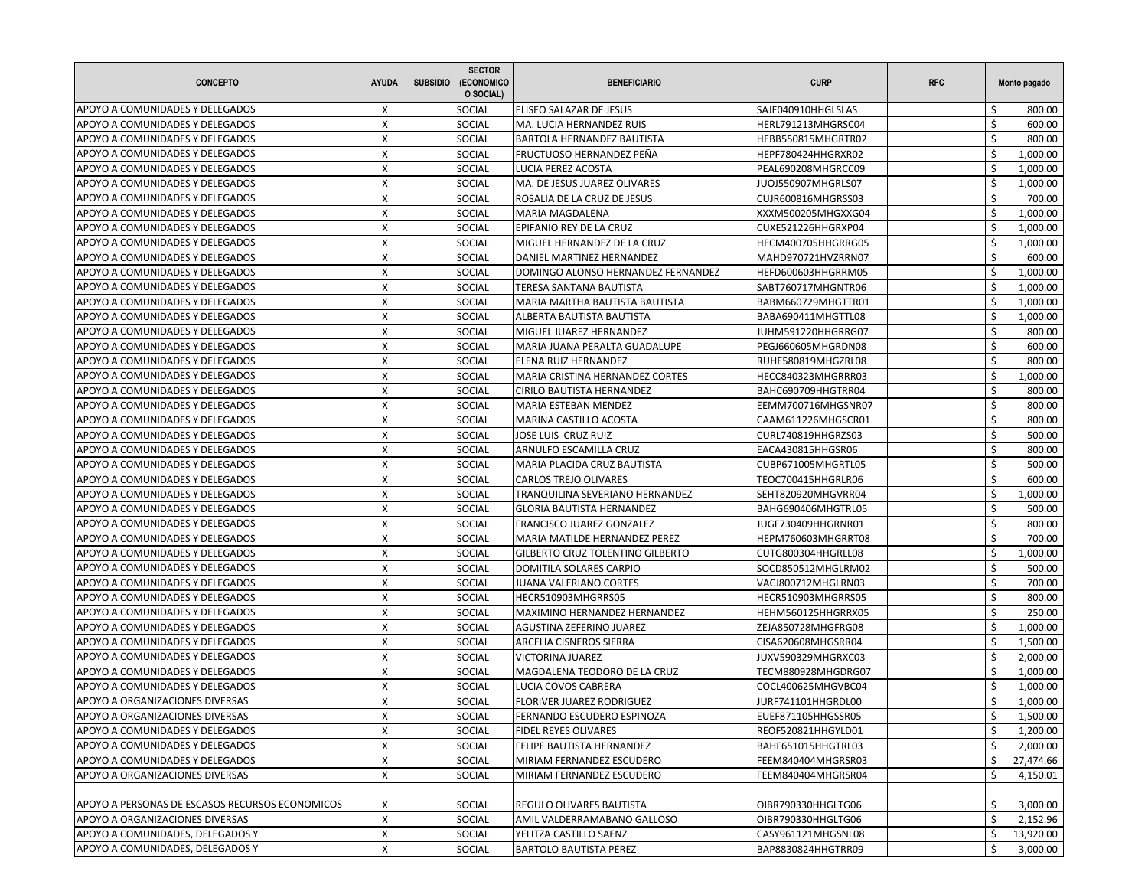| <b>CONCEPTO</b>                                                                    | <b>AYUDA</b> | <b>SUBSIDIO</b> | <b>SECTOR</b><br>(ECONOMICO<br>O SOCIAL) | <b>BENEFICIARIO</b>                                            | <b>CURP</b>                              | <b>RFC</b> |          | Monto pagado         |
|------------------------------------------------------------------------------------|--------------|-----------------|------------------------------------------|----------------------------------------------------------------|------------------------------------------|------------|----------|----------------------|
| APOYO A COMUNIDADES Y DELEGADOS                                                    | X            |                 | SOCIAL                                   | ELISEO SALAZAR DE JESUS                                        | SAJE040910HHGLSLAS                       |            |          | 800.00               |
| APOYO A COMUNIDADES Y DELEGADOS                                                    | $\mathsf{x}$ |                 | SOCIAL                                   | MA. LUCIA HERNANDEZ RUIS                                       | HERL791213MHGRSC04                       |            | Ś.       | 600.00               |
| APOYO A COMUNIDADES Y DELEGADOS                                                    | X            |                 | SOCIAL                                   | <b>BARTOLA HERNANDEZ BAUTISTA</b>                              | HEBB550815MHGRTR02                       |            | Ś.       | 800.00               |
| APOYO A COMUNIDADES Y DELEGADOS                                                    | X            |                 | SOCIAL                                   | FRUCTUOSO HERNANDEZ PEÑA                                       | HEPF780424HHGRXR02                       |            | Ś        | 1,000.00             |
| APOYO A COMUNIDADES Y DELEGADOS                                                    | X            |                 | SOCIAL                                   | LUCIA PEREZ ACOSTA                                             | PEAL690208MHGRCC09                       |            | Ŝ.       | 1,000.00             |
| APOYO A COMUNIDADES Y DELEGADOS                                                    | X            |                 | SOCIAL                                   | MA. DE JESUS JUAREZ OLIVARES                                   | JUOJ550907MHGRLS07                       |            | Ś        | 1,000.00             |
| APOYO A COMUNIDADES Y DELEGADOS                                                    | X            |                 | SOCIAL                                   | ROSALIA DE LA CRUZ DE JESUS                                    | CUJR600816MHGRSS03                       |            | Ś        | 700.00               |
| APOYO A COMUNIDADES Y DELEGADOS                                                    | X            |                 | SOCIAL                                   | <b>MARIA MAGDALENA</b>                                         | XXXM500205MHGXXG04                       |            | \$       | 1,000.00             |
| APOYO A COMUNIDADES Y DELEGADOS                                                    | X            |                 | SOCIAL                                   | EPIFANIO REY DE LA CRUZ                                        | CUXE521226HHGRXP04                       |            | Ś        | 1,000.00             |
| APOYO A COMUNIDADES Y DELEGADOS                                                    | X            |                 | SOCIAL                                   | MIGUEL HERNANDEZ DE LA CRUZ                                    | HECM400705HHGRRG05                       |            | Ś        | 1,000.00             |
| APOYO A COMUNIDADES Y DELEGADOS                                                    | X            |                 | SOCIAL                                   | DANIEL MARTINEZ HERNANDEZ                                      | MAHD970721HVZRRN07                       |            | \$       | 600.00               |
| APOYO A COMUNIDADES Y DELEGADOS                                                    | X            |                 | SOCIAL                                   | DOMINGO ALONSO HERNANDEZ FERNANDEZ                             | HEFD600603HHGRRM05                       |            | \$       | 1,000.00             |
| APOYO A COMUNIDADES Y DELEGADOS                                                    | X            |                 | SOCIAL                                   | TERESA SANTANA BAUTISTA                                        | SABT760717MHGNTR06                       |            | Ś        | 1,000.00             |
| APOYO A COMUNIDADES Y DELEGADOS                                                    | X            |                 | SOCIAL                                   | MARIA MARTHA BAUTISTA BAUTISTA                                 | BABM660729MHGTTR01                       |            | Ś        | 1,000.00             |
| APOYO A COMUNIDADES Y DELEGADOS                                                    | X            |                 | SOCIAL                                   | ALBERTA BAUTISTA BAUTISTA                                      | BABA690411MHGTTL08                       |            | \$       | 1,000.00             |
| APOYO A COMUNIDADES Y DELEGADOS                                                    | X            |                 | SOCIAL                                   | MIGUEL JUAREZ HERNANDEZ                                        | JUHM591220HHGRRG07                       |            | \$       | 800.00               |
| APOYO A COMUNIDADES Y DELEGADOS                                                    | X            |                 | SOCIAL                                   | MARIA JUANA PERALTA GUADALUPE                                  | PEGJ660605MHGRDN08                       |            | Ś        | 600.00               |
| APOYO A COMUNIDADES Y DELEGADOS                                                    | X            |                 | <b>SOCIAL</b>                            | <b>ELENA RUIZ HERNANDEZ</b>                                    | RUHE580819MHGZRL08                       |            | Ś        | 800.00               |
| APOYO A COMUNIDADES Y DELEGADOS                                                    | X            |                 | SOCIAL                                   | MARIA CRISTINA HERNANDEZ CORTES                                | HECC840323MHGRRR03                       |            | \$       | 1,000.00             |
| APOYO A COMUNIDADES Y DELEGADOS                                                    | X            |                 | SOCIAL                                   | CIRILO BAUTISTA HERNANDEZ                                      | BAHC690709HHGTRR04                       |            | Ś.       | 800.00               |
| APOYO A COMUNIDADES Y DELEGADOS                                                    | X            |                 | SOCIAL                                   | MARIA ESTEBAN MENDEZ                                           | EEMM700716MHGSNR07                       |            | \$       | 800.00               |
| APOYO A COMUNIDADES Y DELEGADOS                                                    | X            |                 | SOCIAL                                   | MARINA CASTILLO ACOSTA                                         | CAAM611226MHGSCR01                       |            | Ś.       | 800.00               |
| APOYO A COMUNIDADES Y DELEGADOS                                                    | X            |                 | <b>SOCIAL</b>                            | <b>JOSE LUIS CRUZ RUIZ</b>                                     | CURL740819HHGRZS03                       |            | Ś        | 500.00               |
| APOYO A COMUNIDADES Y DELEGADOS                                                    | X            |                 | SOCIAL                                   | ARNULFO ESCAMILLA CRUZ                                         | EACA430815HHGSR06                        |            | Ś        | 800.00               |
| APOYO A COMUNIDADES Y DELEGADOS                                                    |              |                 |                                          |                                                                |                                          |            | Ś        |                      |
|                                                                                    | X<br>X       |                 | SOCIAL                                   | MARIA PLACIDA CRUZ BAUTISTA                                    | CUBP671005MHGRTL05                       |            | Ś        | 500.00               |
| APOYO A COMUNIDADES Y DELEGADOS                                                    | X            |                 | SOCIAL                                   | <b>CARLOS TREJO OLIVARES</b>                                   | TEOC700415HHGRLR06                       |            | Ś        | 600.00               |
| APOYO A COMUNIDADES Y DELEGADOS                                                    |              |                 | SOCIAL                                   | TRANQUILINA SEVERIANO HERNANDEZ                                | SEHT820920MHGVRR04                       |            |          | 1,000.00             |
| APOYO A COMUNIDADES Y DELEGADOS                                                    | X            |                 | SOCIAL                                   | <b>GLORIA BAUTISTA HERNANDEZ</b>                               | BAHG690406MHGTRL05                       |            | Ś.       | 500.00               |
| APOYO A COMUNIDADES Y DELEGADOS                                                    | X            |                 | SOCIAL                                   | FRANCISCO JUAREZ GONZALEZ                                      | JUGF730409HHGRNR01                       |            | Ś        | 800.00               |
| APOYO A COMUNIDADES Y DELEGADOS                                                    | X            |                 | SOCIAL                                   | MARIA MATILDE HERNANDEZ PEREZ                                  | HEPM760603MHGRRT08                       |            | Ś        | 700.00               |
| APOYO A COMUNIDADES Y DELEGADOS                                                    | X            |                 | SOCIAL                                   | <b>GILBERTO CRUZ TOLENTINO GILBERTO</b>                        | CUTG800304HHGRLL08                       |            | \$       | 1,000.00             |
| APOYO A COMUNIDADES Y DELEGADOS                                                    | $\mathsf{X}$ |                 | SOCIAL                                   | DOMITILA SOLARES CARPIO                                        | SOCD850512MHGLRM02                       |            | Ś.       | 500.00               |
| APOYO A COMUNIDADES Y DELEGADOS                                                    | X            |                 | SOCIAL                                   | <b>JUANA VALERIANO CORTES</b>                                  | VACJ800712MHGLRN03                       |            | Ś.       | 700.00               |
| APOYO A COMUNIDADES Y DELEGADOS                                                    | X            |                 | SOCIAL                                   | HECR510903MHGRRS05                                             | HECR510903MHGRRS05                       |            | Ś        | 800.00               |
| APOYO A COMUNIDADES Y DELEGADOS                                                    | X            |                 | SOCIAL                                   | MAXIMINO HERNANDEZ HERNANDEZ                                   | HEHM560125HHGRRX05                       |            | Ś        | 250.00               |
| APOYO A COMUNIDADES Y DELEGADOS                                                    | X            |                 | SOCIAL                                   | AGUSTINA ZEFERINO JUAREZ                                       | ZEJA850728MHGFRG08                       |            | Ś        | 1,000.00             |
| APOYO A COMUNIDADES Y DELEGADOS                                                    | X            |                 | SOCIAL                                   | <b>ARCELIA CISNEROS SIERRA</b>                                 | CISA620608MHGSRR04                       |            | Ś        | 1,500.00             |
| APOYO A COMUNIDADES Y DELEGADOS                                                    | X            |                 | SOCIAL                                   | <b>VICTORINA JUAREZ</b>                                        | JUXV590329MHGRXC03                       |            | Ś        | 2,000.00             |
| APOYO A COMUNIDADES Y DELEGADOS                                                    | X            |                 | SOCIAL                                   | MAGDALENA TEODORO DE LA CRUZ                                   | TECM880928MHGDRG07                       |            | \$       | 1,000.00             |
| APOYO A COMUNIDADES Y DELEGADOS                                                    | X            |                 | SOCIAL                                   | LUCIA COVOS CABRERA                                            | COCL400625MHGVBC04                       |            | $\zeta$  | 1,000.00             |
| APOYO A ORGANIZACIONES DIVERSAS                                                    | X            |                 | SOCIAL                                   | FLORIVER JUAREZ RODRIGUEZ                                      | JURF741101HHGRDL00                       |            | \$       | 1,000.00             |
| APOYO A ORGANIZACIONES DIVERSAS                                                    | X            |                 | SOCIAL                                   | [FERNANDO ESCUDERO ESPINOZA                                    | EUEF871105HHGSSR05                       |            | Ş        | 1,500.00             |
| APOYO A COMUNIDADES Y DELEGADOS                                                    | X            |                 | SOCIAL                                   | <b>FIDEL REYES OLIVARES</b>                                    | REOF520821HHGYLD01                       |            | \$       | 1,200.00             |
| APOYO A COMUNIDADES Y DELEGADOS                                                    | X            |                 | SOCIAL                                   | FELIPE BAUTISTA HERNANDEZ                                      | BAHF651015HHGTRL03                       |            | \$       | 2,000.00             |
| APOYO A COMUNIDADES Y DELEGADOS                                                    | X            |                 | SOCIAL                                   | MIRIAM FERNANDEZ ESCUDERO                                      | FEEM840404MHGRSR03                       |            | \$       | 27,474.66            |
| APOYO A ORGANIZACIONES DIVERSAS                                                    | X            |                 | SOCIAL                                   | MIRIAM FERNANDEZ ESCUDERO                                      | FEEM840404MHGRSR04                       |            | Ś        | 4,150.01             |
|                                                                                    |              |                 |                                          |                                                                |                                          |            |          |                      |
| APOYO A PERSONAS DE ESCASOS RECURSOS ECONOMICOS<br>APOYO A ORGANIZACIONES DIVERSAS | X<br>X       |                 | <b>SOCIAL</b><br>SOCIAL                  | <b>REGULO OLIVARES BAUTISTA</b><br>AMIL VALDERRAMABANO GALLOSO | OIBR790330HHGLTG06<br>OIBR790330HHGLTG06 |            | \$<br>\$ | 3,000.00<br>2,152.96 |
| APOYO A COMUNIDADES, DELEGADOS Y                                                   | X            |                 | SOCIAL                                   | YELITZA CASTILLO SAENZ                                         | CASY961121MHGSNL08                       |            | Ŝ.       | 13,920.00            |
| APOYO A COMUNIDADES, DELEGADOS Y                                                   | X            |                 | SOCIAL                                   | <b>BARTOLO BAUTISTA PEREZ</b>                                  | BAP8830824HHGTRR09                       |            | \$       | 3,000.00             |
|                                                                                    |              |                 |                                          |                                                                |                                          |            |          |                      |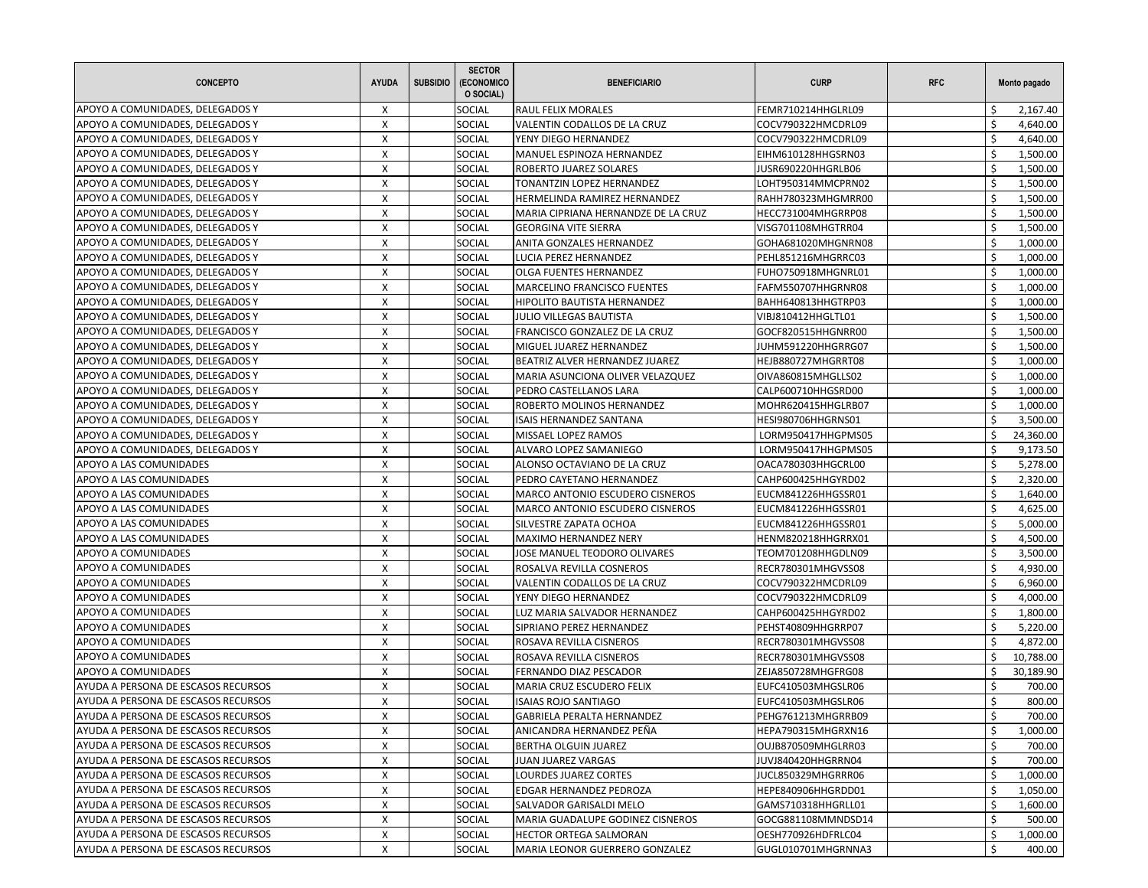| <b>CONCEPTO</b>                      | <b>AYUDA</b> | <b>SUBSIDIO</b> | <b>SECTOR</b><br>(ECONOMICO<br>O SOCIAL) | <b>BENEFICIARIO</b>                                   | <b>CURP</b>                              | <b>RFC</b> |    | Monto pagado |
|--------------------------------------|--------------|-----------------|------------------------------------------|-------------------------------------------------------|------------------------------------------|------------|----|--------------|
| APOYO A COMUNIDADES, DELEGADOS Y     | X            |                 | SOCIAL                                   | <b>RAUL FELIX MORALES</b>                             | FEMR710214HHGLRL09                       |            |    | 2,167.40     |
| APOYO A COMUNIDADES, DELEGADOS Y     | $\mathsf{x}$ |                 | SOCIAL                                   | VALENTIN CODALLOS DE LA CRUZ                          | COCV790322HMCDRL09                       |            | Ś. | 4,640.00     |
| APOYO A COMUNIDADES, DELEGADOS Y     | X            |                 | SOCIAL                                   | YENY DIEGO HERNANDEZ                                  | COCV790322HMCDRL09                       |            | Ś  | 4,640.00     |
| APOYO A COMUNIDADES, DELEGADOS Y     | X            |                 | SOCIAL                                   | MANUEL ESPINOZA HERNANDEZ                             | EIHM610128HHGSRN03                       |            | Ś  | 1,500.00     |
| APOYO A COMUNIDADES, DELEGADOS Y     | X            |                 | SOCIAL                                   | ROBERTO JUAREZ SOLARES                                | JUSR690220HHGRLB06                       |            | Ŝ. | 1,500.00     |
| APOYO A COMUNIDADES, DELEGADOS Y     | X            |                 | SOCIAL                                   | TONANTZIN LOPEZ HERNANDEZ                             | LOHT950314MMCPRN02                       |            | Ś  | 1,500.00     |
| APOYO A COMUNIDADES, DELEGADOS Y     | X            |                 | SOCIAL                                   | HERMELINDA RAMIREZ HERNANDEZ                          | RAHH780323MHGMRR00                       |            | Ś  | 1,500.00     |
| APOYO A COMUNIDADES, DELEGADOS Y     | X            |                 | SOCIAL                                   | MARIA CIPRIANA HERNANDZE DE LA CRUZ                   | HECC731004MHGRRP08                       |            | Ŝ. | 1,500.00     |
| APOYO A COMUNIDADES, DELEGADOS Y     | X            |                 | SOCIAL                                   | <b>GEORGINA VITE SIERRA</b>                           | VISG701108MHGTRR04                       |            | Ś  | 1,500.00     |
| APOYO A COMUNIDADES, DELEGADOS Y     | X            |                 | SOCIAL                                   | ANITA GONZALES HERNANDEZ                              | GOHA681020MHGNRN08                       |            | Ś  | 1,000.00     |
| APOYO A COMUNIDADES, DELEGADOS Y     | X            |                 | SOCIAL                                   | LUCIA PEREZ HERNANDEZ                                 | PEHL851216MHGRRC03                       |            | Ś  | 1,000.00     |
| APOYO A COMUNIDADES, DELEGADOS Y     | X            |                 | SOCIAL                                   | OLGA FUENTES HERNANDEZ                                | FUHO750918MHGNRL01                       |            | \$ | 1,000.00     |
| APOYO A COMUNIDADES, DELEGADOS Y     | X            |                 | SOCIAL                                   | <b>MARCELINO FRANCISCO FUENTES</b>                    | FAFM550707HHGRNR08                       |            | Ś  | 1,000.00     |
| APOYO A COMUNIDADES, DELEGADOS Y     | X            |                 | SOCIAL                                   | <b>HIPOLITO BAUTISTA HERNANDEZ</b>                    | BAHH640813HHGTRP03                       |            | Ś  | 1,000.00     |
| APOYO A COMUNIDADES, DELEGADOS Y     | X            |                 | SOCIAL                                   | <b>JULIO VILLEGAS BAUTISTA</b>                        | VIBJ810412HHGLTL01                       |            | \$ | 1,500.00     |
| APOYO A COMUNIDADES, DELEGADOS Y     | X            |                 | SOCIAL                                   | FRANCISCO GONZALEZ DE LA CRUZ                         | GOCF820515HHGNRR00                       |            | Ś  | 1,500.00     |
| APOYO A COMUNIDADES, DELEGADOS Y     | X            |                 | SOCIAL                                   | MIGUEL JUAREZ HERNANDEZ                               | JUHM591220HHGRRG07                       |            | Ś  | 1,500.00     |
| APOYO A COMUNIDADES, DELEGADOS Y     | X            |                 | <b>SOCIAL</b>                            | BEATRIZ ALVER HERNANDEZ JUAREZ                        | HEJB880727MHGRRT08                       |            | Ś  | 1,000.00     |
| APOYO A COMUNIDADES, DELEGADOS Y     | X            |                 | SOCIAL                                   | MARIA ASUNCIONA OLIVER VELAZQUEZ                      | OIVA860815MHGLLS02                       |            | \$ | 1,000.00     |
| APOYO A COMUNIDADES, DELEGADOS Y     | X            |                 | SOCIAL                                   |                                                       | CALP600710HHGSRD00                       |            | Ś  | 1,000.00     |
| APOYO A COMUNIDADES, DELEGADOS Y     | Χ            |                 | SOCIAL                                   | PEDRO CASTELLANOS LARA<br>ROBERTO MOLINOS HERNANDEZ   |                                          |            | Ś  |              |
|                                      | X            |                 | SOCIAL                                   |                                                       | MOHR620415HHGLRB07                       |            | Ś. | 1,000.00     |
| APOYO A COMUNIDADES, DELEGADOS Y     |              |                 |                                          | <b>ISAIS HERNANDEZ SANTANA</b><br>MISSAEL LOPEZ RAMOS | HESI980706HHGRNS01<br>LORM950417HHGPMS05 |            | Ś  | 3,500.00     |
| APOYO A COMUNIDADES, DELEGADOS Y     | X            |                 | <b>SOCIAL</b>                            |                                                       |                                          |            | Ś  | 24,360.00    |
| APOYO A COMUNIDADES, DELEGADOS Y     | X            |                 | SOCIAL                                   | ALVARO LOPEZ SAMANIEGO                                | LORM950417HHGPMS05                       |            |    | 9,173.50     |
| APOYO A LAS COMUNIDADES              | X            |                 | SOCIAL                                   | ALONSO OCTAVIANO DE LA CRUZ                           | OACA780303HHGCRL00                       |            | \$ | 5,278.00     |
| APOYO A LAS COMUNIDADES              | Χ            |                 | SOCIAL                                   | PEDRO CAYETANO HERNANDEZ                              | CAHP600425HHGYRD02                       |            | Ś  | 2,320.00     |
| APOYO A LAS COMUNIDADES              | X            |                 | SOCIAL                                   | MARCO ANTONIO ESCUDERO CISNEROS                       | EUCM841226HHGSSR01                       |            | Ś  | 1,640.00     |
| APOYO A LAS COMUNIDADES              | X            |                 | SOCIAL                                   | MARCO ANTONIO ESCUDERO CISNEROS                       | EUCM841226HHGSSR01                       |            | Ś  | 4,625.00     |
| APOYO A LAS COMUNIDADES              | X            |                 | SOCIAL                                   | SILVESTRE ZAPATA OCHOA                                | EUCM841226HHGSSR01                       |            | Ś  | 5,000.00     |
| APOYO A LAS COMUNIDADES              | X            |                 | SOCIAL                                   | <b>MAXIMO HERNANDEZ NERY</b>                          | HENM820218HHGRRX01                       |            | Ś  | 4,500.00     |
| APOYO A COMUNIDADES                  | X            |                 | SOCIAL                                   | JOSE MANUEL TEODORO OLIVARES                          | TEOM701208HHGDLN09                       |            | Ś  | 3,500.00     |
| APOYO A COMUNIDADES                  | $\mathsf{X}$ |                 | SOCIAL                                   | ROSALVA REVILLA COSNEROS                              | RECR780301MHGVSS08                       |            | \$ | 4,930.00     |
| APOYO A COMUNIDADES                  | X            |                 | SOCIAL                                   | VALENTIN CODALLOS DE LA CRUZ                          | COCV790322HMCDRL09                       |            | Ś  | 6,960.00     |
| APOYO A COMUNIDADES                  | X            |                 | SOCIAL                                   | YENY DIEGO HERNANDEZ                                  | COCV790322HMCDRL09                       |            | Ś  | 4,000.00     |
| APOYO A COMUNIDADES                  | X            |                 | SOCIAL                                   | LUZ MARIA SALVADOR HERNANDEZ                          | CAHP600425HHGYRD02                       |            | \$ | 1,800.00     |
| APOYO A COMUNIDADES                  | X            |                 | SOCIAL                                   | SIPRIANO PEREZ HERNANDEZ                              | PEHST40809HHGRRP07                       |            | Ś  | 5,220.00     |
| APOYO A COMUNIDADES                  | X            |                 | SOCIAL                                   | ROSAVA REVILLA CISNEROS                               | RECR780301MHGVSS08                       |            | Ś  | 4,872.00     |
| APOYO A COMUNIDADES                  | X            |                 | SOCIAL                                   | ROSAVA REVILLA CISNEROS                               | RECR780301MHGVSS08                       |            | Ś  | 10,788.00    |
| APOYO A COMUNIDADES                  | X            |                 | SOCIAL                                   | FERNANDO DIAZ PESCADOR                                | ZEJA850728MHGFRG08                       |            | \$ | 30,189.90    |
| AYUDA A PERSONA DE ESCASOS RECURSOS  | X            |                 | SOCIAL                                   | MARIA CRUZ ESCUDERO FELIX                             | EUFC410503MHGSLR06                       |            | Ś. | 700.00       |
| AYUDA A PERSONA DE ESCASOS RECURSOS  | X            |                 | SOCIAL                                   | <b>ISAIAS ROJO SANTIAGO</b>                           | EUFC410503MHGSLR06                       |            | \$ | 800.00       |
| JAYUDA A PERSONA DE ESCASOS RECURSOS | X            |                 | SOCIAL                                   | GABRIELA PERALTA HERNANDEZ                            | PEHG761213MHGRRB09                       |            | →  | 700.00       |
| AYUDA A PERSONA DE ESCASOS RECURSOS  | X            |                 | SOCIAL                                   | ANICANDRA HERNANDEZ PEÑA                              | HEPA790315MHGRXN16                       |            | \$ | 1,000.00     |
| AYUDA A PERSONA DE ESCASOS RECURSOS  | X            |                 | <b>SOCIAL</b>                            | BERTHA OLGUIN JUAREZ                                  | OUJB870509MHGLRR03                       |            | \$ | 700.00       |
| AYUDA A PERSONA DE ESCASOS RECURSOS  | X            |                 | SOCIAL                                   | JUAN JUAREZ VARGAS                                    | JUVJ840420HHGRRN04                       |            | \$ | 700.00       |
| AYUDA A PERSONA DE ESCASOS RECURSOS  | X            |                 | SOCIAL                                   | LOURDES JUAREZ CORTES                                 | JUCL850329MHGRRR06                       |            | \$ | 1,000.00     |
| AYUDA A PERSONA DE ESCASOS RECURSOS  | X            |                 | SOCIAL                                   | EDGAR HERNANDEZ PEDROZA                               | HEPE840906HHGRDD01                       |            | Ś  | 1,050.00     |
| AYUDA A PERSONA DE ESCASOS RECURSOS  | X            |                 | SOCIAL                                   | SALVADOR GARISALDI MELO                               | GAMS710318HHGRLL01                       |            | \$ | 1,600.00     |
| AYUDA A PERSONA DE ESCASOS RECURSOS  | X            |                 | SOCIAL                                   | MARIA GUADALUPE GODINEZ CISNEROS                      | GOCG881108MMNDSD14                       |            | \$ | 500.00       |
| AYUDA A PERSONA DE ESCASOS RECURSOS  | X            |                 | <b>SOCIAL</b>                            | <b>HECTOR ORTEGA SALMORAN</b>                         | OESH770926HDFRLC04                       |            | Ŝ. | 1,000.00     |
| AYUDA A PERSONA DE ESCASOS RECURSOS  | X            |                 | SOCIAL                                   | MARIA LEONOR GUERRERO GONZALEZ                        | GUGL010701MHGRNNA3                       |            | \$ | 400.00       |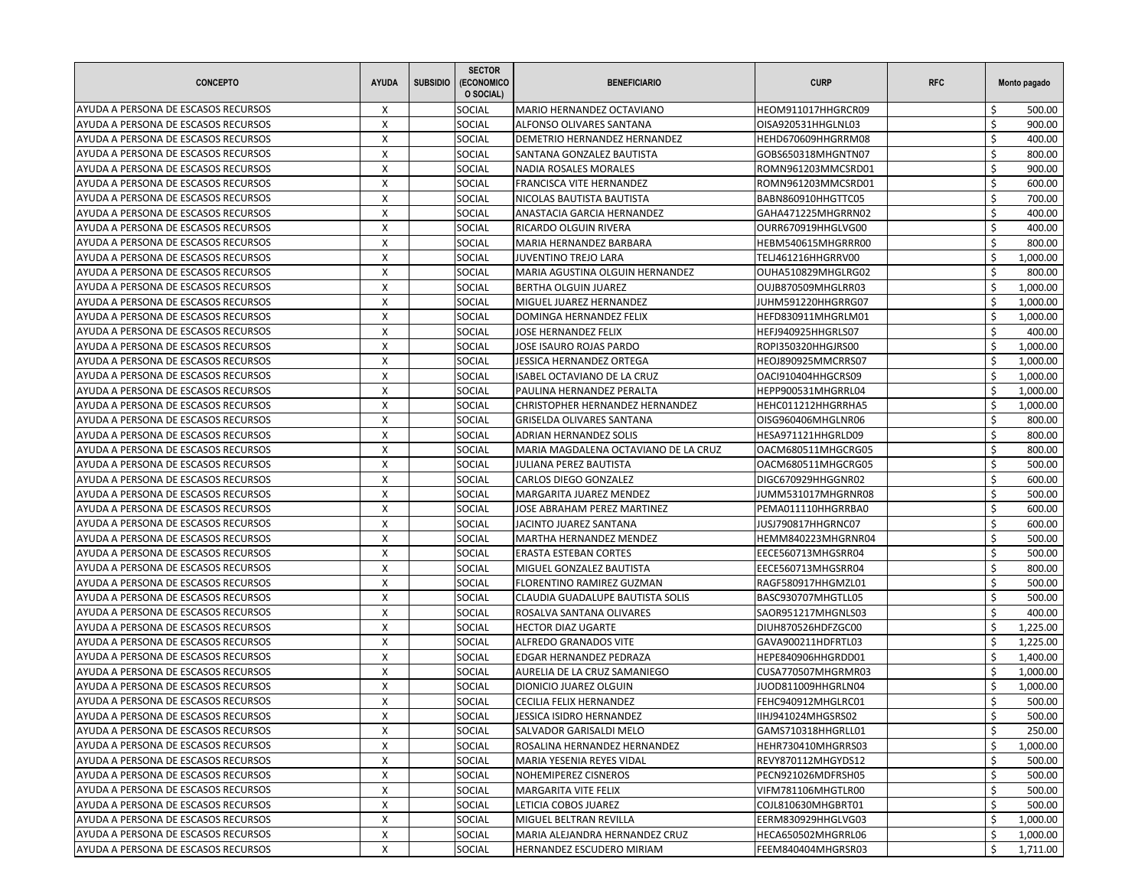| <b>CONCEPTO</b>                     | <b>AYUDA</b>              | <b>SUBSIDIO</b> | <b>SECTOR</b><br>(ECONOMICO<br>O SOCIAL) | <b>BENEFICIARIO</b>                  | <b>CURP</b>        | <b>RFC</b> |    | Monto pagado       |
|-------------------------------------|---------------------------|-----------------|------------------------------------------|--------------------------------------|--------------------|------------|----|--------------------|
| AYUDA A PERSONA DE ESCASOS RECURSOS | Х                         |                 | SOCIAL                                   | MARIO HERNANDEZ OCTAVIANO            | HEOM911017HHGRCR09 |            |    | 500.00             |
| AYUDA A PERSONA DE ESCASOS RECURSOS | X                         |                 | SOCIAL                                   | ALFONSO OLIVARES SANTANA             | OISA920531HHGLNL03 |            | Ś. | 900.00             |
| AYUDA A PERSONA DE ESCASOS RECURSOS | X                         |                 | SOCIAL                                   | DEMETRIO HERNANDEZ HERNANDEZ         | HEHD670609HHGRRM08 |            | Ś. | 400.00             |
| AYUDA A PERSONA DE ESCASOS RECURSOS | X                         |                 | SOCIAL                                   | SANTANA GONZALEZ BAUTISTA            | GOBS650318MHGNTN07 |            | Ś  | 800.00             |
| AYUDA A PERSONA DE ESCASOS RECURSOS | X                         |                 | SOCIAL                                   | NADIA ROSALES MORALES                | ROMN961203MMCSRD01 |            | Ś. | 900.00             |
| AYUDA A PERSONA DE ESCASOS RECURSOS | X                         |                 | SOCIAL                                   | FRANCISCA VITE HERNANDEZ             | ROMN961203MMCSRD01 |            | Ś  | 600.00             |
| AYUDA A PERSONA DE ESCASOS RECURSOS | $\boldsymbol{\mathsf{X}}$ |                 | SOCIAL                                   | NICOLAS BAUTISTA BAUTISTA            | BABN860910HHGTTC05 |            | Ś. | 700.00             |
| AYUDA A PERSONA DE ESCASOS RECURSOS | X                         |                 | SOCIAL                                   | ANASTACIA GARCIA HERNANDEZ           | GAHA471225MHGRRN02 |            | Ś. | 400.00             |
| AYUDA A PERSONA DE ESCASOS RECURSOS | X                         |                 | SOCIAL                                   | RICARDO OLGUIN RIVERA                | OURR670919HHGLVG00 |            | \$ | 400.00             |
| AYUDA A PERSONA DE ESCASOS RECURSOS | X                         |                 | SOCIAL                                   | MARIA HERNANDEZ BARBARA              | HEBM540615MHGRRR00 |            | Ś. | 800.00             |
| AYUDA A PERSONA DE ESCASOS RECURSOS | Χ                         |                 | SOCIAL                                   | JUVENTINO TREJO LARA                 | TELJ461216HHGRRV00 |            | \$ | 1,000.00           |
| AYUDA A PERSONA DE ESCASOS RECURSOS | X                         |                 | SOCIAL                                   | MARIA AGUSTINA OLGUIN HERNANDEZ      | OUHA510829MHGLRG02 |            | Ś. | 800.00             |
| AYUDA A PERSONA DE ESCASOS RECURSOS | X                         |                 | SOCIAL                                   | <b>BERTHA OLGUIN JUAREZ</b>          | OUJB870509MHGLRR03 |            | Ś. | 1,000.00           |
| AYUDA A PERSONA DE ESCASOS RECURSOS | X                         |                 | SOCIAL                                   | MIGUEL JUAREZ HERNANDEZ              | JUHM591220HHGRRG07 |            | Ś  | 1,000.00           |
| AYUDA A PERSONA DE ESCASOS RECURSOS | X                         |                 | SOCIAL                                   | DOMINGA HERNANDEZ FELIX              | HEFD830911MHGRLM01 |            | \$ | 1,000.00           |
| AYUDA A PERSONA DE ESCASOS RECURSOS | Χ                         |                 | SOCIAL                                   | JOSE HERNANDEZ FELIX                 | HEFJ940925HHGRLS07 |            | \$ | 400.00             |
| AYUDA A PERSONA DE ESCASOS RECURSOS | $\boldsymbol{\mathsf{X}}$ |                 | SOCIAL                                   | JOSE ISAURO ROJAS PARDO              | ROPI350320HHGJRS00 |            | Ś  | 1,000.00           |
| AYUDA A PERSONA DE ESCASOS RECURSOS | X                         |                 | SOCIAL                                   | JESSICA HERNANDEZ ORTEGA             | HEOJ890925MMCRRS07 |            | Ś. | 1,000.00           |
| AYUDA A PERSONA DE ESCASOS RECURSOS | X                         |                 | SOCIAL                                   | ISABEL OCTAVIANO DE LA CRUZ          | OACI910404HHGCRS09 |            | \$ | 1,000.00           |
| AYUDA A PERSONA DE ESCASOS RECURSOS | X                         |                 | SOCIAL                                   | PAULINA HERNANDEZ PERALTA            | HEPP900531MHGRRL04 |            | Ś  | 1,000.00           |
| AYUDA A PERSONA DE ESCASOS RECURSOS | Χ                         |                 | SOCIAL                                   | CHRISTOPHER HERNANDEZ HERNANDEZ      | HEHC011212HHGRRHA5 |            | \$ | 1,000.00           |
| AYUDA A PERSONA DE ESCASOS RECURSOS | X                         |                 | SOCIAL                                   | GRISELDA OLIVARES SANTANA            | OISG960406MHGLNR06 |            | Ś. | 800.00             |
| AYUDA A PERSONA DE ESCASOS RECURSOS | X                         |                 | SOCIAL                                   | ADRIAN HERNANDEZ SOLIS               | HESA971121HHGRLD09 |            | Ś. | 800.00             |
| AYUDA A PERSONA DE ESCASOS RECURSOS | X                         |                 | SOCIAL                                   | MARIA MAGDALENA OCTAVIANO DE LA CRUZ | OACM680511MHGCRG05 |            | Ś  | 800.00             |
| AYUDA A PERSONA DE ESCASOS RECURSOS | X                         |                 | <b>SOCIAL</b>                            | JULIANA PEREZ BAUTISTA               | OACM680511MHGCRG05 |            | Ś  | 500.00             |
| AYUDA A PERSONA DE ESCASOS RECURSOS | X                         |                 | SOCIAL                                   | CARLOS DIEGO GONZALEZ                | DIGC670929HHGGNR02 |            | \$ | 600.00             |
| AYUDA A PERSONA DE ESCASOS RECURSOS | X                         |                 | SOCIAL                                   | MARGARITA JUAREZ MENDEZ              | JUMM531017MHGRNR08 |            | Ś  | 500.00             |
| AYUDA A PERSONA DE ESCASOS RECURSOS | X                         |                 | SOCIAL                                   | JOSE ABRAHAM PEREZ MARTINEZ          | PEMA011110HHGRRBA0 |            | Ś. | 600.00             |
| AYUDA A PERSONA DE ESCASOS RECURSOS | X                         |                 | SOCIAL                                   | JACINTO JUAREZ SANTANA               | JUSJ790817HHGRNC07 |            | Ś  | 600.00             |
| AYUDA A PERSONA DE ESCASOS RECURSOS | X                         |                 | SOCIAL                                   | MARTHA HERNANDEZ MENDEZ              | HEMM840223MHGRNR04 |            | Ś. | 500.00             |
| AYUDA A PERSONA DE ESCASOS RECURSOS | X                         |                 | SOCIAL                                   | <b>ERASTA ESTEBAN CORTES</b>         | EECE560713MHGSRR04 |            | \$ | 500.00             |
| AYUDA A PERSONA DE ESCASOS RECURSOS | X                         |                 | SOCIAL                                   | MIGUEL GONZALEZ BAUTISTA             | EECE560713MHGSRR04 |            | Ś  | 800.00             |
| AYUDA A PERSONA DE ESCASOS RECURSOS | X                         |                 | SOCIAL                                   | FLORENTINO RAMIREZ GUZMAN            | RAGF580917HHGMZL01 |            | Ś  | 500.00             |
| AYUDA A PERSONA DE ESCASOS RECURSOS | X                         |                 | SOCIAL                                   | CLAUDIA GUADALUPE BAUTISTA SOLIS     | BASC930707MHGTLL05 |            | \$ | 500.00             |
| AYUDA A PERSONA DE ESCASOS RECURSOS | X                         |                 | <b>SOCIAL</b>                            | ROSALVA SANTANA OLIVARES             | SAOR951217MHGNLS03 |            | Ś  | 400.00             |
| AYUDA A PERSONA DE ESCASOS RECURSOS | X                         |                 | SOCIAL                                   | <b>HECTOR DIAZ UGARTE</b>            | DIUH870526HDFZGC00 |            | Ś  | 1,225.00           |
| AYUDA A PERSONA DE ESCASOS RECURSOS | X                         |                 | SOCIAL                                   | <b>ALFREDO GRANADOS VITE</b>         | GAVA900211HDFRTL03 |            | Ś  | 1,225.00           |
| AYUDA A PERSONA DE ESCASOS RECURSOS | X                         |                 | SOCIAL                                   | EDGAR HERNANDEZ PEDRAZA              | HEPE840906HHGRDD01 |            | Ś. | 1,400.00           |
| AYUDA A PERSONA DE ESCASOS RECURSOS | X                         |                 | SOCIAL                                   |                                      | CUSA770507MHGRMR03 |            | \$ |                    |
| AYUDA A PERSONA DE ESCASOS RECURSOS | X                         |                 | <b>SOCIAL</b>                            | AURELIA DE LA CRUZ SAMANIEGO         |                    |            | Ś  | 1,000.00           |
|                                     | X                         |                 | SOCIAL                                   | DIONICIO JUAREZ OLGUIN               | JUOD811009HHGRLN04 |            | \$ | 1,000.00<br>500.00 |
| AYUDA A PERSONA DE ESCASOS RECURSOS |                           |                 |                                          | CECILIA FELIX HERNANDEZ              | FEHC940912MHGLRC01 |            |    |                    |
| AYUDA A PERSONA DE ESCASOS RECURSOS | X                         |                 | SOCIAL                                   | JESSICA ISIDRO HERNANDEZ             | IIHJ941024MHGSRS02 |            | Ş  | 500.00             |
| AYUDA A PERSONA DE ESCASOS RECURSOS | X                         |                 | SOCIAL                                   | SALVADOR GARISALDI MELO              | GAMS710318HHGRLL01 |            | \$ | 250.00             |
| AYUDA A PERSONA DE ESCASOS RECURSOS | X                         |                 | <b>SOCIAL</b>                            | ROSALINA HERNANDEZ HERNANDEZ         | HEHR730410MHGRRS03 |            | \$ | 1,000.00           |
| AYUDA A PERSONA DE ESCASOS RECURSOS | X                         |                 | <b>SOCIAL</b>                            | MARIA YESENIA REYES VIDAL            | REVY870112MHGYDS12 |            | \$ | 500.00             |
| AYUDA A PERSONA DE ESCASOS RECURSOS | Χ                         |                 | SOCIAL                                   | NOHEMIPEREZ CISNEROS                 | PECN921026MDFRSH05 |            | \$ | 500.00             |
| AYUDA A PERSONA DE ESCASOS RECURSOS | X                         |                 | SOCIAL                                   | MARGARITA VITE FELIX                 | VIFM781106MHGTLR00 |            | \$ | 500.00             |
| AYUDA A PERSONA DE ESCASOS RECURSOS | X                         |                 | SOCIAL                                   | LETICIA COBOS JUAREZ                 | COJL810630MHGBRT01 |            | \$ | 500.00             |
| AYUDA A PERSONA DE ESCASOS RECURSOS | X                         |                 | <b>SOCIAL</b>                            | MIGUEL BELTRAN REVILLA               | EERM830929HHGLVG03 |            | \$ | 1,000.00           |
| AYUDA A PERSONA DE ESCASOS RECURSOS | X                         |                 | <b>SOCIAL</b>                            | MARIA ALEJANDRA HERNANDEZ CRUZ       | HECA650502MHGRRL06 |            | Ś. | 1,000.00           |
| AYUDA A PERSONA DE ESCASOS RECURSOS | X                         |                 | SOCIAL                                   | HERNANDEZ ESCUDERO MIRIAM            | FEEM840404MHGRSR03 |            | \$ | 1,711.00           |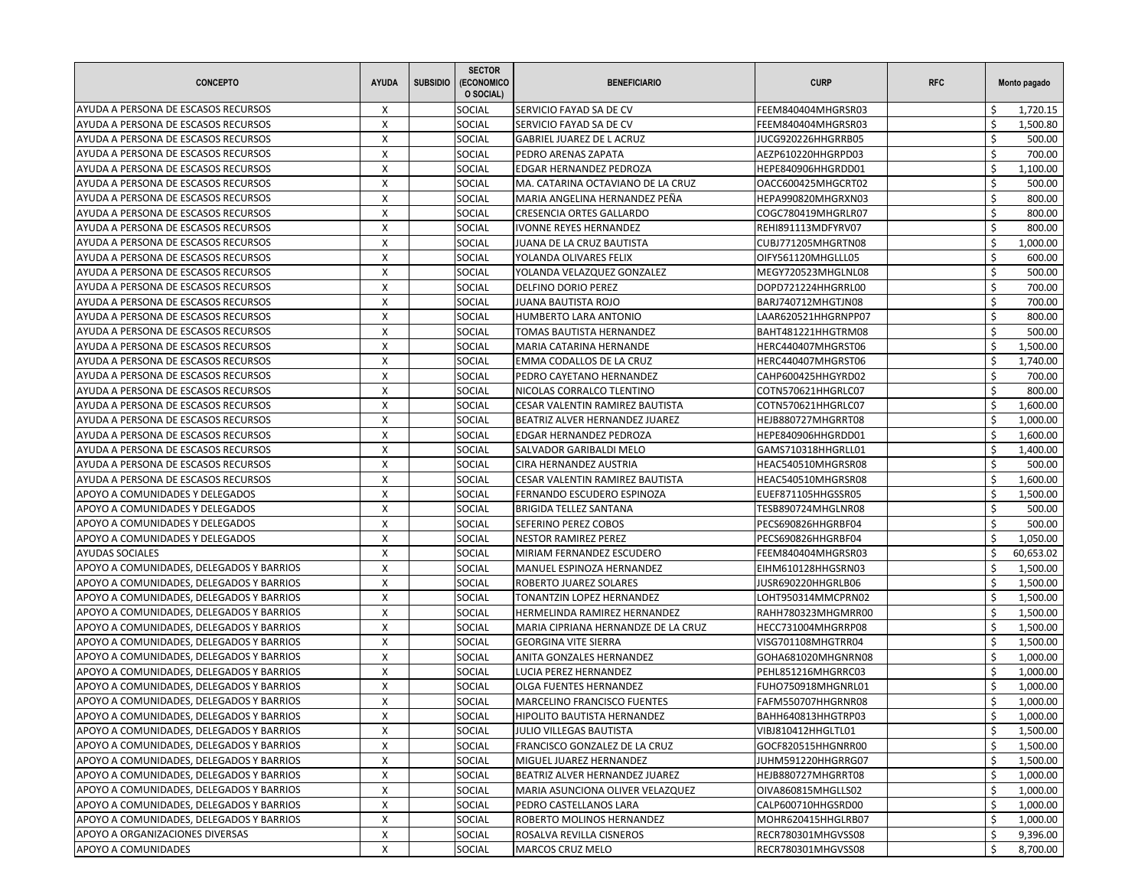| <b>CONCEPTO</b>                          | <b>AYUDA</b>              | <b>SUBSIDIO</b> | <b>SECTOR</b><br>(ECONOMICO<br>O SOCIAL) | <b>BENEFICIARIO</b>                                 | <b>CURP</b>                              | <b>RFC</b> |               | Monto pagado |
|------------------------------------------|---------------------------|-----------------|------------------------------------------|-----------------------------------------------------|------------------------------------------|------------|---------------|--------------|
| AYUDA A PERSONA DE ESCASOS RECURSOS      | Х                         |                 | SOCIAL                                   | SERVICIO FAYAD SA DE CV                             | FEEM840404MHGRSR03                       |            |               | 1,720.15     |
| AYUDA A PERSONA DE ESCASOS RECURSOS      | X                         |                 | SOCIAL                                   | SERVICIO FAYAD SA DE CV                             | FEEM840404MHGRSR03                       |            | Ś.            | 1,500.80     |
| AYUDA A PERSONA DE ESCASOS RECURSOS      | X                         |                 | SOCIAL                                   | GABRIEL JUAREZ DE L ACRUZ                           | JUCG920226HHGRRB05                       |            | Ś.            | 500.00       |
| AYUDA A PERSONA DE ESCASOS RECURSOS      | X                         |                 | SOCIAL                                   | PEDRO ARENAS ZAPATA                                 | AEZP610220HHGRPD03                       |            | Ś             | 700.00       |
| AYUDA A PERSONA DE ESCASOS RECURSOS      | X                         |                 | SOCIAL                                   | EDGAR HERNANDEZ PEDROZA                             | HEPE840906HHGRDD01                       |            | \$            | 1,100.00     |
| AYUDA A PERSONA DE ESCASOS RECURSOS      | X                         |                 | SOCIAL                                   | MA. CATARINA OCTAVIANO DE LA CRUZ                   | OACC600425MHGCRT02                       |            | Ś             | 500.00       |
| AYUDA A PERSONA DE ESCASOS RECURSOS      | $\boldsymbol{\mathsf{X}}$ |                 | SOCIAL                                   | MARIA ANGELINA HERNANDEZ PEÑA                       | HEPA990820MHGRXN03                       |            | Ś             | 800.00       |
| AYUDA A PERSONA DE ESCASOS RECURSOS      | X                         |                 | SOCIAL                                   | <b>CRESENCIA ORTES GALLARDO</b>                     | COGC780419MHGRLR07                       |            | Ś.            | 800.00       |
| AYUDA A PERSONA DE ESCASOS RECURSOS      | X                         |                 | SOCIAL                                   | <b>IVONNE REYES HERNANDEZ</b>                       | REHI891113MDFYRV07                       |            | \$            | 800.00       |
| AYUDA A PERSONA DE ESCASOS RECURSOS      | X                         |                 | SOCIAL                                   | JUANA DE LA CRUZ BAUTISTA                           | CUBJ771205MHGRTN08                       |            | Ś             | 1,000.00     |
| AYUDA A PERSONA DE ESCASOS RECURSOS      | Χ                         |                 | SOCIAL                                   | YOLANDA OLIVARES FELIX                              | OIFY561120MHGLLL05                       |            | \$            | 600.00       |
| AYUDA A PERSONA DE ESCASOS RECURSOS      | X                         |                 | SOCIAL                                   | YOLANDA VELAZQUEZ GONZALEZ                          | MEGY720523MHGLNL08                       |            | Ś.            | 500.00       |
| AYUDA A PERSONA DE ESCASOS RECURSOS      | X                         |                 | SOCIAL                                   | DELFINO DORIO PEREZ                                 | DOPD721224HHGRRL00                       |            | Ś.            | 700.00       |
| AYUDA A PERSONA DE ESCASOS RECURSOS      | X                         |                 | SOCIAL                                   | <b>JUANA BAUTISTA ROJO</b>                          | BARJ740712MHGTJN08                       |            | Ś             | 700.00       |
| AYUDA A PERSONA DE ESCASOS RECURSOS      | X                         |                 | SOCIAL                                   | HUMBERTO LARA ANTONIO                               | LAAR620521HHGRNPP07                      |            | Ś             | 800.00       |
| AYUDA A PERSONA DE ESCASOS RECURSOS      | Χ                         |                 | SOCIAL                                   | TOMAS BAUTISTA HERNANDEZ                            | BAHT481221HHGTRM08                       |            | Ś             | 500.00       |
| AYUDA A PERSONA DE ESCASOS RECURSOS      | $\boldsymbol{\mathsf{X}}$ |                 | SOCIAL                                   | MARIA CATARINA HERNANDE                             | HERC440407MHGRST06                       |            | Ś             | 1,500.00     |
| AYUDA A PERSONA DE ESCASOS RECURSOS      | X                         |                 | SOCIAL                                   | EMMA CODALLOS DE LA CRUZ                            | HERC440407MHGRST06                       |            | Ś.            | 1,740.00     |
| AYUDA A PERSONA DE ESCASOS RECURSOS      | X                         |                 | SOCIAL                                   | PEDRO CAYETANO HERNANDEZ                            | CAHP600425HHGYRD02                       |            | \$            | 700.00       |
| AYUDA A PERSONA DE ESCASOS RECURSOS      | X                         |                 | SOCIAL                                   | NICOLAS CORRALCO TLENTINO                           | COTN570621HHGRLC07                       |            | Ś             | 800.00       |
| AYUDA A PERSONA DE ESCASOS RECURSOS      | Χ                         |                 | SOCIAL                                   | CESAR VALENTIN RAMIREZ BAUTISTA                     | COTN570621HHGRLC07                       |            | Ś             | 1,600.00     |
| AYUDA A PERSONA DE ESCASOS RECURSOS      | X                         |                 | SOCIAL                                   | BEATRIZ ALVER HERNANDEZ JUAREZ                      | HEJB880727MHGRRT08                       |            | \$            | 1,000.00     |
| AYUDA A PERSONA DE ESCASOS RECURSOS      | X                         |                 | SOCIAL                                   | EDGAR HERNANDEZ PEDROZA                             | HEPE840906HHGRDD01                       |            | Ś             | 1,600.00     |
| AYUDA A PERSONA DE ESCASOS RECURSOS      | X                         |                 | SOCIAL                                   | SALVADOR GARIBALDI MELO                             | GAMS710318HHGRLL01                       |            | Ś             | 1,400.00     |
| AYUDA A PERSONA DE ESCASOS RECURSOS      | X                         |                 | <b>SOCIAL</b>                            | CIRA HERNANDEZ AUSTRIA                              | HEAC540510MHGRSR08                       |            | Ś             | 500.00       |
| AYUDA A PERSONA DE ESCASOS RECURSOS      | X                         |                 | SOCIAL                                   | CESAR VALENTIN RAMIREZ BAUTISTA                     | HEAC540510MHGRSR08                       |            | \$            | 1,600.00     |
| APOYO A COMUNIDADES Y DELEGADOS          | X                         |                 | SOCIAL                                   | FERNANDO ESCUDERO ESPINOZA                          | EUEF871105HHGSSR05                       |            | Ś             | 1,500.00     |
| APOYO A COMUNIDADES Y DELEGADOS          | X                         |                 | SOCIAL                                   | BRIGIDA TELLEZ SANTANA                              | TESB890724MHGLNR08                       |            | Ś.            | 500.00       |
| APOYO A COMUNIDADES Y DELEGADOS          | X                         |                 | SOCIAL                                   | SEFERINO PEREZ COBOS                                | PECS690826HHGRBF04                       |            | \$            | 500.00       |
| APOYO A COMUNIDADES Y DELEGADOS          | X                         |                 | SOCIAL                                   | <b>NESTOR RAMIREZ PEREZ</b>                         |                                          |            | Ś             | 1,050.00     |
| <b>AYUDAS SOCIALES</b>                   | X                         |                 | SOCIAL                                   |                                                     | PECS690826HHGRBF04                       |            | Ś             | 60,653.02    |
|                                          | X                         |                 | SOCIAL                                   | MIRIAM FERNANDEZ ESCUDERO                           | FEEM840404MHGRSR03                       |            | \$            | 1,500.00     |
| APOYO A COMUNIDADES, DELEGADOS Y BARRIOS | X                         |                 | SOCIAL                                   | MANUEL ESPINOZA HERNANDEZ<br>ROBERTO JUAREZ SOLARES | EIHM610128HHGSRN03<br>JUSR690220HHGRLB06 |            | Ś             | 1,500.00     |
| APOYO A COMUNIDADES, DELEGADOS Y BARRIOS | X                         |                 | SOCIAL                                   |                                                     |                                          |            | Ś             |              |
| APOYO A COMUNIDADES, DELEGADOS Y BARRIOS |                           |                 |                                          | TONANTZIN LOPEZ HERNANDEZ                           | LOHT950314MMCPRN02                       |            |               | 1,500.00     |
| APOYO A COMUNIDADES, DELEGADOS Y BARRIOS | X                         |                 | <b>SOCIAL</b>                            | HERMELINDA RAMIREZ HERNANDEZ                        | RAHH780323MHGMRR00                       |            | \$<br>Ś       | 1,500.00     |
| APOYO A COMUNIDADES, DELEGADOS Y BARRIOS | X                         |                 | SOCIAL                                   | MARIA CIPRIANA HERNANDZE DE LA CRUZ                 | HECC731004MHGRRP08                       |            | Ś             | 1,500.00     |
| APOYO A COMUNIDADES, DELEGADOS Y BARRIOS | X                         |                 | SOCIAL                                   | <b>GEORGINA VITE SIERRA</b>                         | VISG701108MHGTRR04                       |            | Ś             | 1,500.00     |
| APOYO A COMUNIDADES, DELEGADOS Y BARRIOS | X                         |                 | SOCIAL                                   | ANITA GONZALES HERNANDEZ                            | GOHA681020MHGNRN08                       |            |               | 1,000.00     |
| APOYO A COMUNIDADES, DELEGADOS Y BARRIOS | X                         |                 | SOCIAL                                   | LUCIA PEREZ HERNANDEZ                               | PEHL851216MHGRRC03                       |            | \$<br>$\zeta$ | 1,000.00     |
| APOYO A COMUNIDADES, DELEGADOS Y BARRIOS | X                         |                 | <b>SOCIAL</b>                            | OLGA FUENTES HERNANDEZ                              | FUHO750918MHGNRL01                       |            |               | 1,000.00     |
| APOYO A COMUNIDADES, DELEGADOS Y BARRIOS | X                         |                 | SOCIAL                                   | MARCELINO FRANCISCO FUENTES                         | FAFM550707HHGRNR08                       |            | \$            | 1,000.00     |
| APOYO A COMUNIDADES, DELEGADOS Y BARRIOS | X                         |                 | SOCIAL                                   | HIPOLITO BAUTISTA HERNANDEZ                         | BAHH640813HHGTRP03                       |            | Ş             | 1,000.00     |
| APOYO A COMUNIDADES, DELEGADOS Y BARRIOS | X                         |                 | SOCIAL                                   | JULIO VILLEGAS BAUTISTA                             | VIBJ810412HHGLTL01                       |            | \$            | 1,500.00     |
| APOYO A COMUNIDADES, DELEGADOS Y BARRIOS | X                         |                 | SOCIAL                                   | FRANCISCO GONZALEZ DE LA CRUZ                       | GOCF820515HHGNRR00                       |            | \$            | 1,500.00     |
| APOYO A COMUNIDADES, DELEGADOS Y BARRIOS | X                         |                 | SOCIAL                                   | MIGUEL JUAREZ HERNANDEZ                             | JUHM591220HHGRRG07                       |            | \$            | 1,500.00     |
| APOYO A COMUNIDADES, DELEGADOS Y BARRIOS | Χ                         |                 | <b>SOCIAL</b>                            | BEATRIZ ALVER HERNANDEZ JUAREZ                      | HEJB880727MHGRRT08                       |            | \$            | 1,000.00     |
| APOYO A COMUNIDADES, DELEGADOS Y BARRIOS | X                         |                 | SOCIAL                                   | MARIA ASUNCIONA OLIVER VELAZQUEZ                    | OIVA860815MHGLLS02                       |            | \$            | 1,000.00     |
| APOYO A COMUNIDADES, DELEGADOS Y BARRIOS | X                         |                 | SOCIAL                                   | PEDRO CASTELLANOS LARA                              | CALP600710HHGSRD00                       |            | \$            | 1,000.00     |
| APOYO A COMUNIDADES, DELEGADOS Y BARRIOS | X                         |                 | SOCIAL                                   | ROBERTO MOLINOS HERNANDEZ                           | MOHR620415HHGLRB07                       |            | \$            | 1,000.00     |
| APOYO A ORGANIZACIONES DIVERSAS          | X                         |                 | <b>SOCIAL</b>                            | ROSALVA REVILLA CISNEROS                            | RECR780301MHGVSS08                       |            | Ś.            | 9,396.00     |
| APOYO A COMUNIDADES                      | X                         |                 | SOCIAL                                   | MARCOS CRUZ MELO                                    | RECR780301MHGVSS08                       |            | \$            | 8,700.00     |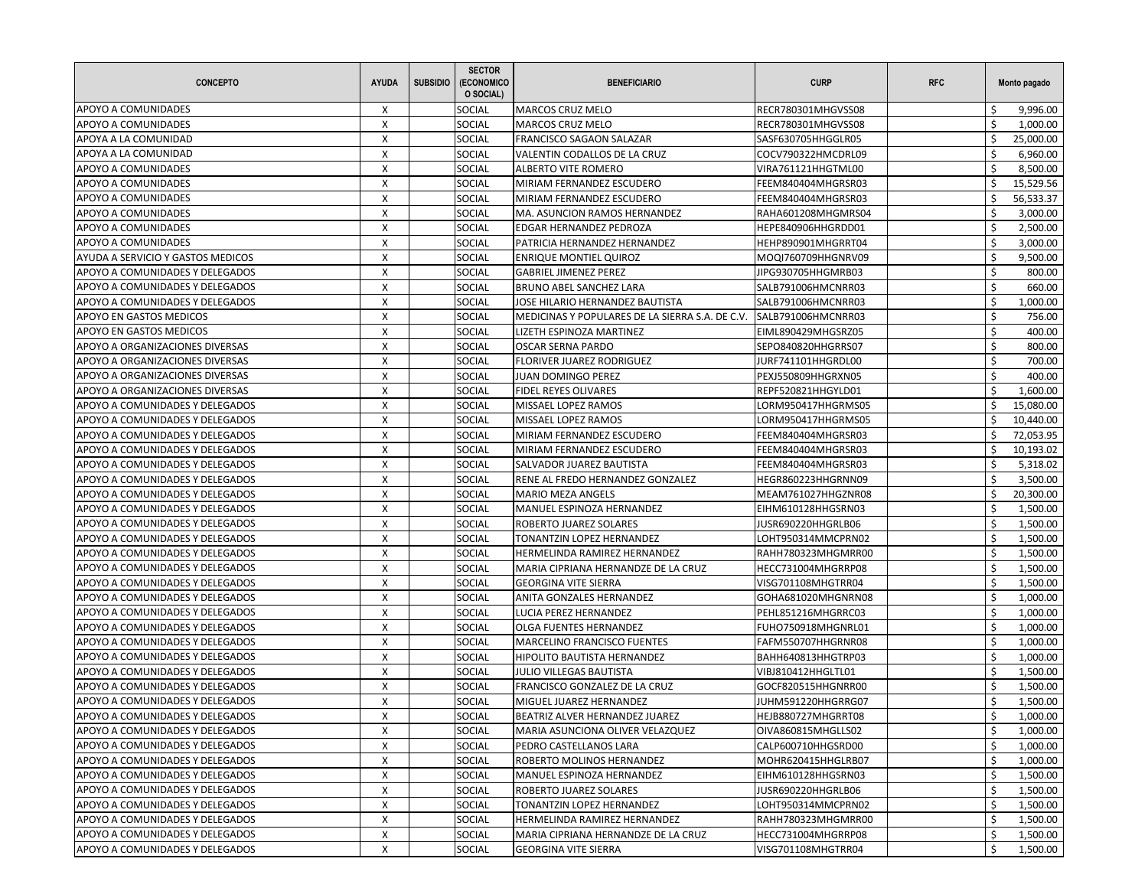| <b>CONCEPTO</b>                   | <b>AYUDA</b> | <b>SUBSIDIO</b> | <b>SECTOR</b><br>(ECONOMICO<br>O SOCIAL) | <b>BENEFICIARIO</b>                             | <b>CURP</b>        | <b>RFC</b> |         | Monto pagado |
|-----------------------------------|--------------|-----------------|------------------------------------------|-------------------------------------------------|--------------------|------------|---------|--------------|
| APOYO A COMUNIDADES               | X            |                 | SOCIAL                                   | <b>MARCOS CRUZ MELO</b>                         | RECR780301MHGVSS08 |            |         | 9,996.00     |
| APOYO A COMUNIDADES               | X            |                 | <b>SOCIAL</b>                            | MARCOS CRUZ MELO                                | RECR780301MHGVSS08 |            | \$      | 1,000.00     |
| APOYA A LA COMUNIDAD              | X            |                 | SOCIAL                                   | FRANCISCO SAGAON SALAZAR                        | SASF630705HHGGLR05 |            | Ś       | 25,000.00    |
| APOYA A LA COMUNIDAD              | X            |                 | SOCIAL                                   | VALENTIN CODALLOS DE LA CRUZ                    | COCV790322HMCDRL09 |            | Ś       | 6,960.00     |
| APOYO A COMUNIDADES               | X            |                 | SOCIAL                                   | ALBERTO VITE ROMERO                             | VIRA761121HHGTML00 |            | \$      | 8,500.00     |
| <b>APOYO A COMUNIDADES</b>        | X            |                 | SOCIAL                                   | MIRIAM FERNANDEZ ESCUDERO                       | FEEM840404MHGRSR03 |            | Ś       | 15,529.56    |
| APOYO A COMUNIDADES               | X            |                 | <b>SOCIAL</b>                            | MIRIAM FERNANDEZ ESCUDERO                       | FEEM840404MHGRSR03 |            | Ś       | 56,533.37    |
| APOYO A COMUNIDADES               | X            |                 | <b>SOCIAL</b>                            | MA. ASUNCION RAMOS HERNANDEZ                    | RAHA601208MHGMRS04 |            | Ś.      | 3,000.00     |
| APOYO A COMUNIDADES               | X            |                 | SOCIAL                                   | EDGAR HERNANDEZ PEDROZA                         | HEPE840906HHGRDD01 |            | Ś       | 2,500.00     |
| <b>APOYO A COMUNIDADES</b>        | X            |                 | SOCIAL                                   | PATRICIA HERNANDEZ HERNANDEZ                    | HEHP890901MHGRRT04 |            | Ś       | 3,000.00     |
| AYUDA A SERVICIO Y GASTOS MEDICOS | X            |                 | SOCIAL                                   | <b>ENRIQUE MONTIEL QUIROZ</b>                   | MOQI760709HHGNRV09 |            | Ś       | 9,500.00     |
| APOYO A COMUNIDADES Y DELEGADOS   | X            |                 | <b>SOCIAL</b>                            | <b>GABRIEL JIMENEZ PEREZ</b>                    | JIPG930705HHGMRB03 |            | Ŝ       | 800.00       |
| APOYO A COMUNIDADES Y DELEGADOS   | X            |                 | SOCIAL                                   | BRUNO ABEL SANCHEZ LARA                         | SALB791006HMCNRR03 |            | Ś       | 660.00       |
| APOYO A COMUNIDADES Y DELEGADOS   | X            |                 | SOCIAL                                   | JOSE HILARIO HERNANDEZ BAUTISTA                 | SALB791006HMCNRR03 |            | Ś       | 1,000.00     |
| APOYO EN GASTOS MEDICOS           | X            |                 | <b>SOCIAL</b>                            | MEDICINAS Y POPULARES DE LA SIERRA S.A. DE C.V. | SALB791006HMCNRR03 |            | Ś.      | 756.00       |
| APOYO EN GASTOS MEDICOS           | X            |                 | SOCIAL                                   | LIZETH ESPINOZA MARTINEZ                        | EIML890429MHGSRZ05 |            | $\zeta$ | 400.00       |
| APOYO A ORGANIZACIONES DIVERSAS   | X            |                 | SOCIAL                                   | OSCAR SERNA PARDO                               | SEPO840820HHGRRS07 |            | Ś.      | 800.00       |
| APOYO A ORGANIZACIONES DIVERSAS   | X            |                 | <b>SOCIAL</b>                            | FLORIVER JUAREZ RODRIGUEZ                       | JURF741101HHGRDL00 |            | Ś       | 700.00       |
| APOYO A ORGANIZACIONES DIVERSAS   | X            |                 | SOCIAL                                   | JUAN DOMINGO PEREZ                              | PEXJ550809HHGRXN05 |            | \$      | 400.00       |
| APOYO A ORGANIZACIONES DIVERSAS   | X            |                 | <b>SOCIAL</b>                            | FIDEL REYES OLIVARES                            | REPF520821HHGYLD01 |            | Ś.      | 1,600.00     |
| APOYO A COMUNIDADES Y DELEGADOS   | X            |                 | SOCIAL                                   | MISSAEL LOPEZ RAMOS                             | LORM950417HHGRMS05 |            | Ś       | 15,080.00    |
| APOYO A COMUNIDADES Y DELEGADOS   | X            |                 | SOCIAL                                   | MISSAEL LOPEZ RAMOS                             | LORM950417HHGRMS05 |            | \$      | 10,440.00    |
| APOYO A COMUNIDADES Y DELEGADOS   | X            |                 | SOCIAL                                   | MIRIAM FERNANDEZ ESCUDERO                       | FEEM840404MHGRSR03 |            | Ś       | 72,053.95    |
| APOYO A COMUNIDADES Y DELEGADOS   | X            |                 | SOCIAL                                   | MIRIAM FERNANDEZ ESCUDERO                       | FEEM840404MHGRSR03 |            | Ś       | 10,193.02    |
| APOYO A COMUNIDADES Y DELEGADOS   | X            |                 | <b>SOCIAL</b>                            | SALVADOR JUAREZ BAUTISTA                        | FEEM840404MHGRSR03 |            | \$      | 5,318.02     |
| APOYO A COMUNIDADES Y DELEGADOS   | X            |                 | SOCIAL                                   | RENE AL FREDO HERNANDEZ GONZALEZ                | HEGR860223HHGRNN09 |            | Ś       | 3,500.00     |
| APOYO A COMUNIDADES Y DELEGADOS   | X            |                 | SOCIAL                                   | MARIO MEZA ANGELS                               | MEAM761027HHGZNR08 |            | Ś       | 20,300.00    |
| APOYO A COMUNIDADES Y DELEGADOS   | X            |                 | <b>SOCIAL</b>                            | MANUEL ESPINOZA HERNANDEZ                       | EIHM610128HHGSRN03 |            | Ś       | 1,500.00     |
| APOYO A COMUNIDADES Y DELEGADOS   | X            |                 | SOCIAL                                   | ROBERTO JUAREZ SOLARES                          | JUSR690220HHGRLB06 |            | Ś       | 1,500.00     |
| APOYO A COMUNIDADES Y DELEGADOS   | X            |                 | <b>SOCIAL</b>                            | TONANTZIN LOPEZ HERNANDEZ                       | LOHT950314MMCPRN02 |            | Ś       | 1,500.00     |
| APOYO A COMUNIDADES Y DELEGADOS   | X            |                 | SOCIAL                                   | HERMELINDA RAMIREZ HERNANDEZ                    | RAHH780323MHGMRR00 |            | Ś       | 1,500.00     |
| APOYO A COMUNIDADES Y DELEGADOS   | X            |                 | SOCIAL                                   | MARIA CIPRIANA HERNANDZE DE LA CRUZ             | HECC731004MHGRRP08 |            | \$      | 1,500.00     |
| APOYO A COMUNIDADES Y DELEGADOS   | X            |                 | <b>SOCIAL</b>                            | <b>GEORGINA VITE SIERRA</b>                     | VISG701108MHGTRR04 |            | Ś       | 1,500.00     |
| APOYO A COMUNIDADES Y DELEGADOS   | X            |                 | SOCIAL                                   | ANITA GONZALES HERNANDEZ                        | GOHA681020MHGNRN08 |            | Ś       | 1,000.00     |
| APOYO A COMUNIDADES Y DELEGADOS   | X            |                 | <b>SOCIAL</b>                            | LUCIA PEREZ HERNANDEZ                           | PEHL851216MHGRRC03 |            | \$      | 1,000.00     |
| APOYO A COMUNIDADES Y DELEGADOS   | X            |                 | SOCIAL                                   | OLGA FUENTES HERNANDEZ                          | FUHO750918MHGNRL01 |            | Ś       | 1,000.00     |
| APOYO A COMUNIDADES Y DELEGADOS   | X            |                 | SOCIAL                                   | <b>MARCELINO FRANCISCO FUENTES</b>              | FAFM550707HHGRNR08 |            | Ś       | 1,000.00     |
| APOYO A COMUNIDADES Y DELEGADOS   | X            |                 | <b>SOCIAL</b>                            | HIPOLITO BAUTISTA HERNANDEZ                     | BAHH640813HHGTRP03 |            | Ś       | 1,000.00     |
| APOYO A COMUNIDADES Y DELEGADOS   | X            |                 | SOCIAL                                   | <b>JULIO VILLEGAS BAUTISTA</b>                  | VIBJ810412HHGLTL01 |            | \$      | 1,500.00     |
| APOYO A COMUNIDADES Y DELEGADOS   | X            |                 | SOCIAL                                   | FRANCISCO GONZALEZ DE LA CRUZ                   | GOCF820515HHGNRR00 |            | Ś       | 1,500.00     |
| APOYO A COMUNIDADES Y DELEGADOS   | X            |                 | SOCIAL                                   | MIGUEL JUAREZ HERNANDEZ                         | JUHM591220HHGRRG07 |            | Ś       | 1,500.00     |
| APOYO A COMUNIDADES Y DELEGADOS   | X            |                 | <b>SOCIAL</b>                            | BEATRIZ ALVER HERNANDEZ JUAREZ                  | HEJB880727MHGRRT08 |            | \$      | 1,000.00     |
| APOYO A COMUNIDADES Y DELEGADOS   | Х            |                 | <b>SOCIAL</b>                            | MARIA ASUNCIONA OLIVER VELAZQUEZ                | OIVA860815MHGLLS02 |            | \$      | 1,000.00     |
| APOYO A COMUNIDADES Y DELEGADOS   | X            |                 | SOCIAL                                   | PEDRO CASTELLANOS LARA                          | CALP600710HHGSRD00 |            | \$      | 1,000.00     |
| APOYO A COMUNIDADES Y DELEGADOS   | X            |                 | SOCIAL                                   | ROBERTO MOLINOS HERNANDEZ                       | MOHR620415HHGLRB07 |            | \$      | 1,000.00     |
| APOYO A COMUNIDADES Y DELEGADOS   | X            |                 | <b>SOCIAL</b>                            | MANUEL ESPINOZA HERNANDEZ                       | EIHM610128HHGSRN03 |            | \$      | 1,500.00     |
| APOYO A COMUNIDADES Y DELEGADOS   | X            |                 | SOCIAL                                   | ROBERTO JUAREZ SOLARES                          | JUSR690220HHGRLB06 |            | Ś       | 1,500.00     |
| APOYO A COMUNIDADES Y DELEGADOS   | X            |                 | <b>SOCIAL</b>                            | TONANTZIN LOPEZ HERNANDEZ                       | LOHT950314MMCPRN02 |            | \$      | 1,500.00     |
| APOYO A COMUNIDADES Y DELEGADOS   | X            |                 | SOCIAL                                   | HERMELINDA RAMIREZ HERNANDEZ                    | RAHH780323MHGMRR00 |            | \$      | 1,500.00     |
| APOYO A COMUNIDADES Y DELEGADOS   | X            |                 | <b>SOCIAL</b>                            | MARIA CIPRIANA HERNANDZE DE LA CRUZ             | HECC731004MHGRRP08 |            | \$      | 1,500.00     |
| APOYO A COMUNIDADES Y DELEGADOS   | X            |                 | SOCIAL                                   | <b>GEORGINA VITE SIERRA</b>                     | VISG701108MHGTRR04 |            | \$      | 1,500.00     |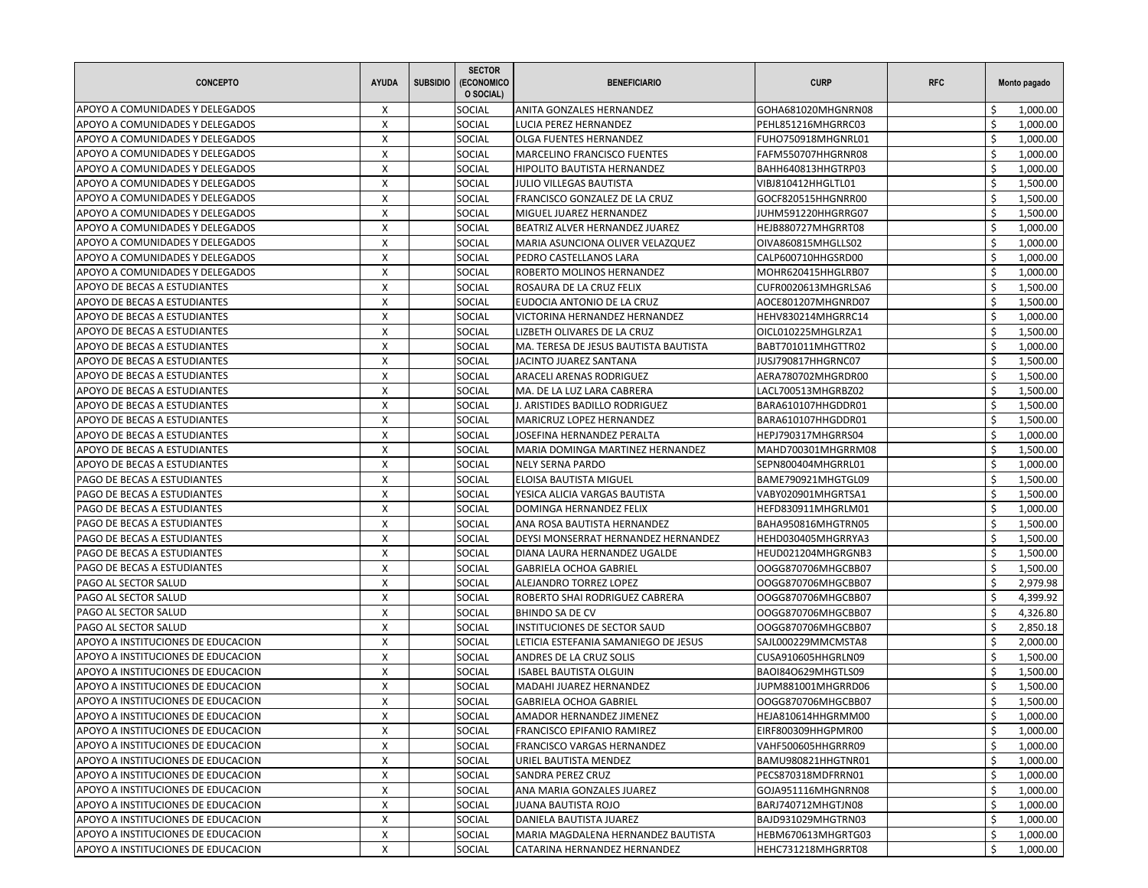| <b>CONCEPTO</b>                    | <b>AYUDA</b> | <b>SUBSIDIO</b> | <b>SECTOR</b><br>(ECONOMICO<br>O SOCIAL) | <b>BENEFICIARIO</b>                   | <b>CURP</b>         | <b>RFC</b> |        | Monto pagado |
|------------------------------------|--------------|-----------------|------------------------------------------|---------------------------------------|---------------------|------------|--------|--------------|
| APOYO A COMUNIDADES Y DELEGADOS    | X            |                 | SOCIAL                                   | ANITA GONZALES HERNANDEZ              | GOHA681020MHGNRN08  |            |        | 1,000.00     |
| APOYO A COMUNIDADES Y DELEGADOS    | $\mathsf{x}$ |                 | SOCIAL                                   | LUCIA PEREZ HERNANDEZ                 | PEHL851216MHGRRC03  |            | Ś.     | 1,000.00     |
| APOYO A COMUNIDADES Y DELEGADOS    | X            |                 | SOCIAL                                   | <b>OLGA FUENTES HERNANDEZ</b>         | FUHO750918MHGNRL01  |            | Ś      | 1,000.00     |
| APOYO A COMUNIDADES Y DELEGADOS    | X            |                 | SOCIAL                                   | <b>MARCELINO FRANCISCO FUENTES</b>    | FAFM550707HHGRNR08  |            | Ś      | 1,000.00     |
| APOYO A COMUNIDADES Y DELEGADOS    | X            |                 | SOCIAL                                   | HIPOLITO BAUTISTA HERNANDEZ           | BAHH640813HHGTRP03  |            | Ŝ.     | 1,000.00     |
| APOYO A COMUNIDADES Y DELEGADOS    | X            |                 | SOCIAL                                   | <b>JULIO VILLEGAS BAUTISTA</b>        | VIBJ810412HHGLTL01  |            | Ś      | 1,500.00     |
| APOYO A COMUNIDADES Y DELEGADOS    | X            |                 | SOCIAL                                   | FRANCISCO GONZALEZ DE LA CRUZ         | GOCF820515HHGNRR00  |            | Ś      | 1,500.00     |
| APOYO A COMUNIDADES Y DELEGADOS    | X            |                 | <b>SOCIAL</b>                            | MIGUEL JUAREZ HERNANDEZ               | JUHM591220HHGRRG07  |            | Ŝ.     | 1,500.00     |
| APOYO A COMUNIDADES Y DELEGADOS    | X            |                 | SOCIAL                                   | BEATRIZ ALVER HERNANDEZ JUAREZ        | HEJB880727MHGRRT08  |            | Ś      | 1,000.00     |
| APOYO A COMUNIDADES Y DELEGADOS    | X            |                 | SOCIAL                                   | MARIA ASUNCIONA OLIVER VELAZQUEZ      | OIVA860815MHGLLS02  |            | Ś      | 1,000.00     |
| APOYO A COMUNIDADES Y DELEGADOS    | X            |                 | SOCIAL                                   | PEDRO CASTELLANOS LARA                | CALP600710HHGSRD00  |            | Ś      | 1,000.00     |
| APOYO A COMUNIDADES Y DELEGADOS    | X            |                 | SOCIAL                                   | ROBERTO MOLINOS HERNANDEZ             | MOHR620415HHGLRB07  |            | \$     | 1,000.00     |
| APOYO DE BECAS A ESTUDIANTES       | X            |                 | SOCIAL                                   | ROSAURA DE LA CRUZ FELIX              | CUFR0020613MHGRLSA6 |            | Ś      | 1,500.00     |
| APOYO DE BECAS A ESTUDIANTES       | X            |                 | SOCIAL                                   | EUDOCIA ANTONIO DE LA CRUZ            | AOCE801207MHGNRD07  |            | Ś      | 1,500.00     |
| APOYO DE BECAS A ESTUDIANTES       | X            |                 | SOCIAL                                   | VICTORINA HERNANDEZ HERNANDEZ         | HEHV830214MHGRRC14  |            | \$     | 1,000.00     |
| APOYO DE BECAS A ESTUDIANTES       | X            |                 | SOCIAL                                   | LIZBETH OLIVARES DE LA CRUZ           | OICL010225MHGLRZA1  |            | Ś      | 1,500.00     |
| APOYO DE BECAS A ESTUDIANTES       | X            |                 | SOCIAL                                   | MA. TERESA DE JESUS BAUTISTA BAUTISTA | BABT701011MHGTTR02  |            | Ś      | 1,000.00     |
| APOYO DE BECAS A ESTUDIANTES       | X            |                 | <b>SOCIAL</b>                            | JACINTO JUAREZ SANTANA                | JUSJ790817HHGRNC07  |            | Ś      | 1,500.00     |
| APOYO DE BECAS A ESTUDIANTES       | X            |                 | SOCIAL                                   | ARACELI ARENAS RODRIGUEZ              | AERA780702MHGRDR00  |            | \$     | 1,500.00     |
| APOYO DE BECAS A ESTUDIANTES       | X            |                 | SOCIAL                                   | MA. DE LA LUZ LARA CABRERA            | LACL700513MHGRBZ02  |            | Ś      | 1,500.00     |
| APOYO DE BECAS A ESTUDIANTES       | X            |                 | SOCIAL                                   | J. ARISTIDES BADILLO RODRIGUEZ        | BARA610107HHGDDR01  |            | Ś      | 1,500.00     |
| APOYO DE BECAS A ESTUDIANTES       | X            |                 | SOCIAL                                   | MARICRUZ LOPEZ HERNANDEZ              | BARA610107HHGDDR01  |            | \$     | 1,500.00     |
| APOYO DE BECAS A ESTUDIANTES       | X            |                 | <b>SOCIAL</b>                            | JOSEFINA HERNANDEZ PERALTA            |                     |            | Ś      |              |
|                                    | X            |                 | SOCIAL                                   |                                       | HEPJ790317MHGRRS04  |            | Ś      | 1,000.00     |
| APOYO DE BECAS A ESTUDIANTES       |              |                 |                                          | MARIA DOMINGA MARTINEZ HERNANDEZ      | MAHD700301MHGRRM08  |            |        | 1,500.00     |
| APOYO DE BECAS A ESTUDIANTES       | X            |                 | SOCIAL                                   | NELY SERNA PARDO                      | SEPN800404MHGRRL01  |            | \$     | 1,000.00     |
| PAGO DE BECAS A ESTUDIANTES        | Χ            |                 | SOCIAL                                   | ELOISA BAUTISTA MIGUEL                | BAME790921MHGTGL09  |            | Ś<br>Ś | 1,500.00     |
| PAGO DE BECAS A ESTUDIANTES        | X            |                 | SOCIAL                                   | YESICA ALICIA VARGAS BAUTISTA         | VABY020901MHGRTSA1  |            |        | 1,500.00     |
| PAGO DE BECAS A ESTUDIANTES        | X            |                 | <b>SOCIAL</b>                            | DOMINGA HERNANDEZ FELIX               | HEFD830911MHGRLM01  |            | \$     | 1,000.00     |
| PAGO DE BECAS A ESTUDIANTES        | X            |                 | SOCIAL                                   | ANA ROSA BAUTISTA HERNANDEZ           | BAHA950816MHGTRN05  |            | Ś      | 1,500.00     |
| PAGO DE BECAS A ESTUDIANTES        | X            |                 | SOCIAL                                   | DEYSI MONSERRAT HERNANDEZ HERNANDEZ   | HEHD030405MHGRRYA3  |            | Ś      | 1,500.00     |
| PAGO DE BECAS A ESTUDIANTES        | X            |                 | SOCIAL                                   | DIANA LAURA HERNANDEZ UGALDE          | HEUD021204MHGRGNB3  |            | Ś      | 1,500.00     |
| PAGO DE BECAS A ESTUDIANTES        | $\mathsf{X}$ |                 | SOCIAL                                   | <b>GABRIELA OCHOA GABRIEL</b>         | OOGG870706MHGCBB07  |            | \$     | 1,500.00     |
| PAGO AL SECTOR SALUD               | X            |                 | SOCIAL                                   | ALEJANDRO TORREZ LOPEZ                | OOGG870706MHGCBB07  |            | Ś      | 2,979.98     |
| PAGO AL SECTOR SALUD               | X            |                 | SOCIAL                                   | ROBERTO SHAI RODRIGUEZ CABRERA        | OOGG870706MHGCBB07  |            | Ś      | 4,399.92     |
| PAGO AL SECTOR SALUD               | X            |                 | SOCIAL                                   | <b>BHINDO SA DE CV</b>                | OOGG870706MHGCBB07  |            | Ŝ.     | 4,326.80     |
| PAGO AL SECTOR SALUD               | X            |                 | SOCIAL                                   | INSTITUCIONES DE SECTOR SAUD          | OOGG870706MHGCBB07  |            | Ś      | 2,850.18     |
| APOYO A INSTITUCIONES DE EDUCACION | X            |                 | SOCIAL                                   | LETICIA ESTEFANIA SAMANIEGO DE JESUS  | SAJL000229MMCMSTA8  |            | Ś      | 2,000.00     |
| APOYO A INSTITUCIONES DE EDUCACION | X            |                 | SOCIAL                                   | ANDRES DE LA CRUZ SOLIS               | CUSA910605HHGRLN09  |            | Ś      | 1,500.00     |
| APOYO A INSTITUCIONES DE EDUCACION | X            |                 | SOCIAL                                   | <b>ISABEL BAUTISTA OLGUIN</b>         | BAOI84O629MHGTLS09  |            | \$     | 1,500.00     |
| APOYO A INSTITUCIONES DE EDUCACION | X            |                 | SOCIAL                                   | MADAHI JUAREZ HERNANDEZ               | JUPM881001MHGRRD06  |            | Ś      | 1,500.00     |
| APOYO A INSTITUCIONES DE EDUCACION | X            |                 | SOCIAL                                   | <b>GABRIELA OCHOA GABRIEL</b>         | OOGG870706MHGCBB07  |            | \$     | 1,500.00     |
| APOYO A INSTITUCIONES DE EDUCACION | X            |                 | SOCIAL                                   | AMADOR HERNANDEZ JIMENEZ              | HEJA810614HHGRMM00  |            | Ş      | 1,000.00     |
| APOYO A INSTITUCIONES DE EDUCACION | X            |                 | SOCIAL                                   | <b>FRANCISCO EPIFANIO RAMIREZ</b>     | EIRF800309HHGPMR00  |            | \$     | 1,000.00     |
| APOYO A INSTITUCIONES DE EDUCACION | X            |                 | SOCIAL                                   | FRANCISCO VARGAS HERNANDEZ            | VAHF500605HHGRRR09  |            | \$     | 1,000.00     |
| APOYO A INSTITUCIONES DE EDUCACION | X            |                 | SOCIAL                                   | URIEL BAUTISTA MENDEZ                 | BAMU980821HHGTNR01  |            | \$     | 1,000.00     |
| APOYO A INSTITUCIONES DE EDUCACION | X            |                 | SOCIAL                                   | SANDRA PEREZ CRUZ                     | PECS870318MDFRRN01  |            | \$     | 1,000.00     |
| APOYO A INSTITUCIONES DE EDUCACION | X            |                 | SOCIAL                                   | ANA MARIA GONZALES JUAREZ             | GOJA951116MHGNRN08  |            | \$     | 1,000.00     |
| APOYO A INSTITUCIONES DE EDUCACION | X            |                 | SOCIAL                                   | <b>JUANA BAUTISTA ROJO</b>            | BARJ740712MHGTJN08  |            | \$     | 1,000.00     |
| APOYO A INSTITUCIONES DE EDUCACION | X            |                 | SOCIAL                                   | DANIELA BAUTISTA JUAREZ               | BAJD931029MHGTRN03  |            | \$     | 1,000.00     |
| APOYO A INSTITUCIONES DE EDUCACION | X            |                 | SOCIAL                                   | MARIA MAGDALENA HERNANDEZ BAUTISTA    | HEBM670613MHGRTG03  |            | Ŝ.     | 1,000.00     |
| APOYO A INSTITUCIONES DE EDUCACION | X            |                 | SOCIAL                                   | CATARINA HERNANDEZ HERNANDEZ          | HEHC731218MHGRRT08  |            | \$     | 1,000.00     |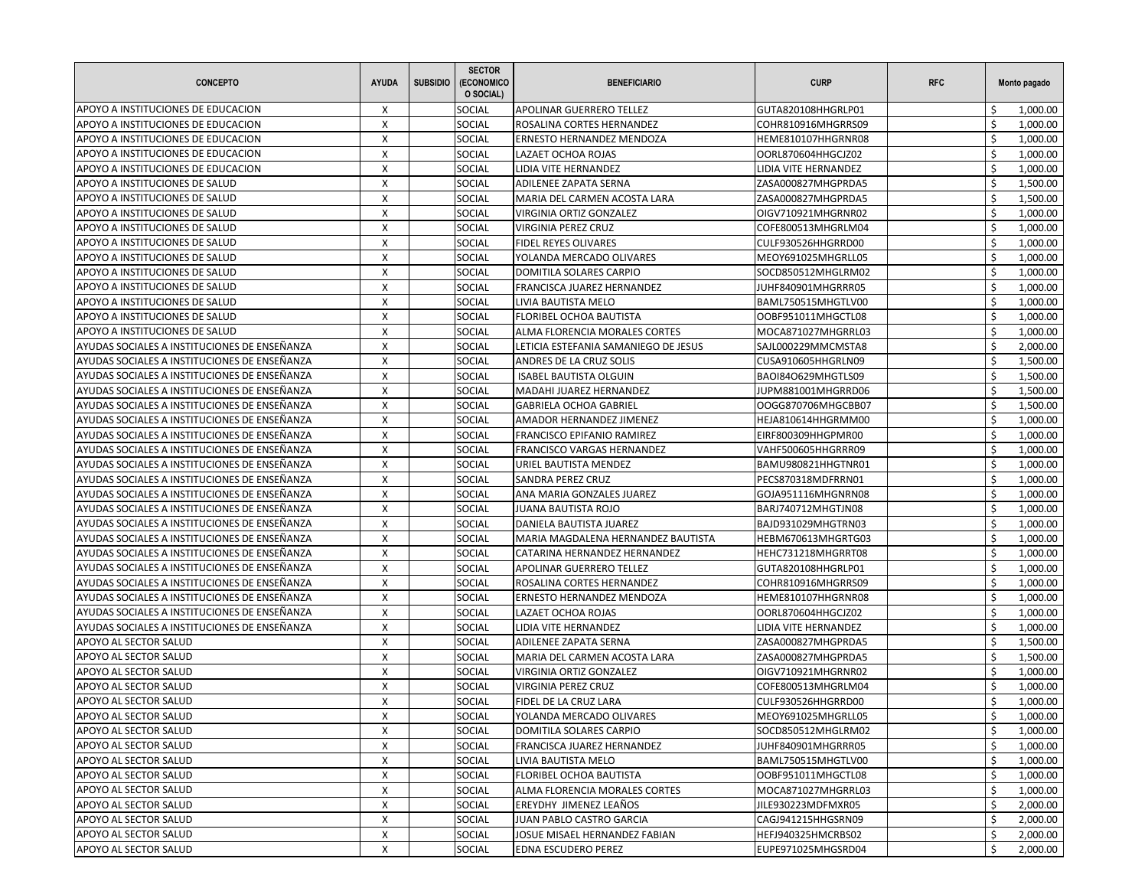| <b>CONCEPTO</b>                                 | <b>AYUDA</b> | <b>SUBSIDIO</b> | <b>SECTOR</b><br>(ECONOMICO<br>O SOCIAL) | <b>BENEFICIARIO</b>                                       | <b>CURP</b>                              | <b>RFC</b> |          | Monto pagado         |
|-------------------------------------------------|--------------|-----------------|------------------------------------------|-----------------------------------------------------------|------------------------------------------|------------|----------|----------------------|
| APOYO A INSTITUCIONES DE EDUCACION              | X            |                 | SOCIAL                                   | APOLINAR GUERRERO TELLEZ                                  | GUTA820108HHGRLP01                       |            |          | 1,000.00             |
| APOYO A INSTITUCIONES DE EDUCACION              | $\mathsf{x}$ |                 | SOCIAL                                   | ROSALINA CORTES HERNANDEZ                                 | COHR810916MHGRRS09                       |            | Ś.       | 1,000.00             |
| APOYO A INSTITUCIONES DE EDUCACION              | X            |                 | SOCIAL                                   | ERNESTO HERNANDEZ MENDOZA                                 | HEME810107HHGRNR08                       |            | Ś        | 1,000.00             |
| APOYO A INSTITUCIONES DE EDUCACION              | X            |                 | SOCIAL                                   | LAZAET OCHOA ROJAS                                        | OORL870604HHGCJZ02                       |            | Ś        | 1,000.00             |
| APOYO A INSTITUCIONES DE EDUCACION              | X            |                 | SOCIAL                                   | LIDIA VITE HERNANDEZ                                      | LIDIA VITE HERNANDEZ                     |            | Ŝ.       | 1,000.00             |
| APOYO A INSTITUCIONES DE SALUD                  | X            |                 | SOCIAL                                   | ADILENEE ZAPATA SERNA                                     | ZASA000827MHGPRDA5                       |            | Ś        | 1,500.00             |
| APOYO A INSTITUCIONES DE SALUD                  | X            |                 | SOCIAL                                   | MARIA DEL CARMEN ACOSTA LARA                              | ZASA000827MHGPRDA5                       |            | Ś        | 1,500.00             |
| APOYO A INSTITUCIONES DE SALUD                  | X            |                 | SOCIAL                                   | VIRGINIA ORTIZ GONZALEZ                                   | OIGV710921MHGRNR02                       |            | Ŝ.       | 1,000.00             |
| APOYO A INSTITUCIONES DE SALUD                  | X            |                 | SOCIAL                                   | VIRGINIA PEREZ CRUZ                                       | COFE800513MHGRLM04                       |            | Ś        | 1,000.00             |
| APOYO A INSTITUCIONES DE SALUD                  | X            |                 | SOCIAL                                   | FIDEL REYES OLIVARES                                      | CULF930526HHGRRD00                       |            | Ś        | 1,000.00             |
| APOYO A INSTITUCIONES DE SALUD                  | X            |                 | SOCIAL                                   | YOLANDA MERCADO OLIVARES                                  | MEOY691025MHGRLL05                       |            | Ś        | 1,000.00             |
| APOYO A INSTITUCIONES DE SALUD                  | $\mathsf{X}$ |                 | SOCIAL                                   | DOMITILA SOLARES CARPIO                                   | SOCD850512MHGLRM02                       |            | \$       | 1,000.00             |
| APOYO A INSTITUCIONES DE SALUD                  | X            |                 | SOCIAL                                   | FRANCISCA JUAREZ HERNANDEZ                                | JUHF840901MHGRRR05                       |            | Ś        | 1,000.00             |
| APOYO A INSTITUCIONES DE SALUD                  | X            |                 | SOCIAL                                   | LIVIA BAUTISTA MELO                                       | BAML750515MHGTLV00                       |            | Ś        | 1,000.00             |
| APOYO A INSTITUCIONES DE SALUD                  | X            |                 | SOCIAL                                   | FLORIBEL OCHOA BAUTISTA                                   | OOBF951011MHGCTL08                       |            | \$       | 1,000.00             |
| APOYO A INSTITUCIONES DE SALUD                  | X            |                 | SOCIAL                                   | ALMA FLORENCIA MORALES CORTES                             | MOCA871027MHGRRL03                       |            | Ś        | 1,000.00             |
| AYUDAS SOCIALES A INSTITUCIONES DE ENSEÑANZA    | X            |                 | SOCIAL                                   | LETICIA ESTEFANIA SAMANIEGO DE JESUS                      | SAJL000229MMCMSTA8                       |            | Ś        | 2,000.00             |
| AYUDAS SOCIALES A INSTITUCIONES DE ENSEÑANZA    | X            |                 | SOCIAL                                   | ANDRES DE LA CRUZ SOLIS                                   | CUSA910605HHGRLN09                       |            | Ś        | 1,500.00             |
| AYUDAS SOCIALES A INSTITUCIONES DE ENSEÑANZA    | X            |                 | SOCIAL                                   | <b>ISABEL BAUTISTA OLGUIN</b>                             | BAOI84O629MHGTLS09                       |            | \$       | 1,500.00             |
| AYUDAS SOCIALES A INSTITUCIONES DE ENSEÑANZA    | X            |                 | SOCIAL                                   | MADAHI JUAREZ HERNANDEZ                                   | JUPM881001MHGRRD06                       |            | Ś        | 1,500.00             |
| AYUDAS SOCIALES A INSTITUCIONES DE ENSEÑANZA    | X            |                 | SOCIAL                                   | <b>GABRIELA OCHOA GABRIEL</b>                             | OOGG870706MHGCBB07                       |            | Ś        | 1,500.00             |
| AYUDAS SOCIALES A INSTITUCIONES DE ENSEÑANZA    | X            |                 | SOCIAL                                   | AMADOR HERNANDEZ JIMENEZ                                  | HEJA810614HHGRMM00                       |            | \$       | 1,000.00             |
| AYUDAS SOCIALES A INSTITUCIONES DE ENSEÑANZA    | X            |                 | SOCIAL                                   | <b>FRANCISCO EPIFANIO RAMIREZ</b>                         | EIRF800309HHGPMR00                       |            | Ś        | 1,000.00             |
| AYUDAS SOCIALES A INSTITUCIONES DE ENSEÑANZA    | X            |                 | SOCIAL                                   | FRANCISCO VARGAS HERNANDEZ                                | VAHF500605HHGRRR09                       |            | Ś        | 1,000.00             |
| AYUDAS SOCIALES A INSTITUCIONES DE ENSEÑANZA    | X            |                 | SOCIAL                                   | URIEL BAUTISTA MENDEZ                                     | BAMU980821HHGTNR01                       |            | \$       | 1,000.00             |
| AYUDAS SOCIALES A INSTITUCIONES DE ENSEÑANZA    | X            |                 | SOCIAL                                   | SANDRA PEREZ CRUZ                                         | PECS870318MDFRRN01                       |            | Ś        | 1,000.00             |
| AYUDAS SOCIALES A INSTITUCIONES DE ENSEÑANZA    | $\mathsf{X}$ |                 | SOCIAL                                   | ANA MARIA GONZALES JUAREZ                                 | GOJA951116MHGNRN08                       |            | Ś        | 1,000.00             |
| AYUDAS SOCIALES A INSTITUCIONES DE ENSEÑANZA    | X            |                 | SOCIAL                                   | <b>JUANA BAUTISTA ROJO</b>                                | BARJ740712MHGTJN08                       |            | \$       | 1,000.00             |
| AYUDAS SOCIALES A INSTITUCIONES DE ENSEÑANZA    | X            |                 | SOCIAL                                   | DANIELA BAUTISTA JUAREZ                                   | BAJD931029MHGTRN03                       |            | Ś        | 1,000.00             |
| AYUDAS SOCIALES A INSTITUCIONES DE ENSEÑANZA    | X            |                 | SOCIAL                                   | MARIA MAGDALENA HERNANDEZ BAUTISTA                        | HEBM670613MHGRTG03                       |            | Ś        | 1,000.00             |
| AYUDAS SOCIALES A INSTITUCIONES DE ENSEÑANZA    | X            |                 | SOCIAL                                   | CATARINA HERNANDEZ HERNANDEZ                              | HEHC731218MHGRRT08                       |            | Ś        | 1,000.00             |
| AYUDAS SOCIALES A INSTITUCIONES DE ENSEÑANZA    | $\mathsf{X}$ |                 | SOCIAL                                   | APOLINAR GUERRERO TELLEZ                                  | GUTA820108HHGRLP01                       |            | \$       | 1,000.00             |
| AYUDAS SOCIALES A INSTITUCIONES DE ENSEÑANZA    | X            |                 | SOCIAL                                   | ROSALINA CORTES HERNANDEZ                                 | COHR810916MHGRRS09                       |            | Ś        | 1,000.00             |
| AYUDAS SOCIALES A INSTITUCIONES DE ENSEÑANZA    | X            |                 | SOCIAL                                   | ERNESTO HERNANDEZ MENDOZA                                 | HEME810107HHGRNR08                       |            | Ś        | 1,000.00             |
| AYUDAS SOCIALES A INSTITUCIONES DE ENSEÑANZA    | X            |                 | SOCIAL                                   | LAZAET OCHOA ROJAS                                        | OORL870604HHGCJZ02                       |            | \$       | 1,000.00             |
| AYUDAS SOCIALES A INSTITUCIONES DE ENSEÑANZA    | X            |                 | SOCIAL                                   | LIDIA VITE HERNANDEZ                                      | LIDIA VITE HERNANDEZ                     |            | Ś        | 1,000.00             |
| APOYO AL SECTOR SALUD                           | X            |                 | SOCIAL                                   | ADILENEE ZAPATA SERNA                                     | ZASA000827MHGPRDA5                       |            | Ś        | 1,500.00             |
| APOYO AL SECTOR SALUD                           | X            |                 | SOCIAL                                   | MARIA DEL CARMEN ACOSTA LARA                              | ZASA000827MHGPRDA5                       |            | Ś        | 1,500.00             |
| APOYO AL SECTOR SALUD                           | X            |                 | SOCIAL                                   |                                                           | OIGV710921MHGRNR02                       |            | \$       |                      |
| APOYO AL SECTOR SALUD                           | X            |                 | SOCIAL                                   | VIRGINIA ORTIZ GONZALEZ<br>VIRGINIA PEREZ CRUZ            | COFE800513MHGRLM04                       |            | $\zeta$  | 1,000.00<br>1,000.00 |
| APOYO AL SECTOR SALUD                           | X            |                 | SOCIAL                                   | FIDEL DE LA CRUZ LARA                                     | CULF930526HHGRRD00                       |            | \$       | 1,000.00             |
|                                                 |              |                 |                                          |                                                           |                                          |            |          |                      |
| JAPOYO AL SECTOR SALUD<br>APOYO AL SECTOR SALUD | X<br>X       |                 | SOCIAL<br>SOCIAL                         | YOLANDA MERCADO OLIVARES<br>DOMITILA SOLARES CARPIO       | MEOY691025MHGRLL05<br>SOCD850512MHGLRM02 |            | Ş<br>\$  | 1,000.00<br>1,000.00 |
|                                                 |              |                 |                                          | FRANCISCA JUAREZ HERNANDEZ                                |                                          |            | \$       |                      |
| APOYO AL SECTOR SALUD<br>APOYO AL SECTOR SALUD  | X            |                 | SOCIAL                                   | LIVIA BAUTISTA MELO                                       | JUHF840901MHGRRR05<br>BAML750515MHGTLV00 |            | \$       | 1,000.00             |
|                                                 | X<br>X       |                 | SOCIAL<br>SOCIAL                         |                                                           |                                          |            |          | 1,000.00             |
| APOYO AL SECTOR SALUD<br>APOYO AL SECTOR SALUD  | X            |                 | SOCIAL                                   | FLORIBEL OCHOA BAUTISTA<br>ALMA FLORENCIA MORALES CORTES  | OOBF951011MHGCTL08<br>MOCA871027MHGRRL03 |            | \$<br>\$ | 1,000.00<br>1,000.00 |
|                                                 | X            |                 | SOCIAL                                   | EREYDHY JIMENEZ LEAÑOS                                    |                                          |            | \$       |                      |
| APOYO AL SECTOR SALUD                           |              |                 |                                          |                                                           | JILE930223MDFMXR05                       |            |          | 2,000.00             |
| APOYO AL SECTOR SALUD<br>APOYO AL SECTOR SALUD  | X            |                 | SOCIAL                                   | JUAN PABLO CASTRO GARCIA<br>JOSUE MISAEL HERNANDEZ FABIAN | CAGJ941215HHGSRN09                       |            | Ŝ.<br>Ŝ. | 2,000.00             |
|                                                 | X<br>X       |                 | SOCIAL                                   | EDNA ESCUDERO PEREZ                                       | HEFJ940325HMCRBS02                       |            | \$       | 2,000.00             |
| APOYO AL SECTOR SALUD                           |              |                 | SOCIAL                                   |                                                           | EUPE971025MHGSRD04                       |            |          | 2,000.00             |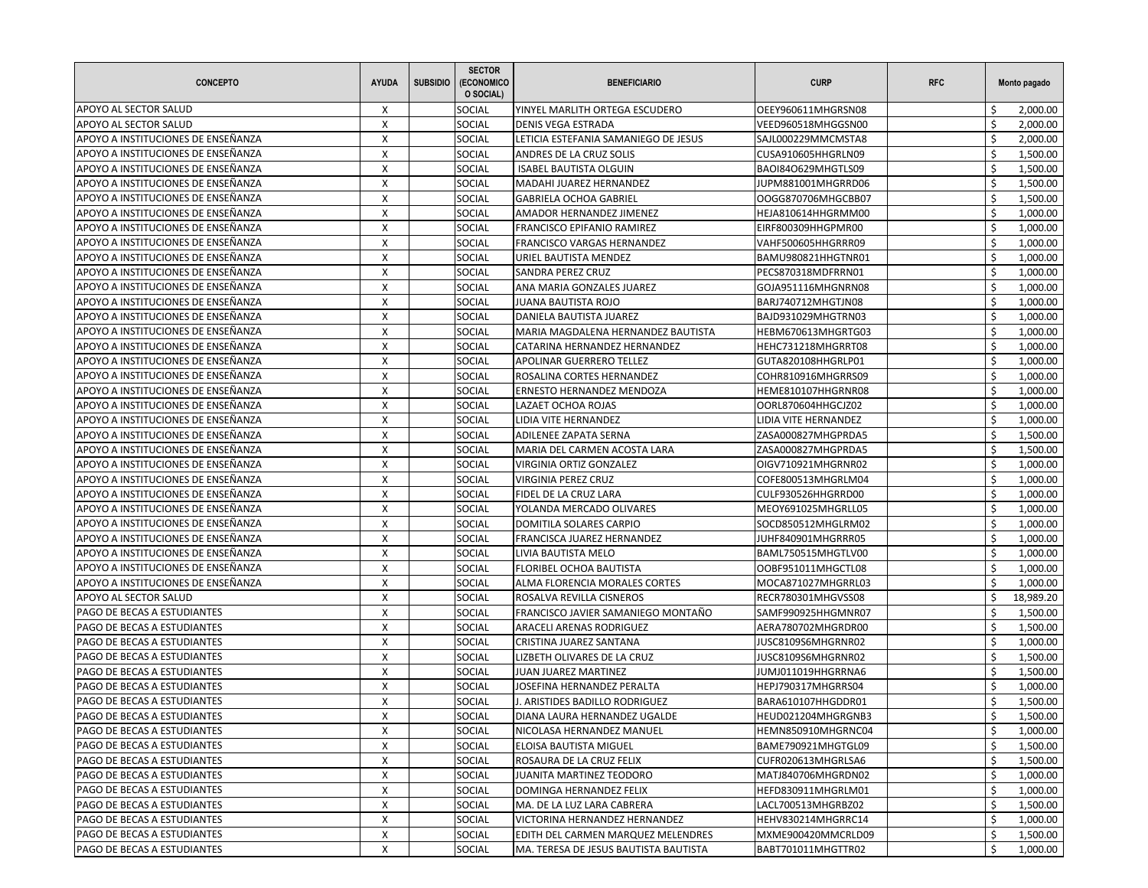| <b>CONCEPTO</b>                    | <b>AYUDA</b>       | <b>SUBSIDIO</b> | <b>SECTOR</b><br>(ECONOMICO<br>O SOCIAL) | <b>BENEFICIARIO</b>                   | <b>CURP</b>          | <b>RFC</b> |    | Monto pagado |
|------------------------------------|--------------------|-----------------|------------------------------------------|---------------------------------------|----------------------|------------|----|--------------|
| APOYO AL SECTOR SALUD              | X                  |                 | SOCIAL                                   | YINYEL MARLITH ORTEGA ESCUDERO        | OEEY960611MHGRSN08   |            | Ś  | 2,000.00     |
| APOYO AL SECTOR SALUD              | X                  |                 | SOCIAL                                   | <b>DENIS VEGA ESTRADA</b>             | VEED960518MHGGSN00   |            | \$ | 2,000.00     |
| APOYO A INSTITUCIONES DE ENSEÑANZA | X                  |                 | SOCIAL                                   | LETICIA ESTEFANIA SAMANIEGO DE JESUS  | SAJL000229MMCMSTA8   |            | Ś  | 2,000.00     |
| APOYO A INSTITUCIONES DE ENSEÑANZA | X                  |                 | SOCIAL                                   | ANDRES DE LA CRUZ SOLIS               | CUSA910605HHGRLN09   |            | Ś  | 1,500.00     |
| APOYO A INSTITUCIONES DE ENSEÑANZA | $\mathsf{x}$       |                 | SOCIAL                                   | <b>ISABEL BAUTISTA OLGUIN</b>         | BAOI84O629MHGTLS09   |            | \$ | 1,500.00     |
| APOYO A INSTITUCIONES DE ENSEÑANZA | X                  |                 | SOCIAL                                   | MADAHI JUAREZ HERNANDEZ               | JUPM881001MHGRRD06   |            | Ś  | 1,500.00     |
| APOYO A INSTITUCIONES DE ENSEÑANZA | X                  |                 | <b>SOCIAL</b>                            | <b>GABRIELA OCHOA GABRIEL</b>         | OOGG870706MHGCBB07   |            | Ś  | 1,500.00     |
| APOYO A INSTITUCIONES DE ENSEÑANZA | X                  |                 | SOCIAL                                   | AMADOR HERNANDEZ JIMENEZ              | HEJA810614HHGRMM00   |            | Ŝ. | 1,000.00     |
| APOYO A INSTITUCIONES DE ENSEÑANZA | X                  |                 | SOCIAL                                   | <b>FRANCISCO EPIFANIO RAMIREZ</b>     | EIRF800309HHGPMR00   |            | Ś  | 1,000.00     |
| APOYO A INSTITUCIONES DE ENSEÑANZA | X                  |                 | SOCIAL                                   | FRANCISCO VARGAS HERNANDEZ            | VAHF500605HHGRRR09   |            | Ś  | 1,000.00     |
| APOYO A INSTITUCIONES DE ENSEÑANZA | X                  |                 | SOCIAL                                   | URIEL BAUTISTA MENDEZ                 | BAMU980821HHGTNR01   |            | Ś  | 1,000.00     |
| APOYO A INSTITUCIONES DE ENSEÑANZA | X                  |                 | SOCIAL                                   | SANDRA PEREZ CRUZ                     | PECS870318MDFRRN01   |            | \$ | 1,000.00     |
| APOYO A INSTITUCIONES DE ENSEÑANZA | X                  |                 | <b>SOCIAL</b>                            | ANA MARIA GONZALES JUAREZ             | GOJA951116MHGNRN08   |            | Ś. | 1,000.00     |
| APOYO A INSTITUCIONES DE ENSEÑANZA | X                  |                 | SOCIAL                                   | <b>JUANA BAUTISTA ROJO</b>            | BARJ740712MHGTJN08   |            | Ś  | 1,000.00     |
| APOYO A INSTITUCIONES DE ENSEÑANZA | X                  |                 | SOCIAL                                   | DANIELA BAUTISTA JUAREZ               | BAJD931029MHGTRN03   |            | Ŝ. | 1,000.00     |
| APOYO A INSTITUCIONES DE ENSEÑANZA | X                  |                 | SOCIAL                                   | MARIA MAGDALENA HERNANDEZ BAUTISTA    | HEBM670613MHGRTG03   |            | Ś  | 1,000.00     |
| APOYO A INSTITUCIONES DE ENSEÑANZA | X                  |                 | SOCIAL                                   | CATARINA HERNANDEZ HERNANDEZ          | HEHC731218MHGRRT08   |            | Ś  | 1,000.00     |
| APOYO A INSTITUCIONES DE ENSEÑANZA | X                  |                 | SOCIAL                                   | APOLINAR GUERRERO TELLEZ              | GUTA820108HHGRLP01   |            | \$ | 1,000.00     |
| APOYO A INSTITUCIONES DE ENSEÑANZA | X                  |                 | SOCIAL                                   | ROSALINA CORTES HERNANDEZ             | COHR810916MHGRRS09   |            | \$ | 1,000.00     |
| APOYO A INSTITUCIONES DE ENSEÑANZA | X                  |                 | SOCIAL                                   | ERNESTO HERNANDEZ MENDOZA             | HEME810107HHGRNR08   |            | Ś. | 1,000.00     |
| APOYO A INSTITUCIONES DE ENSEÑANZA | X                  |                 | SOCIAL                                   | LAZAET OCHOA ROJAS                    | OORL870604HHGCJZ02   |            | Ś  | 1,000.00     |
| APOYO A INSTITUCIONES DE ENSEÑANZA | X                  |                 | SOCIAL                                   | LIDIA VITE HERNANDEZ                  | LIDIA VITE HERNANDEZ |            | \$ | 1,000.00     |
| APOYO A INSTITUCIONES DE ENSEÑANZA | X                  |                 | <b>SOCIAL</b>                            | ADILENEE ZAPATA SERNA                 | ZASA000827MHGPRDA5   |            | Ś  | 1,500.00     |
| APOYO A INSTITUCIONES DE ENSEÑANZA | X                  |                 | SOCIAL                                   | MARIA DEL CARMEN ACOSTA LARA          | ZASA000827MHGPRDA5   |            | Ś  | 1,500.00     |
| APOYO A INSTITUCIONES DE ENSEÑANZA | X                  |                 | SOCIAL                                   | VIRGINIA ORTIZ GONZALEZ               | OIGV710921MHGRNR02   |            | Ŝ. | 1,000.00     |
| APOYO A INSTITUCIONES DE ENSEÑANZA | X                  |                 | SOCIAL                                   | <b>VIRGINIA PEREZ CRUZ</b>            | COFE800513MHGRLM04   |            | Ś  | 1,000.00     |
| APOYO A INSTITUCIONES DE ENSEÑANZA | X                  |                 | <b>SOCIAL</b>                            | FIDEL DE LA CRUZ LARA                 | CULF930526HHGRRD00   |            | Ś  | 1,000.00     |
| APOYO A INSTITUCIONES DE ENSEÑANZA | X                  |                 | SOCIAL                                   | YOLANDA MERCADO OLIVARES              | MEOY691025MHGRLL05   |            | \$ | 1,000.00     |
| APOYO A INSTITUCIONES DE ENSEÑANZA | X                  |                 | SOCIAL                                   | DOMITILA SOLARES CARPIO               | SOCD850512MHGLRM02   |            | Ś  | 1,000.00     |
| APOYO A INSTITUCIONES DE ENSEÑANZA | X                  |                 | SOCIAL                                   | FRANCISCA JUAREZ HERNANDEZ            | JUHF840901MHGRRR05   |            | Ś  | 1,000.00     |
| APOYO A INSTITUCIONES DE ENSEÑANZA | X                  |                 | SOCIAL                                   | LIVIA BAUTISTA MELO                   | BAML750515MHGTLV00   |            | Ś  | 1,000.00     |
| APOYO A INSTITUCIONES DE ENSEÑANZA | X                  |                 | SOCIAL                                   | FLORIBEL OCHOA BAUTISTA               | OOBF951011MHGCTL08   |            | \$ | 1,000.00     |
| APOYO A INSTITUCIONES DE ENSEÑANZA | X                  |                 | <b>SOCIAL</b>                            | ALMA FLORENCIA MORALES CORTES         | MOCA871027MHGRRL03   |            | Ś  | 1,000.00     |
| APOYO AL SECTOR SALUD              | X                  |                 | SOCIAL                                   | ROSALVA REVILLA CISNEROS              | RECR780301MHGVSS08   |            | Ś  | 18,989.20    |
| PAGO DE BECAS A ESTUDIANTES        | X                  |                 | SOCIAL                                   | FRANCISCO JAVIER SAMANIEGO MONTAÑO    | SAMF990925HHGMNR07   |            | \$ | 1,500.00     |
| PAGO DE BECAS A ESTUDIANTES        | X                  |                 | SOCIAL                                   | ARACELI ARENAS RODRIGUEZ              | AERA780702MHGRDR00   |            | Ś  | 1,500.00     |
| PAGO DE BECAS A ESTUDIANTES        | X                  |                 | SOCIAL                                   | CRISTINA JUAREZ SANTANA               | JUSC8109S6MHGRNR02   |            | Ś  | 1,000.00     |
| PAGO DE BECAS A ESTUDIANTES        | X                  |                 | SOCIAL                                   | LIZBETH OLIVARES DE LA CRUZ           | JUSC8109S6MHGRNR02   |            | Ś  | 1,500.00     |
| PAGO DE BECAS A ESTUDIANTES        | X                  |                 | SOCIAL                                   | JUAN JUAREZ MARTINEZ                  | JUMJ011019HHGRRNA6   |            | \$ | 1,500.00     |
| PAGO DE BECAS A ESTUDIANTES        | X                  |                 | SOCIAL                                   | JOSEFINA HERNANDEZ PERALTA            | HEPJ790317MHGRRS04   |            | Ś  | 1,000.00     |
| PAGO DE BECAS A ESTUDIANTES        | X                  |                 | SOCIAL                                   | J. ARISTIDES BADILLO RODRIGUEZ        | BARA610107HHGDDR01   |            | \$ | 1,500.00     |
| PAGO DE BECAS A ESTUDIANTES        | $\pmb{\mathsf{X}}$ |                 | SOCIAL                                   | DIANA LAURA HERNANDEZ UGALDE          | HEUD021204MHGRGNB3   |            | \$ | 1,500.00     |
| PAGO DE BECAS A ESTUDIANTES        | X                  |                 | <b>SOCIAL</b>                            | NICOLASA HERNANDEZ MANUEL             | HEMN850910MHGRNC04   |            | \$ | 1,000.00     |
| PAGO DE BECAS A ESTUDIANTES        | X                  |                 | <b>SOCIAL</b>                            | ELOISA BAUTISTA MIGUEL                | BAME790921MHGTGL09   |            | \$ | 1,500.00     |
| PAGO DE BECAS A ESTUDIANTES        | X                  |                 | <b>SOCIAL</b>                            | ROSAURA DE LA CRUZ FELIX              | CUFR020613MHGRLSA6   |            | \$ | 1,500.00     |
| PAGO DE BECAS A ESTUDIANTES        | X                  |                 | SOCIAL                                   | JUANITA MARTINEZ TEODORO              | MATJ840706MHGRDN02   |            | \$ | 1,000.00     |
| PAGO DE BECAS A ESTUDIANTES        | X                  |                 | SOCIAL                                   | DOMINGA HERNANDEZ FELIX               | HEFD830911MHGRLM01   |            | \$ | 1,000.00     |
| PAGO DE BECAS A ESTUDIANTES        | X                  |                 | <b>SOCIAL</b>                            | MA. DE LA LUZ LARA CABRERA            | LACL700513MHGRBZ02   |            | \$ | 1,500.00     |
| PAGO DE BECAS A ESTUDIANTES        | X                  |                 | SOCIAL                                   | VICTORINA HERNANDEZ HERNANDEZ         | HEHV830214MHGRRC14   |            | Ŝ. | 1,000.00     |
| PAGO DE BECAS A ESTUDIANTES        | X                  |                 | <b>SOCIAL</b>                            | EDITH DEL CARMEN MARQUEZ MELENDRES    | MXME900420MMCRLD09   |            | Ŝ. | 1,500.00     |
| PAGO DE BECAS A ESTUDIANTES        | X                  |                 | SOCIAL                                   | MA. TERESA DE JESUS BAUTISTA BAUTISTA | BABT701011MHGTTR02   |            | \$ | 1,000.00     |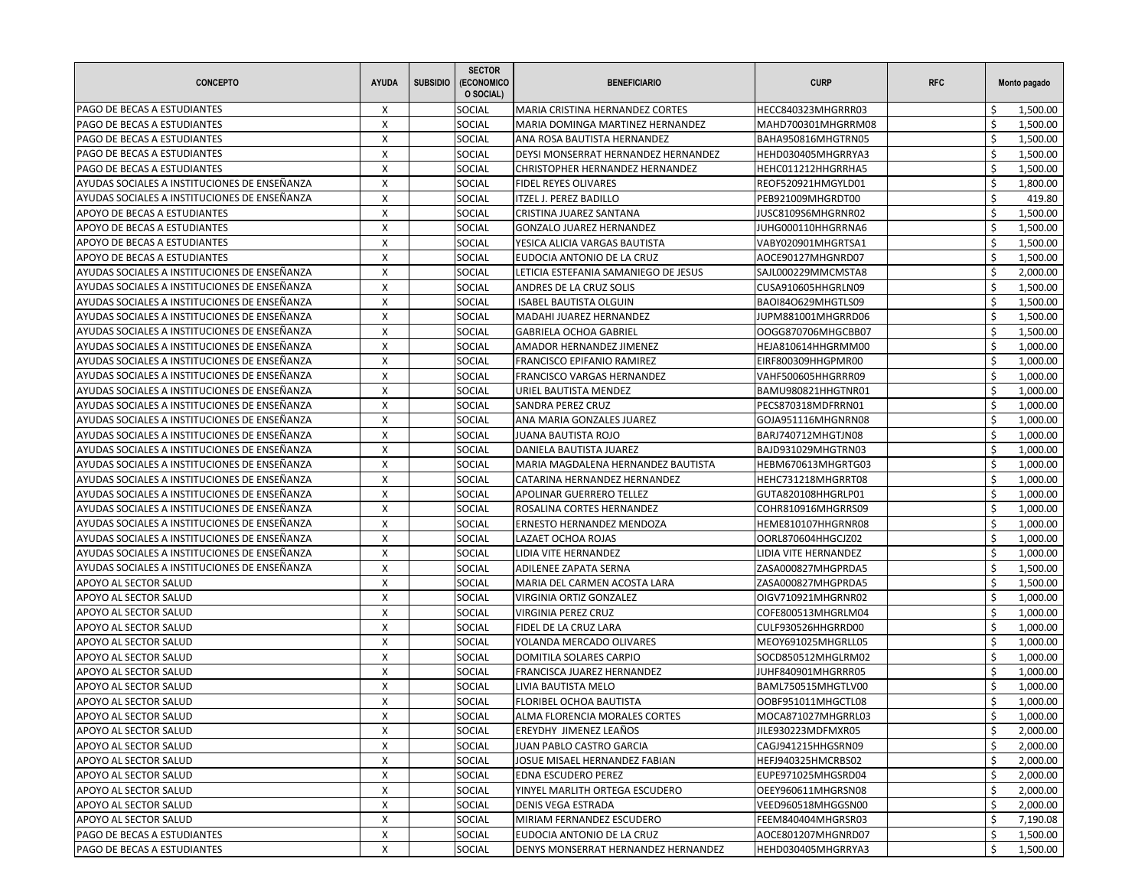| <b>CONCEPTO</b>                              | <b>AYUDA</b> | <b>SUBSIDIO</b> | <b>SECTOR</b><br>(ECONOMICO<br>O SOCIAL) | <b>BENEFICIARIO</b>                  | <b>CURP</b>          | <b>RFC</b> |         | Monto pagado |
|----------------------------------------------|--------------|-----------------|------------------------------------------|--------------------------------------|----------------------|------------|---------|--------------|
| PAGO DE BECAS A ESTUDIANTES                  | X            |                 | SOCIAL                                   | MARIA CRISTINA HERNANDEZ CORTES      | HECC840323MHGRRR03   |            |         | 1,500.00     |
| PAGO DE BECAS A ESTUDIANTES                  | $\mathsf{x}$ |                 | SOCIAL                                   | MARIA DOMINGA MARTINEZ HERNANDEZ     | MAHD700301MHGRRM08   |            | Ś.      | 1,500.00     |
| PAGO DE BECAS A ESTUDIANTES                  | X            |                 | SOCIAL                                   | ANA ROSA BAUTISTA HERNANDEZ          | BAHA950816MHGTRN05   |            | Ś       | 1,500.00     |
| PAGO DE BECAS A ESTUDIANTES                  | X            |                 | SOCIAL                                   | DEYSI MONSERRAT HERNANDEZ HERNANDEZ  | HEHD030405MHGRRYA3   |            | Ś       | 1,500.00     |
| PAGO DE BECAS A ESTUDIANTES                  | X            |                 | SOCIAL                                   | CHRISTOPHER HERNANDEZ HERNANDEZ      | HEHC011212HHGRRHA5   |            | Ŝ.      | 1,500.00     |
| AYUDAS SOCIALES A INSTITUCIONES DE ENSEÑANZA | X            |                 | SOCIAL                                   | FIDEL REYES OLIVARES                 | REOF520921HMGYLD01   |            | Ś       | 1,800.00     |
| AYUDAS SOCIALES A INSTITUCIONES DE ENSEÑANZA | $\mathsf{X}$ |                 | SOCIAL                                   | <b>ITZEL J. PEREZ BADILLO</b>        | PEB921009MHGRDT00    |            | Ś       | 419.80       |
| APOYO DE BECAS A ESTUDIANTES                 | X            |                 | SOCIAL                                   | CRISTINA JUAREZ SANTANA              | JUSC8109S6MHGRNR02   |            | \$      | 1,500.00     |
| APOYO DE BECAS A ESTUDIANTES                 | X            |                 | SOCIAL                                   | <b>GONZALO JUAREZ HERNANDEZ</b>      | JUHG000110HHGRRNA6   |            | Ś       | 1,500.00     |
| APOYO DE BECAS A ESTUDIANTES                 | X            |                 | SOCIAL                                   | YESICA ALICIA VARGAS BAUTISTA        | VABY020901MHGRTSA1   |            | Ś       | 1,500.00     |
| APOYO DE BECAS A ESTUDIANTES                 | X            |                 | SOCIAL                                   | EUDOCIA ANTONIO DE LA CRUZ           | AOCE90127MHGNRD07    |            | Ś       | 1,500.00     |
| AYUDAS SOCIALES A INSTITUCIONES DE ENSEÑANZA | $\mathsf{X}$ |                 | SOCIAL                                   | LETICIA ESTEFANIA SAMANIEGO DE JESUS | SAJL000229MMCMSTA8   |            | \$      | 2,000.00     |
| AYUDAS SOCIALES A INSTITUCIONES DE ENSEÑANZA | X            |                 | SOCIAL                                   | ANDRES DE LA CRUZ SOLIS              | CUSA910605HHGRLN09   |            | Ś       | 1,500.00     |
| AYUDAS SOCIALES A INSTITUCIONES DE ENSEÑANZA | X            |                 | SOCIAL                                   | <b>ISABEL BAUTISTA OLGUIN</b>        | BAOI84O629MHGTLS09   |            | Ś       | 1,500.00     |
| AYUDAS SOCIALES A INSTITUCIONES DE ENSEÑANZA | X            |                 | SOCIAL                                   | MADAHI JUAREZ HERNANDEZ              | JUPM881001MHGRRD06   |            | \$      | 1,500.00     |
| AYUDAS SOCIALES A INSTITUCIONES DE ENSEÑANZA | X            |                 | SOCIAL                                   | <b>GABRIELA OCHOA GABRIEL</b>        | OOGG870706MHGCBB07   |            | Ś       | 1,500.00     |
| AYUDAS SOCIALES A INSTITUCIONES DE ENSEÑANZA | X            |                 | SOCIAL                                   | AMADOR HERNANDEZ JIMENEZ             | HEJA810614HHGRMM00   |            | Ś       | 1,000.00     |
| AYUDAS SOCIALES A INSTITUCIONES DE ENSEÑANZA | X            |                 | <b>SOCIAL</b>                            | <b>FRANCISCO EPIFANIO RAMIREZ</b>    | EIRF800309HHGPMR00   |            | Ś       | 1,000.00     |
| AYUDAS SOCIALES A INSTITUCIONES DE ENSEÑANZA | X            |                 | SOCIAL                                   | FRANCISCO VARGAS HERNANDEZ           | VAHF500605HHGRRR09   |            | \$      | 1,000.00     |
| AYUDAS SOCIALES A INSTITUCIONES DE ENSEÑANZA | X            |                 | SOCIAL                                   | URIEL BAUTISTA MENDEZ                | BAMU980821HHGTNR01   |            | Ś       | 1,000.00     |
| AYUDAS SOCIALES A INSTITUCIONES DE ENSEÑANZA | X            |                 | SOCIAL                                   | <b>SANDRA PEREZ CRUZ</b>             | PECS870318MDFRRN01   |            | Ś       | 1,000.00     |
| AYUDAS SOCIALES A INSTITUCIONES DE ENSEÑANZA | X            |                 | SOCIAL                                   | ANA MARIA GONZALES JUAREZ            | GOJA951116MHGNRN08   |            | \$      | 1,000.00     |
| AYUDAS SOCIALES A INSTITUCIONES DE ENSEÑANZA | X            |                 | SOCIAL                                   | <b>JUANA BAUTISTA ROJO</b>           | BARJ740712MHGTJN08   |            | Ś       | 1,000.00     |
| AYUDAS SOCIALES A INSTITUCIONES DE ENSEÑANZA | X            |                 | SOCIAL                                   | DANIELA BAUTISTA JUAREZ              | BAJD931029MHGTRN03   |            | Ś       | 1,000.00     |
| AYUDAS SOCIALES A INSTITUCIONES DE ENSEÑANZA | X            |                 | SOCIAL                                   | MARIA MAGDALENA HERNANDEZ BAUTISTA   | HEBM670613MHGRTG03   |            | \$      | 1,000.00     |
| AYUDAS SOCIALES A INSTITUCIONES DE ENSEÑANZA | X            |                 | SOCIAL                                   | CATARINA HERNANDEZ HERNANDEZ         | HEHC731218MHGRRT08   |            | Ś       | 1,000.00     |
| AYUDAS SOCIALES A INSTITUCIONES DE ENSEÑANZA | $\mathsf{X}$ |                 | SOCIAL                                   | APOLINAR GUERRERO TELLEZ             | GUTA820108HHGRLP01   |            | Ś       | 1,000.00     |
| AYUDAS SOCIALES A INSTITUCIONES DE ENSEÑANZA | X            |                 | SOCIAL                                   | ROSALINA CORTES HERNANDEZ            | COHR810916MHGRRS09   |            | \$      | 1,000.00     |
| AYUDAS SOCIALES A INSTITUCIONES DE ENSEÑANZA | X            |                 | SOCIAL                                   | ERNESTO HERNANDEZ MENDOZA            | HEME810107HHGRNR08   |            | Ś       | 1,000.00     |
| AYUDAS SOCIALES A INSTITUCIONES DE ENSEÑANZA | X            |                 | SOCIAL                                   | LAZAET OCHOA ROJAS                   | OORL870604HHGCJZ02   |            | Ś       | 1,000.00     |
| AYUDAS SOCIALES A INSTITUCIONES DE ENSEÑANZA | X            |                 | SOCIAL                                   | LIDIA VITE HERNANDEZ                 | LIDIA VITE HERNANDEZ |            | Ś       | 1,000.00     |
| AYUDAS SOCIALES A INSTITUCIONES DE ENSEÑANZA | $\mathsf{X}$ |                 | SOCIAL                                   | ADILENEE ZAPATA SERNA                | ZASA000827MHGPRDA5   |            | \$      | 1,500.00     |
| APOYO AL SECTOR SALUD                        | X            |                 | SOCIAL                                   | MARIA DEL CARMEN ACOSTA LARA         | ZASA000827MHGPRDA5   |            | Ś       | 1,500.00     |
| APOYO AL SECTOR SALUD                        | X            |                 | SOCIAL                                   | VIRGINIA ORTIZ GONZALEZ              | OIGV710921MHGRNR02   |            | Ś       | 1,000.00     |
| APOYO AL SECTOR SALUD                        | X            |                 | SOCIAL                                   | VIRGINIA PEREZ CRUZ                  | COFE800513MHGRLM04   |            | \$      | 1,000.00     |
| APOYO AL SECTOR SALUD                        | X            |                 | SOCIAL                                   | FIDEL DE LA CRUZ LARA                | CULF930526HHGRRD00   |            | Ś       | 1,000.00     |
| APOYO AL SECTOR SALUD                        | X            |                 | SOCIAL                                   | YOLANDA MERCADO OLIVARES             | MEOY691025MHGRLL05   |            | Ś       | 1,000.00     |
| APOYO AL SECTOR SALUD                        | X            |                 | SOCIAL                                   | <b>DOMITILA SOLARES CARPIO</b>       | SOCD850512MHGLRM02   |            | Ś       | 1,000.00     |
| APOYO AL SECTOR SALUD                        | X            |                 | SOCIAL                                   | FRANCISCA JUAREZ HERNANDEZ           | JUHF840901MHGRRR05   |            | \$      | 1,000.00     |
| APOYO AL SECTOR SALUD                        | X            |                 | SOCIAL                                   | LIVIA BAUTISTA MELO                  | BAML750515MHGTLV00   |            | $\zeta$ | 1,000.00     |
| APOYO AL SECTOR SALUD                        | X            |                 | SOCIAL                                   | FLORIBEL OCHOA BAUTISTA              | OOBF951011MHGCTL08   |            | \$      | 1,000.00     |
| APOYO AL SECTOR SALUD                        | X            |                 | SOCIAL                                   | ALMA FLORENCIA MORALES CORTES        | MOCA871027MHGRRL03   |            | Ş       | 1,000.00     |
| APOYO AL SECTOR SALUD                        | X            |                 | SOCIAL                                   | EREYDHY JIMENEZ LEAÑOS               | JILE930223MDFMXR05   |            | \$      | 2,000.00     |
| APOYO AL SECTOR SALUD                        | X            |                 | SOCIAL                                   | JUAN PABLO CASTRO GARCIA             | CAGJ941215HHGSRN09   |            | \$      | 2,000.00     |
| APOYO AL SECTOR SALUD                        | X            |                 | SOCIAL                                   | JOSUE MISAEL HERNANDEZ FABIAN        | HEFJ940325HMCRBS02   |            | \$      | 2,000.00     |
| APOYO AL SECTOR SALUD                        | X            |                 | SOCIAL                                   | EDNA ESCUDERO PEREZ                  | EUPE971025MHGSRD04   |            | \$      | 2,000.00     |
| APOYO AL SECTOR SALUD                        | X            |                 | SOCIAL                                   | YINYEL MARLITH ORTEGA ESCUDERO       | OEEY960611MHGRSN08   |            | \$      | 2,000.00     |
| APOYO AL SECTOR SALUD                        | X            |                 | SOCIAL                                   | <b>DENIS VEGA ESTRADA</b>            | VEED960518MHGGSN00   |            | \$      | 2,000.00     |
| APOYO AL SECTOR SALUD                        | X            |                 | SOCIAL                                   | MIRIAM FERNANDEZ ESCUDERO            | FEEM840404MHGRSR03   |            | \$      | 7,190.08     |
| PAGO DE BECAS A ESTUDIANTES                  | X            |                 | SOCIAL                                   | EUDOCIA ANTONIO DE LA CRUZ           | AOCE801207MHGNRD07   |            | Ŝ.      | 1,500.00     |
| PAGO DE BECAS A ESTUDIANTES                  | X            |                 | SOCIAL                                   | DENYS MONSERRAT HERNANDEZ HERNANDEZ  | HEHD030405MHGRRYA3   |            | \$      | 1,500.00     |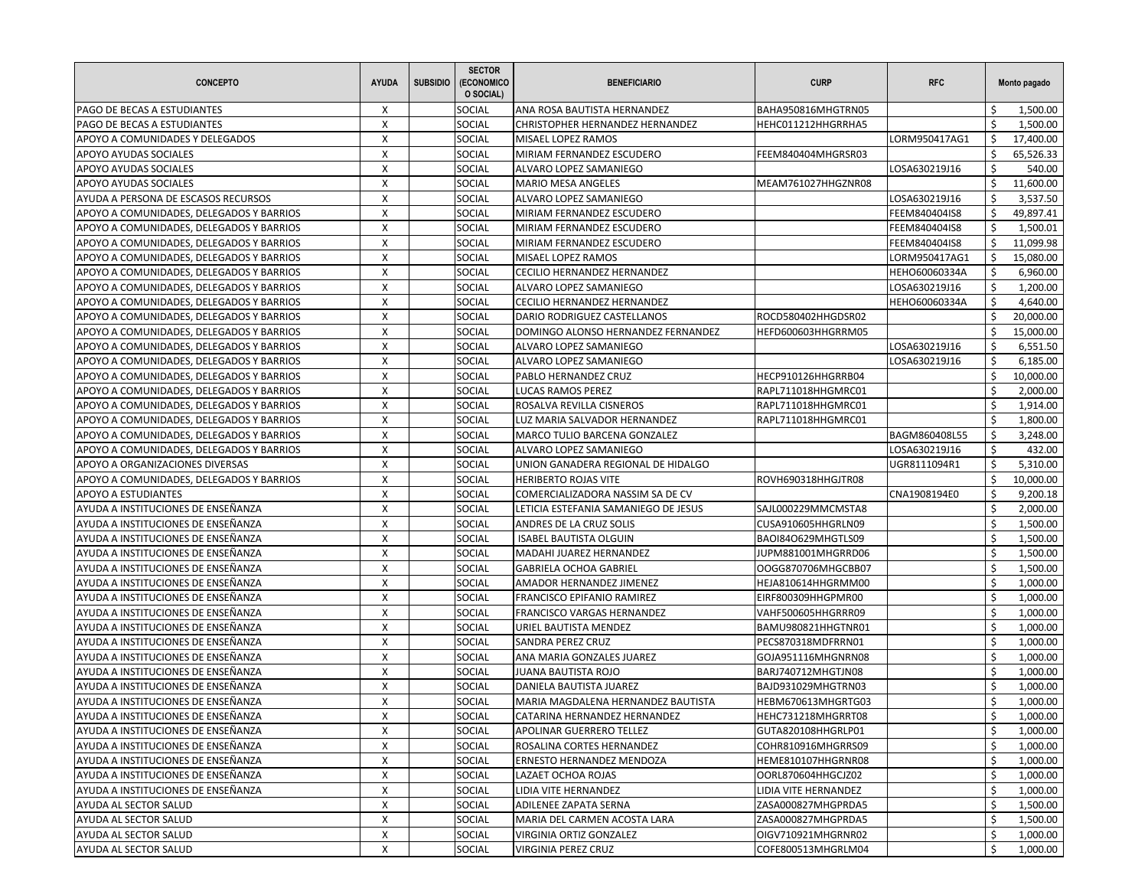| <b>CONCEPTO</b>                          | <b>AYUDA</b>              | <b>SUBSIDIO</b> | <b>SECTOR</b><br>(ECONOMICO<br>O SOCIAL) | <b>BENEFICIARIO</b>                  | <b>CURP</b>          | <b>RFC</b>    |                                | Monto pagado |
|------------------------------------------|---------------------------|-----------------|------------------------------------------|--------------------------------------|----------------------|---------------|--------------------------------|--------------|
| PAGO DE BECAS A ESTUDIANTES              | X                         |                 | <b>SOCIAL</b>                            | ANA ROSA BAUTISTA HERNANDEZ          | BAHA950816MHGTRN05   |               | \$.                            | 1,500.00     |
| PAGO DE BECAS A ESTUDIANTES              | X                         |                 | SOCIAL                                   | CHRISTOPHER HERNANDEZ HERNANDEZ      | HEHC011212HHGRRHA5   |               | \$                             | 1,500.00     |
| APOYO A COMUNIDADES Y DELEGADOS          | X                         |                 | <b>SOCIAL</b>                            | MISAEL LOPEZ RAMOS                   |                      | LORM950417AG1 | \$                             | 17,400.00    |
| APOYO AYUDAS SOCIALES                    | X                         |                 | SOCIAL                                   | MIRIAM FERNANDEZ ESCUDERO            | FEEM840404MHGRSR03   |               | \$                             | 65,526.33    |
| APOYO AYUDAS SOCIALES                    | X                         |                 | <b>SOCIAL</b>                            | ALVARO LOPEZ SAMANIEGO               |                      | LOSA630219J16 | \$                             | 540.00       |
| APOYO AYUDAS SOCIALES                    | X                         |                 | <b>SOCIAL</b>                            | <b>MARIO MESA ANGELES</b>            | MEAM761027HHGZNR08   |               | \$                             | 11,600.00    |
| AYUDA A PERSONA DE ESCASOS RECURSOS      | X                         |                 | SOCIAL                                   | ALVARO LOPEZ SAMANIEGO               |                      | LOSA630219J16 | \$                             | 3,537.50     |
| APOYO A COMUNIDADES, DELEGADOS Y BARRIOS | X                         |                 | <b>SOCIAL</b>                            | MIRIAM FERNANDEZ ESCUDERO            |                      | FEEM840404IS8 | \$                             | 49,897.41    |
| APOYO A COMUNIDADES, DELEGADOS Y BARRIOS | $\boldsymbol{\mathsf{X}}$ |                 | SOCIAL                                   | MIRIAM FERNANDEZ ESCUDERO            |                      | FEEM840404IS8 | \$                             | 1,500.01     |
| APOYO A COMUNIDADES, DELEGADOS Y BARRIOS | X                         |                 | SOCIAL                                   | MIRIAM FERNANDEZ ESCUDERO            |                      | FEEM840404IS8 | Ŝ.                             | 11,099.98    |
| APOYO A COMUNIDADES, DELEGADOS Y BARRIOS | X                         |                 | <b>SOCIAL</b>                            | MISAEL LOPEZ RAMOS                   |                      | LORM950417AG1 | \$                             | 15,080.00    |
| APOYO A COMUNIDADES, DELEGADOS Y BARRIOS | X                         |                 | SOCIAL                                   | CECILIO HERNANDEZ HERNANDEZ          |                      | HEHO60060334A | \$                             | 6,960.00     |
| APOYO A COMUNIDADES, DELEGADOS Y BARRIOS | X                         |                 | <b>SOCIAL</b>                            | ALVARO LOPEZ SAMANIEGO               |                      | LOSA630219J16 | \$                             | 1,200.00     |
| APOYO A COMUNIDADES, DELEGADOS Y BARRIOS | X                         |                 | SOCIAL                                   | CECILIO HERNANDEZ HERNANDEZ          |                      | HEHO60060334A | \$                             | 4,640.00     |
| APOYO A COMUNIDADES, DELEGADOS Y BARRIOS | X                         |                 | <b>SOCIAL</b>                            | DARIO RODRIGUEZ CASTELLANOS          | ROCD580402HHGDSR02   |               | \$                             | 20,000.00    |
| APOYO A COMUNIDADES, DELEGADOS Y BARRIOS | X                         |                 | SOCIAL                                   | DOMINGO ALONSO HERNANDEZ FERNANDEZ   | HEFD600603HHGRRM05   |               | \$                             | 15,000.00    |
| APOYO A COMUNIDADES, DELEGADOS Y BARRIOS | X                         |                 | SOCIAL                                   | ALVARO LOPEZ SAMANIEGO               |                      | LOSA630219J16 | \$                             | 6,551.50     |
| APOYO A COMUNIDADES, DELEGADOS Y BARRIOS | X                         |                 | SOCIAL                                   | ALVARO LOPEZ SAMANIEGO               |                      | LOSA630219J16 | \$                             | 6,185.00     |
| APOYO A COMUNIDADES, DELEGADOS Y BARRIOS | $\boldsymbol{\mathsf{X}}$ |                 | SOCIAL                                   | PABLO HERNANDEZ CRUZ                 | HECP910126HHGRRB04   |               | \$                             | 10,000.00    |
| APOYO A COMUNIDADES, DELEGADOS Y BARRIOS | X                         |                 | SOCIAL                                   | <b>LUCAS RAMOS PEREZ</b>             | RAPL711018HHGMRC01   |               | Ŝ.                             | 2,000.00     |
| APOYO A COMUNIDADES, DELEGADOS Y BARRIOS | X                         |                 | <b>SOCIAL</b>                            | ROSALVA REVILLA CISNEROS             | RAPL711018HHGMRC01   |               | \$                             | 1,914.00     |
| APOYO A COMUNIDADES, DELEGADOS Y BARRIOS | X                         |                 | SOCIAL                                   | LUZ MARIA SALVADOR HERNANDEZ         | RAPL711018HHGMRC01   |               | \$                             | 1,800.00     |
| APOYO A COMUNIDADES, DELEGADOS Y BARRIOS | X                         |                 | <b>SOCIAL</b>                            | MARCO TULIO BARCENA GONZALEZ         |                      | BAGM860408L55 | \$                             | 3,248.00     |
| APOYO A COMUNIDADES, DELEGADOS Y BARRIOS | X                         |                 | SOCIAL                                   | ALVARO LOPEZ SAMANIEGO               |                      | LOSA630219J16 | \$                             | 432.00       |
| APOYO A ORGANIZACIONES DIVERSAS          | X                         |                 | <b>SOCIAL</b>                            | UNION GANADERA REGIONAL DE HIDALGO   |                      | UGR8111094R1  | \$                             | 5,310.00     |
| APOYO A COMUNIDADES, DELEGADOS Y BARRIOS | X                         |                 | <b>SOCIAL</b>                            | <b>HERIBERTO ROJAS VITE</b>          | ROVH690318HHGJTR08   |               | \$                             | 10,000.00    |
| APOYO A ESTUDIANTES                      | X                         |                 | SOCIAL                                   | COMERCIALIZADORA NASSIM SA DE CV     |                      | CNA1908194E0  | \$                             | 9,200.18     |
| AYUDA A INSTITUCIONES DE ENSEÑANZA       | X                         |                 | SOCIAL                                   | LETICIA ESTEFANIA SAMANIEGO DE JESUS | SAJL000229MMCMSTA8   |               | \$                             | 2,000.00     |
| AYUDA A INSTITUCIONES DE ENSEÑANZA       | $\boldsymbol{\mathsf{X}}$ |                 | SOCIAL                                   | ANDRES DE LA CRUZ SOLIS              | CUSA910605HHGRLN09   |               | \$                             | 1,500.00     |
| AYUDA A INSTITUCIONES DE ENSEÑANZA       | X                         |                 | SOCIAL                                   | <b>ISABEL BAUTISTA OLGUIN</b>        | BAOI84O629MHGTLS09   |               | Ŝ.                             | 1,500.00     |
| AYUDA A INSTITUCIONES DE ENSEÑANZA       | X                         |                 | <b>SOCIAL</b>                            | MADAHI JUAREZ HERNANDEZ              | JUPM881001MHGRRD06   |               | \$                             | 1,500.00     |
| AYUDA A INSTITUCIONES DE ENSEÑANZA       | X                         |                 | SOCIAL                                   | <b>GABRIELA OCHOA GABRIEL</b>        | OOGG870706MHGCBB07   |               | \$                             | 1,500.00     |
| AYUDA A INSTITUCIONES DE ENSEÑANZA       | X                         |                 | <b>SOCIAL</b>                            | AMADOR HERNANDEZ JIMENEZ             | HEJA810614HHGRMM00   |               | Ś.                             | 1,000.00     |
| AYUDA A INSTITUCIONES DE ENSEÑANZA       | X                         |                 | <b>SOCIAL</b>                            | <b>FRANCISCO EPIFANIO RAMIREZ</b>    | EIRF800309HHGPMR00   |               | \$                             | 1,000.00     |
| AYUDA A INSTITUCIONES DE ENSEÑANZA       | X                         |                 | <b>SOCIAL</b>                            | FRANCISCO VARGAS HERNANDEZ           | VAHF500605HHGRRR09   |               | \$                             | 1,000.00     |
| AYUDA A INSTITUCIONES DE ENSEÑANZA       | X                         |                 | <b>SOCIAL</b>                            | URIEL BAUTISTA MENDEZ                | BAMU980821HHGTNR01   |               | \$                             | 1,000.00     |
| AYUDA A INSTITUCIONES DE ENSEÑANZA       | X                         |                 | SOCIAL                                   | SANDRA PEREZ CRUZ                    | PECS870318MDFRRN01   |               | \$                             | 1,000.00     |
| AYUDA A INSTITUCIONES DE ENSEÑANZA       | X                         |                 | SOCIAL                                   | ANA MARIA GONZALES JUAREZ            | GOJA951116MHGNRN08   |               | \$                             | 1,000.00     |
| AYUDA A INSTITUCIONES DE ENSEÑANZA       | X                         |                 | SOCIAL                                   | JUANA BAUTISTA ROJO                  | BARJ740712MHGTJN08   |               | \$                             | 1,000.00     |
| AYUDA A INSTITUCIONES DE ENSEÑANZA       | X                         |                 | <b>SOCIAL</b>                            | DANIELA BAUTISTA JUAREZ              | BAJD931029MHGTRN03   |               | Ŝ.                             | 1,000.00     |
| AYUDA A INSTITUCIONES DE ENSEÑANZA       | X                         |                 | <b>SOCIAL</b>                            | MARIA MAGDALENA HERNANDEZ BAUTISTA   | HEBM670613MHGRTG03   |               | \$                             | 1,000.00     |
| AYUDA A INSTITUCIONES DE ENSEÑANZA       | $\pmb{\mathsf{X}}$        |                 | SOCIAL                                   | CATARINA HERNANDEZ HERNANDEZ         | HEHC731218MHGRRT08   |               | $\boldsymbol{\dot{\varsigma}}$ | 1,000.00     |
| AYUDA A INSTITUCIONES DE ENSEÑANZA       | X                         |                 | SOCIAL                                   | APOLINAR GUERRERO TELLEZ             | GUTA820108HHGRLP01   |               | \$                             | 1,000.00     |
| AYUDA A INSTITUCIONES DE ENSEÑANZA       | X                         |                 | SOCIAL                                   | ROSALINA CORTES HERNANDEZ            | COHR810916MHGRRS09   |               | \$                             | 1,000.00     |
| AYUDA A INSTITUCIONES DE ENSEÑANZA       | X                         |                 | SOCIAL                                   | ERNESTO HERNANDEZ MENDOZA            | HEME810107HHGRNR08   |               | \$                             | 1,000.00     |
| AYUDA A INSTITUCIONES DE ENSEÑANZA       | X                         |                 | SOCIAL                                   | LAZAET OCHOA ROJAS                   | OORL870604HHGCJZ02   |               | \$                             | 1,000.00     |
| AYUDA A INSTITUCIONES DE ENSEÑANZA       | X                         |                 | SOCIAL                                   | LIDIA VITE HERNANDEZ                 | LIDIA VITE HERNANDEZ |               | \$                             | 1,000.00     |
| AYUDA AL SECTOR SALUD                    | X                         |                 | SOCIAL                                   | ADILENEE ZAPATA SERNA                | ZASA000827MHGPRDA5   |               | \$                             | 1,500.00     |
| AYUDA AL SECTOR SALUD                    | X                         |                 | SOCIAL                                   | MARIA DEL CARMEN ACOSTA LARA         | ZASA000827MHGPRDA5   |               | \$                             | 1,500.00     |
| AYUDA AL SECTOR SALUD                    | X                         |                 | SOCIAL                                   | VIRGINIA ORTIZ GONZALEZ              | OIGV710921MHGRNR02   |               | \$                             | 1,000.00     |
| AYUDA AL SECTOR SALUD                    | X                         |                 | <b>SOCIAL</b>                            | VIRGINIA PEREZ CRUZ                  | COFE800513MHGRLM04   |               | \$                             | 1,000.00     |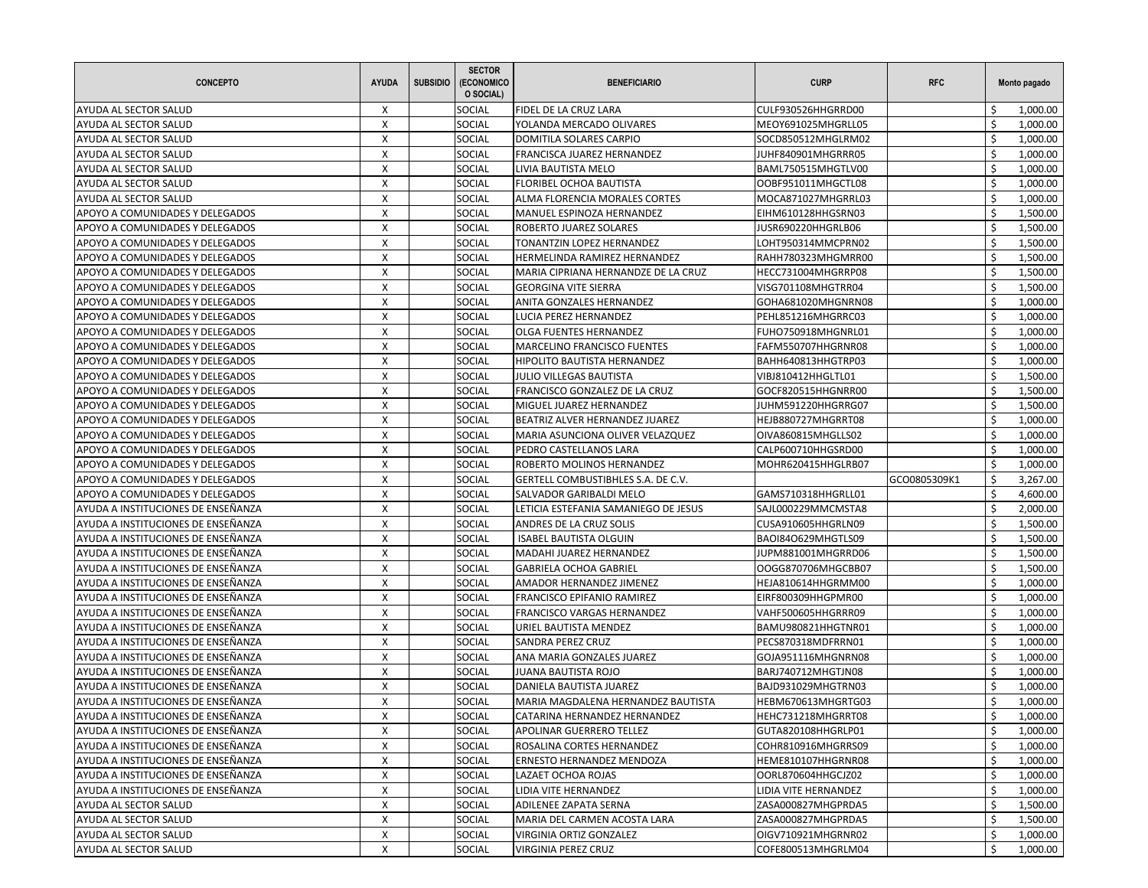| <b>CONCEPTO</b>                    | <b>AYUDA</b>       | <b>SUBSIDIO</b> | <b>SECTOR</b><br><b>(ECONOMICO</b><br>O SOCIAL) | <b>BENEFICIARIO</b>                  | <b>CURP</b>          | <b>RFC</b>   |    | Monto pagado |
|------------------------------------|--------------------|-----------------|-------------------------------------------------|--------------------------------------|----------------------|--------------|----|--------------|
| AYUDA AL SECTOR SALUD              | X                  |                 | SOCIAL                                          | FIDEL DE LA CRUZ LARA                | CULF930526HHGRRD00   |              | Ś  | 1,000.00     |
| AYUDA AL SECTOR SALUD              | X                  |                 | SOCIAL                                          | YOLANDA MERCADO OLIVARES             | MEOY691025MHGRLL05   |              | \$ | 1,000.00     |
| AYUDA AL SECTOR SALUD              | X                  |                 | <b>SOCIAL</b>                                   | DOMITILA SOLARES CARPIO              | SOCD850512MHGLRM02   |              | Ś  | 1,000.00     |
| AYUDA AL SECTOR SALUD              | X                  |                 | SOCIAL                                          | FRANCISCA JUAREZ HERNANDEZ           | JUHF840901MHGRRR05   |              | Ś  | 1,000.00     |
| AYUDA AL SECTOR SALUD              | X                  |                 | SOCIAL                                          | LIVIA BAUTISTA MELO                  | BAML750515MHGTLV00   |              | \$ | 1,000.00     |
| AYUDA AL SECTOR SALUD              | X                  |                 | SOCIAL                                          | FLORIBEL OCHOA BAUTISTA              | OOBF951011MHGCTL08   |              | Ś  | 1,000.00     |
| AYUDA AL SECTOR SALUD              | X                  |                 | <b>SOCIAL</b>                                   | ALMA FLORENCIA MORALES CORTES        | MOCA871027MHGRRL03   |              | Ś  | 1,000.00     |
| APOYO A COMUNIDADES Y DELEGADOS    | X                  |                 | <b>SOCIAL</b>                                   | MANUEL ESPINOZA HERNANDEZ            | EIHM610128HHGSRN03   |              | \$ | 1,500.00     |
| APOYO A COMUNIDADES Y DELEGADOS    | X                  |                 | SOCIAL                                          | ROBERTO JUAREZ SOLARES               | JUSR690220HHGRLB06   |              | \$ | 1,500.00     |
| APOYO A COMUNIDADES Y DELEGADOS    | X                  |                 | SOCIAL                                          | TONANTZIN LOPEZ HERNANDEZ            | LOHT950314MMCPRN02   |              | Ś  | 1,500.00     |
| APOYO A COMUNIDADES Y DELEGADOS    | X                  |                 | SOCIAL                                          | HERMELINDA RAMIREZ HERNANDEZ         | RAHH780323MHGMRR00   |              | Ś  | 1,500.00     |
| APOYO A COMUNIDADES Y DELEGADOS    | X                  |                 | <b>SOCIAL</b>                                   | MARIA CIPRIANA HERNANDZE DE LA CRUZ  | HECC731004MHGRRP08   |              | \$ | 1,500.00     |
| APOYO A COMUNIDADES Y DELEGADOS    | X                  |                 | <b>SOCIAL</b>                                   | <b>GEORGINA VITE SIERRA</b>          | VISG701108MHGTRR04   |              | Ś  | 1,500.00     |
| APOYO A COMUNIDADES Y DELEGADOS    | X                  |                 | SOCIAL                                          | ANITA GONZALES HERNANDEZ             | GOHA681020MHGNRN08   |              | Ś  | 1,000.00     |
| APOYO A COMUNIDADES Y DELEGADOS    | X                  |                 | <b>SOCIAL</b>                                   | LUCIA PEREZ HERNANDEZ                | PEHL851216MHGRRC03   |              | \$ | 1,000.00     |
| APOYO A COMUNIDADES Y DELEGADOS    | X                  |                 | <b>SOCIAL</b>                                   | OLGA FUENTES HERNANDEZ               | FUHO750918MHGNRL01   |              | Ś  | 1,000.00     |
| APOYO A COMUNIDADES Y DELEGADOS    | X                  |                 | SOCIAL                                          | <b>MARCELINO FRANCISCO FUENTES</b>   | FAFM550707HHGRNR08   |              | Ś  | 1,000.00     |
| APOYO A COMUNIDADES Y DELEGADOS    | X                  |                 | <b>SOCIAL</b>                                   | HIPOLITO BAUTISTA HERNANDEZ          | BAHH640813HHGTRP03   |              | Ś  | 1,000.00     |
| APOYO A COMUNIDADES Y DELEGADOS    | X                  |                 | SOCIAL                                          | <b>JULIO VILLEGAS BAUTISTA</b>       | VIBJ810412HHGLTL01   |              | Ś  | 1,500.00     |
| APOYO A COMUNIDADES Y DELEGADOS    | X                  |                 | <b>SOCIAL</b>                                   | FRANCISCO GONZALEZ DE LA CRUZ        | GOCF820515HHGNRR00   |              | Ś  | 1,500.00     |
| APOYO A COMUNIDADES Y DELEGADOS    | X                  |                 | SOCIAL                                          | MIGUEL JUAREZ HERNANDEZ              | JUHM591220HHGRRG07   |              | Ś  | 1,500.00     |
| APOYO A COMUNIDADES Y DELEGADOS    | X                  |                 | SOCIAL                                          | BEATRIZ ALVER HERNANDEZ JUAREZ       | HEJB880727MHGRRT08   |              | \$ | 1,000.00     |
| APOYO A COMUNIDADES Y DELEGADOS    | X                  |                 | <b>SOCIAL</b>                                   | MARIA ASUNCIONA OLIVER VELAZQUEZ     | OIVA860815MHGLLS02   |              | Ś  | 1,000.00     |
| APOYO A COMUNIDADES Y DELEGADOS    | X                  |                 | SOCIAL                                          | PEDRO CASTELLANOS LARA               | CALP600710HHGSRD00   |              | Ś  | 1,000.00     |
| APOYO A COMUNIDADES Y DELEGADOS    | X                  |                 | <b>SOCIAL</b>                                   | ROBERTO MOLINOS HERNANDEZ            | MOHR620415HHGLRB07   |              | \$ | 1,000.00     |
| APOYO A COMUNIDADES Y DELEGADOS    | X                  |                 | <b>SOCIAL</b>                                   | GERTELL COMBUSTIBHLES S.A. DE C.V.   |                      | GCO0805309K1 | Ś  | 3,267.00     |
| APOYO A COMUNIDADES Y DELEGADOS    | X                  |                 | SOCIAL                                          | SALVADOR GARIBALDI MELO              | GAMS710318HHGRLL01   |              | Ś  | 4,600.00     |
| AYUDA A INSTITUCIONES DE ENSEÑANZA | X                  |                 | <b>SOCIAL</b>                                   | LETICIA ESTEFANIA SAMANIEGO DE JESUS | SAJL000229MMCMSTA8   |              | \$ | 2,000.00     |
| AYUDA A INSTITUCIONES DE ENSEÑANZA | X                  |                 | SOCIAL                                          | ANDRES DE LA CRUZ SOLIS              | CUSA910605HHGRLN09   |              | Ś  | 1,500.00     |
| AYUDA A INSTITUCIONES DE ENSEÑANZA | X                  |                 | <b>SOCIAL</b>                                   | <b>ISABEL BAUTISTA OLGUIN</b>        | BAOI84O629MHGTLS09   |              | Ś  | 1,500.00     |
| AYUDA A INSTITUCIONES DE ENSEÑANZA | X                  |                 | SOCIAL                                          | MADAHI JUAREZ HERNANDEZ              | JUPM881001MHGRRD06   |              | Ś  | 1,500.00     |
| AYUDA A INSTITUCIONES DE ENSEÑANZA | X                  |                 | SOCIAL                                          | <b>GABRIELA OCHOA GABRIEL</b>        | OOGG870706MHGCBB07   |              | \$ | 1,500.00     |
| AYUDA A INSTITUCIONES DE ENSEÑANZA | X                  |                 | <b>SOCIAL</b>                                   | AMADOR HERNANDEZ JIMENEZ             | HEJA810614HHGRMM00   |              | Ś  | 1,000.00     |
| AYUDA A INSTITUCIONES DE ENSEÑANZA | X                  |                 | SOCIAL                                          | FRANCISCO EPIFANIO RAMIREZ           | EIRF800309HHGPMR00   |              | Ś  | 1,000.00     |
| AYUDA A INSTITUCIONES DE ENSEÑANZA | X                  |                 | <b>SOCIAL</b>                                   | FRANCISCO VARGAS HERNANDEZ           | VAHF500605HHGRRR09   |              | \$ | 1,000.00     |
| AYUDA A INSTITUCIONES DE ENSEÑANZA | X                  |                 | SOCIAL                                          | URIEL BAUTISTA MENDEZ                | BAMU980821HHGTNR01   |              | Ś  | 1,000.00     |
| AYUDA A INSTITUCIONES DE ENSEÑANZA | X                  |                 | SOCIAL                                          | SANDRA PEREZ CRUZ                    | PECS870318MDFRRN01   |              | Ś  | 1,000.00     |
| AYUDA A INSTITUCIONES DE ENSEÑANZA | Х                  |                 | <b>SOCIAL</b>                                   | ANA MARIA GONZALES JUAREZ            | GOJA951116MHGNRN08   |              | Ś  | 1,000.00     |
| AYUDA A INSTITUCIONES DE ENSEÑANZA | X                  |                 | SOCIAL                                          | JUANA BAUTISTA ROJO                  | BARJ740712MHGTJN08   |              | \$ | 1,000.00     |
| AYUDA A INSTITUCIONES DE ENSEÑANZA | X                  |                 | SOCIAL                                          | DANIELA BAUTISTA JUAREZ              | BAJD931029MHGTRN03   |              | Ś  | 1,000.00     |
| AYUDA A INSTITUCIONES DE ENSEÑANZA | X                  |                 | SOCIAL                                          | MARIA MAGDALENA HERNANDEZ BAUTISTA   | HEBM670613MHGRTG03   |              | Ś  | 1,000.00     |
| AYUDA A INSTITUCIONES DE ENSEÑANZA | $\pmb{\mathsf{X}}$ |                 | SOCIAL                                          | CATARINA HERNANDEZ HERNANDEZ         | HEHC731218MHGRRT08   |              | \$ | 1,000.00     |
| AYUDA A INSTITUCIONES DE ENSEÑANZA | Х                  |                 | <b>SOCIAL</b>                                   | APOLINAR GUERRERO TELLEZ             | GUTA820108HHGRLP01   |              | \$ | 1,000.00     |
| AYUDA A INSTITUCIONES DE ENSEÑANZA | X                  |                 | SOCIAL                                          | ROSALINA CORTES HERNANDEZ            | COHR810916MHGRRS09   |              | \$ | 1,000.00     |
| AYUDA A INSTITUCIONES DE ENSEÑANZA | X                  |                 | SOCIAL                                          | ERNESTO HERNANDEZ MENDOZA            | HEME810107HHGRNR08   |              | \$ | 1,000.00     |
| AYUDA A INSTITUCIONES DE ENSEÑANZA | X                  |                 | <b>SOCIAL</b>                                   | LAZAET OCHOA ROJAS                   | OORL870604HHGCJZ02   |              | \$ | 1,000.00     |
| AYUDA A INSTITUCIONES DE ENSEÑANZA | X                  |                 | SOCIAL                                          | LIDIA VITE HERNANDEZ                 | LIDIA VITE HERNANDEZ |              | \$ | 1,000.00     |
| AYUDA AL SECTOR SALUD              | X                  |                 | <b>SOCIAL</b>                                   | ADILENEE ZAPATA SERNA                | ZASA000827MHGPRDA5   |              | \$ | 1,500.00     |
| AYUDA AL SECTOR SALUD              | X                  |                 | SOCIAL                                          | MARIA DEL CARMEN ACOSTA LARA         | ZASA000827MHGPRDA5   |              | \$ | 1,500.00     |
| AYUDA AL SECTOR SALUD              | X                  |                 | SOCIAL                                          | VIRGINIA ORTIZ GONZALEZ              | OIGV710921MHGRNR02   |              | \$ | 1,000.00     |
| AYUDA AL SECTOR SALUD              | X                  |                 | SOCIAL                                          | VIRGINIA PEREZ CRUZ                  | COFE800513MHGRLM04   |              | \$ | 1,000.00     |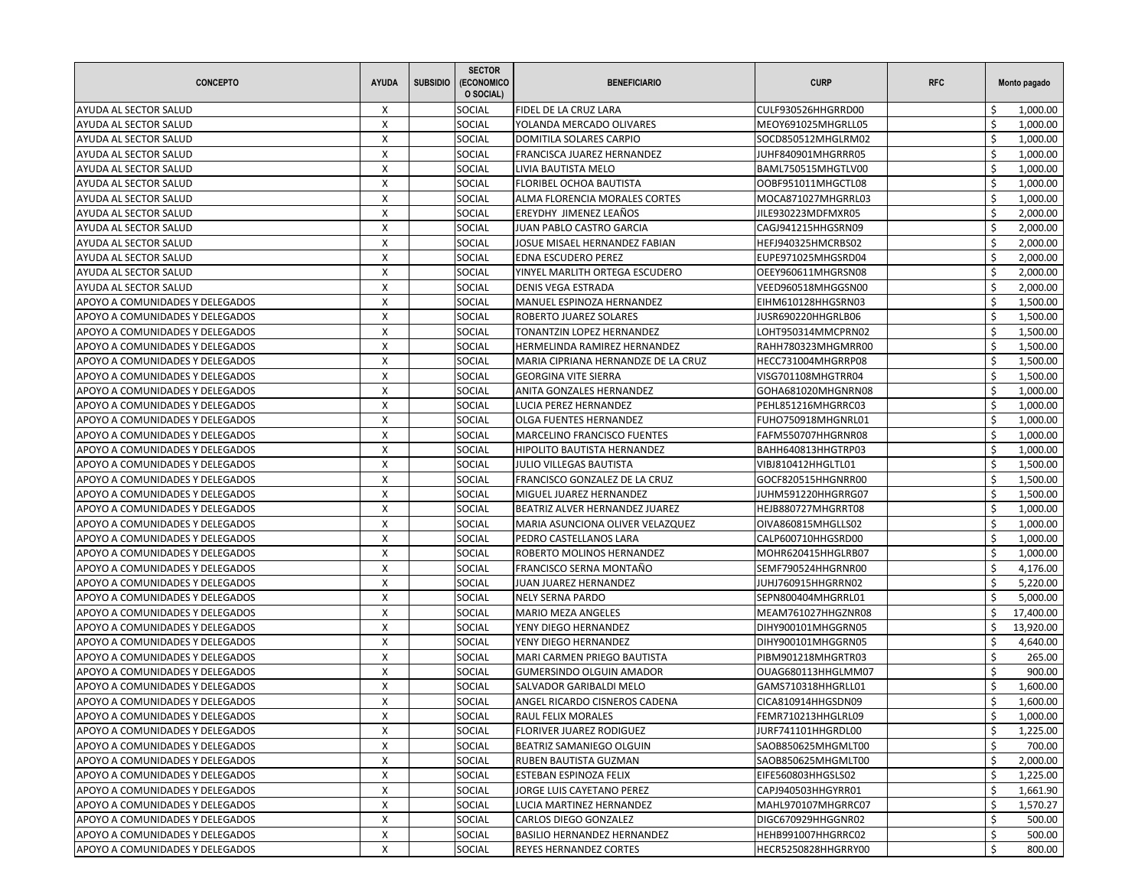| <b>CONCEPTO</b>                 | <b>AYUDA</b> | <b>SUBSIDIO</b> | <b>SECTOR</b><br>(ECONOMICO<br>O SOCIAL) | <b>BENEFICIARIO</b>                 | <b>CURP</b>         | <b>RFC</b> |    | Monto pagado |
|---------------------------------|--------------|-----------------|------------------------------------------|-------------------------------------|---------------------|------------|----|--------------|
| AYUDA AL SECTOR SALUD           | X            |                 | SOCIAL                                   | FIDEL DE LA CRUZ LARA               | CULF930526HHGRRD00  |            | Ś  | 1,000.00     |
| AYUDA AL SECTOR SALUD           | X            |                 | SOCIAL                                   | YOLANDA MERCADO OLIVARES            | MEOY691025MHGRLL05  |            | \$ | 1,000.00     |
| AYUDA AL SECTOR SALUD           | X            |                 | <b>SOCIAL</b>                            | DOMITILA SOLARES CARPIO             | SOCD850512MHGLRM02  |            | Ś  | 1,000.00     |
| AYUDA AL SECTOR SALUD           | X            |                 | SOCIAL                                   | FRANCISCA JUAREZ HERNANDEZ          | JUHF840901MHGRRR05  |            | Ś  | 1,000.00     |
| AYUDA AL SECTOR SALUD           | X            |                 | SOCIAL                                   | LIVIA BAUTISTA MELO                 | BAML750515MHGTLV00  |            | \$ | 1,000.00     |
| AYUDA AL SECTOR SALUD           | X            |                 | SOCIAL                                   | FLORIBEL OCHOA BAUTISTA             | OOBF951011MHGCTL08  |            | Ś  | 1,000.00     |
| AYUDA AL SECTOR SALUD           | X            |                 | <b>SOCIAL</b>                            | ALMA FLORENCIA MORALES CORTES       | MOCA871027MHGRRL03  |            | Ś  | 1,000.00     |
| AYUDA AL SECTOR SALUD           | X            |                 | <b>SOCIAL</b>                            | EREYDHY JIMENEZ LEAÑOS              | JILE930223MDFMXR05  |            | \$ | 2,000.00     |
| AYUDA AL SECTOR SALUD           | X            |                 | SOCIAL                                   | JUAN PABLO CASTRO GARCIA            | CAGJ941215HHGSRN09  |            | Ś  | 2,000.00     |
| AYUDA AL SECTOR SALUD           | X            |                 | SOCIAL                                   | JOSUE MISAEL HERNANDEZ FABIAN       | HEFJ940325HMCRBS02  |            | Ś  | 2,000.00     |
| AYUDA AL SECTOR SALUD           | X            |                 | SOCIAL                                   | <b>EDNA ESCUDERO PEREZ</b>          | EUPE971025MHGSRD04  |            | Ś  | 2,000.00     |
| AYUDA AL SECTOR SALUD           | X            |                 | <b>SOCIAL</b>                            | YINYEL MARLITH ORTEGA ESCUDERO      | OEEY960611MHGRSN08  |            | \$ | 2,000.00     |
| AYUDA AL SECTOR SALUD           | X            |                 | <b>SOCIAL</b>                            | DENIS VEGA ESTRADA                  | VEED960518MHGGSN00  |            | Ś  | 2,000.00     |
| APOYO A COMUNIDADES Y DELEGADOS | X            |                 | SOCIAL                                   | MANUEL ESPINOZA HERNANDEZ           | EIHM610128HHGSRN03  |            | Ś  | 1,500.00     |
| APOYO A COMUNIDADES Y DELEGADOS | X            |                 | <b>SOCIAL</b>                            | ROBERTO JUAREZ SOLARES              | JUSR690220HHGRLB06  |            | \$ | 1,500.00     |
| APOYO A COMUNIDADES Y DELEGADOS | X            |                 | <b>SOCIAL</b>                            | TONANTZIN LOPEZ HERNANDEZ           | LOHT950314MMCPRN02  |            | Ś  | 1,500.00     |
| APOYO A COMUNIDADES Y DELEGADOS | X            |                 | <b>SOCIAL</b>                            | HERMELINDA RAMIREZ HERNANDEZ        | RAHH780323MHGMRR00  |            | Ś  | 1,500.00     |
| APOYO A COMUNIDADES Y DELEGADOS | X            |                 | <b>SOCIAL</b>                            | MARIA CIPRIANA HERNANDZE DE LA CRUZ | HECC731004MHGRRP08  |            | Ś  | 1,500.00     |
| APOYO A COMUNIDADES Y DELEGADOS | X            |                 | SOCIAL                                   | <b>GEORGINA VITE SIERRA</b>         | VISG701108MHGTRR04  |            | Ś  | 1,500.00     |
| APOYO A COMUNIDADES Y DELEGADOS | X            |                 | <b>SOCIAL</b>                            | ANITA GONZALES HERNANDEZ            | GOHA681020MHGNRN08  |            | Ś  | 1,000.00     |
| APOYO A COMUNIDADES Y DELEGADOS | X            |                 | SOCIAL                                   | <b>LUCIA PEREZ HERNANDEZ</b>        | PEHL851216MHGRRC03  |            | Ś  | 1,000.00     |
| APOYO A COMUNIDADES Y DELEGADOS | X            |                 | SOCIAL                                   | OLGA FUENTES HERNANDEZ              | FUHO750918MHGNRL01  |            | \$ | 1,000.00     |
| APOYO A COMUNIDADES Y DELEGADOS | X            |                 | <b>SOCIAL</b>                            | MARCELINO FRANCISCO FUENTES         | FAFM550707HHGRNR08  |            | Ś  | 1,000.00     |
| APOYO A COMUNIDADES Y DELEGADOS | X            |                 | SOCIAL                                   | HIPOLITO BAUTISTA HERNANDEZ         | BAHH640813HHGTRP03  |            | Ś  | 1,000.00     |
| APOYO A COMUNIDADES Y DELEGADOS | X            |                 | <b>SOCIAL</b>                            | JULIO VILLEGAS BAUTISTA             | VIBJ810412HHGLTL01  |            | \$ | 1,500.00     |
| APOYO A COMUNIDADES Y DELEGADOS | X            |                 | <b>SOCIAL</b>                            | FRANCISCO GONZALEZ DE LA CRUZ       | GOCF820515HHGNRR00  |            | Ś  | 1,500.00     |
| APOYO A COMUNIDADES Y DELEGADOS | X            |                 | <b>SOCIAL</b>                            | MIGUEL JUAREZ HERNANDEZ             | JUHM591220HHGRRG07  |            | Ś  | 1,500.00     |
| APOYO A COMUNIDADES Y DELEGADOS | X            |                 | <b>SOCIAL</b>                            | BEATRIZ ALVER HERNANDEZ JUAREZ      | HEJB880727MHGRRT08  |            | \$ | 1,000.00     |
| APOYO A COMUNIDADES Y DELEGADOS | X            |                 | SOCIAL                                   | MARIA ASUNCIONA OLIVER VELAZQUEZ    | OIVA860815MHGLLS02  |            | Ś  | 1,000.00     |
| APOYO A COMUNIDADES Y DELEGADOS | X            |                 | <b>SOCIAL</b>                            | PEDRO CASTELLANOS LARA              | CALP600710HHGSRD00  |            | Ś  | 1,000.00     |
| APOYO A COMUNIDADES Y DELEGADOS | X            |                 | SOCIAL                                   | ROBERTO MOLINOS HERNANDEZ           | MOHR620415HHGLRB07  |            | Ś  | 1,000.00     |
| APOYO A COMUNIDADES Y DELEGADOS | X            |                 | SOCIAL                                   | FRANCISCO SERNA MONTAÑO             | SEMF790524HHGRNR00  |            | \$ | 4,176.00     |
| APOYO A COMUNIDADES Y DELEGADOS | X            |                 | <b>SOCIAL</b>                            | JUAN JUAREZ HERNANDEZ               | JUHJ760915HHGRRN02  |            | Ś  | 5,220.00     |
| APOYO A COMUNIDADES Y DELEGADOS | X            |                 | SOCIAL                                   | <b>NELY SERNA PARDO</b>             | SEPN800404MHGRRL01  |            | Ś  | 5,000.00     |
| APOYO A COMUNIDADES Y DELEGADOS | X            |                 | <b>SOCIAL</b>                            | MARIO MEZA ANGELES                  | MEAM761027HHGZNR08  |            | \$ | 17,400.00    |
| APOYO A COMUNIDADES Y DELEGADOS | X            |                 | SOCIAL                                   | YENY DIEGO HERNANDEZ                | DIHY900101MHGGRN05  |            | Ś  | 13,920.00    |
| APOYO A COMUNIDADES Y DELEGADOS | X            |                 | SOCIAL                                   | YENY DIEGO HERNANDEZ                | DIHY900101MHGGRN05  |            | Ś. | 4,640.00     |
| APOYO A COMUNIDADES Y DELEGADOS | X            |                 | <b>SOCIAL</b>                            | MARI CARMEN PRIEGO BAUTISTA         | PIBM901218MHGRTR03  |            | Ś  | 265.00       |
| APOYO A COMUNIDADES Y DELEGADOS | X            |                 | SOCIAL                                   | <b>GUMERSINDO OLGUIN AMADOR</b>     | OUAG680113HHGLMM07  |            | Ś  | 900.00       |
| APOYO A COMUNIDADES Y DELEGADOS | X            |                 | SOCIAL                                   | SALVADOR GARIBALDI MELO             | GAMS710318HHGRLL01  |            | Ś  | 1,600.00     |
| APOYO A COMUNIDADES Y DELEGADOS | X            |                 | SOCIAL                                   | ANGEL RICARDO CISNEROS CADENA       | CICA810914HHGSDN09  |            | Ś  | 1,600.00     |
| APOYO A COMUNIDADES Y DELEGADOS | X            |                 | <b>SOCIAL</b>                            | RAUL FELIX MORALES                  | FEMR710213HHGLRL09  |            | \$ | 1,000.00     |
| APOYO A COMUNIDADES Y DELEGADOS | X            |                 | <b>SOCIAL</b>                            | <b>FLORIVER JUAREZ RODIGUEZ</b>     | JURF741101HHGRDL00  |            | \$ | 1,225.00     |
| APOYO A COMUNIDADES Y DELEGADOS | X            |                 | SOCIAL                                   | BEATRIZ SAMANIEGO OLGUIN            | SAOB850625MHGMLT00  |            | \$ | 700.00       |
| APOYO A COMUNIDADES Y DELEGADOS | X            |                 | SOCIAL                                   | RUBEN BAUTISTA GUZMAN               | SAOB850625MHGMLT00  |            | \$ | 2,000.00     |
| APOYO A COMUNIDADES Y DELEGADOS | X            |                 | <b>SOCIAL</b>                            | <b>ESTEBAN ESPINOZA FELIX</b>       | EIFE560803HHGSLS02  |            | \$ | 1,225.00     |
| APOYO A COMUNIDADES Y DELEGADOS | X            |                 | SOCIAL                                   | JORGE LUIS CAYETANO PEREZ           | CAPJ940503HHGYRR01  |            | Ś  | 1,661.90     |
| APOYO A COMUNIDADES Y DELEGADOS | X            |                 | <b>SOCIAL</b>                            | LUCIA MARTINEZ HERNANDEZ            | MAHL970107MHGRRC07  |            | \$ | 1,570.27     |
| APOYO A COMUNIDADES Y DELEGADOS | X            |                 | SOCIAL                                   | CARLOS DIEGO GONZALEZ               | DIGC670929HHGGNR02  |            | \$ | 500.00       |
| APOYO A COMUNIDADES Y DELEGADOS | X            |                 | SOCIAL                                   | BASILIO HERNANDEZ HERNANDEZ         | HEHB991007HHGRRC02  |            | \$ | 500.00       |
| APOYO A COMUNIDADES Y DELEGADOS | X            |                 | SOCIAL                                   | REYES HERNANDEZ CORTES              | HECR5250828HHGRRY00 |            | Ś  | 800.00       |